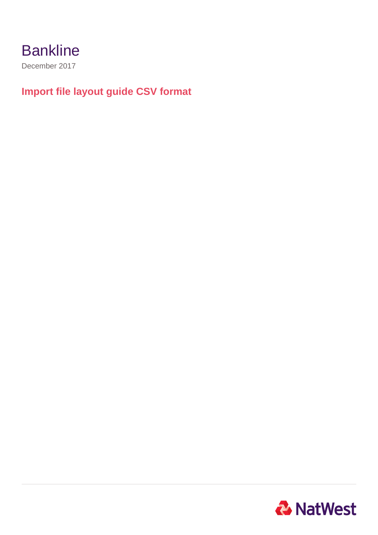December 2017

## **Import file layout guide CSV format**

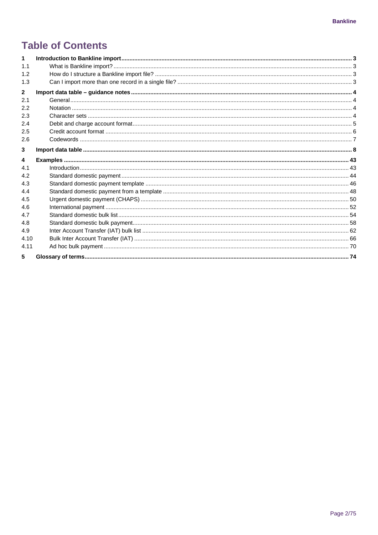## **Table of Contents**

| 1            |  |
|--------------|--|
| 1.1          |  |
| 1.2          |  |
| 1.3          |  |
| $\mathbf{2}$ |  |
| 2.1          |  |
| 2.2          |  |
| 2.3          |  |
| 2.4          |  |
| 2.5          |  |
| 2.6          |  |
| 3            |  |
| 4            |  |
| 4.1          |  |
| 4.2          |  |
| 4.3          |  |
| 4.4          |  |
| 4.5          |  |
| 4.6          |  |
| 4.7          |  |
| 4.8          |  |
| 4.9          |  |
| 4.10         |  |
| 4.11         |  |
| 5            |  |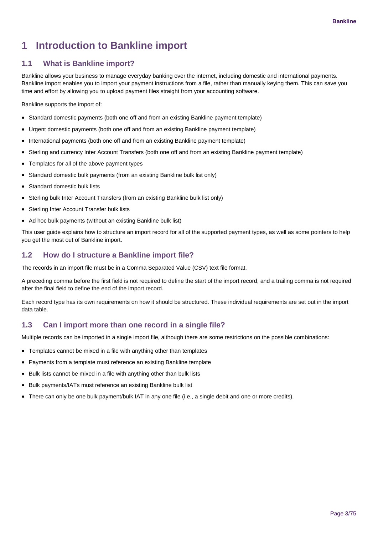## <span id="page-2-0"></span>**1 Introduction to Bankline import**

### <span id="page-2-1"></span>**1.1 What is Bankline import?**

Bankline allows your business to manage everyday banking over the internet, including domestic and international payments. Bankline import enables you to import your payment instructions from a file, rather than manually keying them. This can save you time and effort by allowing you to upload payment files straight from your accounting software.

Bankline supports the import of:

- Standard domestic payments (both one off and from an existing Bankline payment template)
- Urgent domestic payments (both one off and from an existing Bankline payment template)
- International payments (both one off and from an existing Bankline payment template)
- Sterling and currency Inter Account Transfers (both one off and from an existing Bankline payment template)
- Templates for all of the above payment types
- Standard domestic bulk payments (from an existing Bankline bulk list only)
- Standard domestic bulk lists
- Sterling bulk Inter Account Transfers (from an existing Bankline bulk list only)
- Sterling Inter Account Transfer bulk lists
- Ad hoc bulk payments (without an existing Bankline bulk list)

This user guide explains how to structure an import record for all of the supported payment types, as well as some pointers to help you get the most out of Bankline import.

### <span id="page-2-2"></span>**1.2 How do I structure a Bankline import file?**

The records in an import file must be in a Comma Separated Value (CSV) text file format.

A preceding comma before the first field is not required to define the start of the import record, and a trailing comma is not required after the final field to define the end of the import record.

Each record type has its own requirements on how it should be structured. These individual requirements are set out in the import data table.

## <span id="page-2-3"></span>**1.3 Can I import more than one record in a single file?**

Multiple records can be imported in a single import file, although there are some restrictions on the possible combinations:

- Templates cannot be mixed in a file with anything other than templates
- Payments from a template must reference an existing Bankline template
- Bulk lists cannot be mixed in a file with anything other than bulk lists
- Bulk payments/IATs must reference an existing Bankline bulk list
- There can only be one bulk payment/bulk IAT in any one file (i.e., a single debit and one or more credits).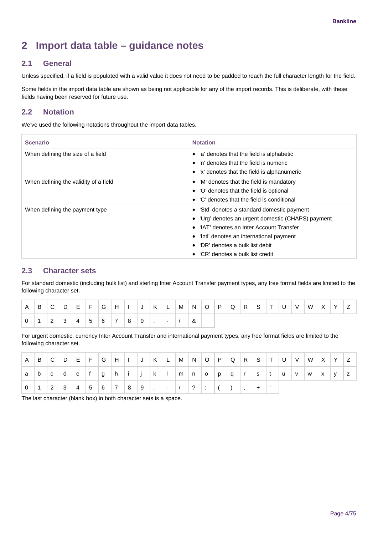## <span id="page-3-0"></span>**2 Import data table – guidance notes**

## <span id="page-3-1"></span>**2.1 General**

Unless specified, if a field is populated with a valid value it does not need to be padded to reach the full character length for the field.

Some fields in the import data table are shown as being not applicable for any of the import records. This is deliberate, with these fields having been reserved for future use.

## <span id="page-3-2"></span>**2.2 Notation**

We've used the following notations throughout the import data tables.

| <b>Scenario</b>                       | <b>Notation</b>                                                                                                                                                                                                                                              |
|---------------------------------------|--------------------------------------------------------------------------------------------------------------------------------------------------------------------------------------------------------------------------------------------------------------|
| When defining the size of a field     | • 'a' denotes that the field is alphabetic<br>'n' denotes that the field is numeric<br>• 'x' denotes that the field is alphanumeric                                                                                                                          |
| When defining the validity of a field | 'M' denotes that the field is mandatory<br>'O' denotes that the field is optional<br>$\bullet$ 'C' denotes that the field is conditional                                                                                                                     |
| When defining the payment type        | • 'Std' denotes a standard domestic payment<br>• 'Urg' denotes an urgent domestic (CHAPS) payment<br>'IAT' denotes an Inter Account Transfer<br>'Intl' denotes an international payment<br>'DR' denotes a bulk list debit<br>'CR' denotes a bulk list credit |

## <span id="page-3-3"></span>**2.3 Character sets**

For standard domestic (including bulk list) and sterling Inter Account Transfer payment types, any free format fields are limited to the following character set.

| l A | ⊪B.            |  |  |                 |           |                   | $ C D E F G H I J K L M N O P Q R S T U V $ |   |  |  |  |  | W X Y Z |  |  |
|-----|----------------|--|--|-----------------|-----------|-------------------|---------------------------------------------|---|--|--|--|--|---------|--|--|
|     | $\overline{1}$ |  |  | $2$ 3 4 5 6 7 8 | $\vert$ 9 | المتسابقة المتناو |                                             | & |  |  |  |  |         |  |  |

For urgent domestic, currency Inter Account Transfer and international payment types, any free format fields are limited to the following character set.

| A        | B |         |               |  |                             |                 |  |                         |                   |  |  |  |  | $ C D E F G H I J K L M N O P Q R S T U V W X Y Z $ |  |              |
|----------|---|---------|---------------|--|-----------------------------|-----------------|--|-------------------------|-------------------|--|--|--|--|-----------------------------------------------------|--|--------------|
| a        | b | $ c $ d | $ e $ f $ g $ |  |                             |                 |  |                         |                   |  |  |  |  | h i j k I m n o p q r s t u v w x y                 |  | $\mathsf{Z}$ |
| $\Omega$ |   |         |               |  | $2 \ 3 \ 4 \ 5 \ 6 \ 7 \ 8$ | $\vert 9 \vert$ |  | $\vert - \vert / \vert$ | $\vert 2 \vert$ : |  |  |  |  |                                                     |  |              |

The last character (blank box) in both character sets is a space.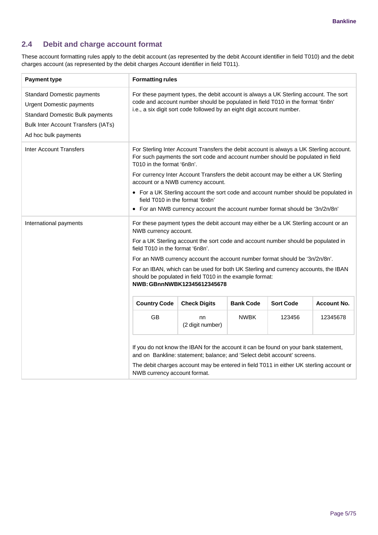## <span id="page-4-0"></span>**2.4 Debit and charge account format**

These account formatting rules apply to the debit account (as represented by the debit Account identifier in field T010) and the debit charges account (as represented by the debit charges Account identifier in field T011).

| <b>Payment type</b>                                                                                                                                                                  | <b>Formatting rules</b>                                                                                                                                                                                                                                                           |                                                                                                                                                                                                                                                  |                  |                  |                    |  |  |  |  |  |  |  |  |  |
|--------------------------------------------------------------------------------------------------------------------------------------------------------------------------------------|-----------------------------------------------------------------------------------------------------------------------------------------------------------------------------------------------------------------------------------------------------------------------------------|--------------------------------------------------------------------------------------------------------------------------------------------------------------------------------------------------------------------------------------------------|------------------|------------------|--------------------|--|--|--|--|--|--|--|--|--|
| <b>Standard Domestic payments</b><br><b>Urgent Domestic payments</b><br><b>Standard Domestic Bulk payments</b><br><b>Bulk Inter Account Transfers (IATs)</b><br>Ad hoc bulk payments |                                                                                                                                                                                                                                                                                   | For these payment types, the debit account is always a UK Sterling account. The sort<br>code and account number should be populated in field T010 in the format '6n8n'<br>i.e., a six digit sort code followed by an eight digit account number. |                  |                  |                    |  |  |  |  |  |  |  |  |  |
| <b>Inter Account Transfers</b>                                                                                                                                                       | T010 in the format '6n8n'.                                                                                                                                                                                                                                                        | For Sterling Inter Account Transfers the debit account is always a UK Sterling account.<br>For such payments the sort code and account number should be populated in field                                                                       |                  |                  |                    |  |  |  |  |  |  |  |  |  |
|                                                                                                                                                                                      |                                                                                                                                                                                                                                                                                   | For currency Inter Account Transfers the debit account may be either a UK Sterling<br>account or a NWB currency account.                                                                                                                         |                  |                  |                    |  |  |  |  |  |  |  |  |  |
|                                                                                                                                                                                      |                                                                                                                                                                                                                                                                                   | • For a UK Sterling account the sort code and account number should be populated in<br>field T010 in the format '6n8n'                                                                                                                           |                  |                  |                    |  |  |  |  |  |  |  |  |  |
| International payments                                                                                                                                                               | • For an NWB currency account the account number format should be '3n/2n/8n'<br>For these payment types the debit account may either be a UK Sterling account or an<br>NWB currency account.<br>For a UK Sterling account the sort code and account number should be populated in |                                                                                                                                                                                                                                                  |                  |                  |                    |  |  |  |  |  |  |  |  |  |
|                                                                                                                                                                                      | field T010 in the format '6n8n'.                                                                                                                                                                                                                                                  |                                                                                                                                                                                                                                                  |                  |                  |                    |  |  |  |  |  |  |  |  |  |
|                                                                                                                                                                                      |                                                                                                                                                                                                                                                                                   | For an NWB currency account the account number format should be '3n/2n/8n'.                                                                                                                                                                      |                  |                  |                    |  |  |  |  |  |  |  |  |  |
|                                                                                                                                                                                      |                                                                                                                                                                                                                                                                                   | For an IBAN, which can be used for both UK Sterling and currency accounts, the IBAN<br>should be populated in field T010 in the example format:<br>NWB: GBnnNWBK12345612345678                                                                   |                  |                  |                    |  |  |  |  |  |  |  |  |  |
|                                                                                                                                                                                      | <b>Country Code</b>                                                                                                                                                                                                                                                               | <b>Check Digits</b>                                                                                                                                                                                                                              | <b>Bank Code</b> | <b>Sort Code</b> | <b>Account No.</b> |  |  |  |  |  |  |  |  |  |
|                                                                                                                                                                                      | GB                                                                                                                                                                                                                                                                                | nn<br>(2 digit number)                                                                                                                                                                                                                           | <b>NWBK</b>      | 123456           | 12345678           |  |  |  |  |  |  |  |  |  |
|                                                                                                                                                                                      |                                                                                                                                                                                                                                                                                   | If you do not know the IBAN for the account it can be found on your bank statement,<br>and on Bankline: statement; balance; and 'Select debit account' screens.                                                                                  |                  |                  |                    |  |  |  |  |  |  |  |  |  |
|                                                                                                                                                                                      | NWB currency account format.                                                                                                                                                                                                                                                      | The debit charges account may be entered in field T011 in either UK sterling account or                                                                                                                                                          |                  |                  |                    |  |  |  |  |  |  |  |  |  |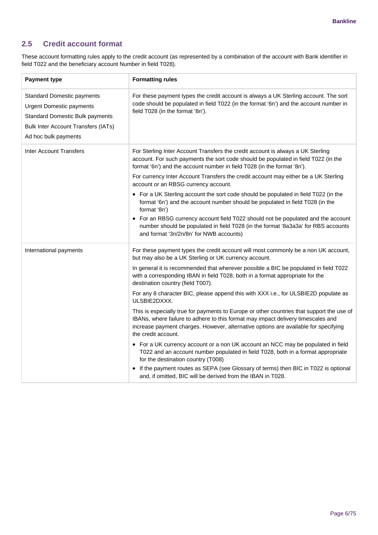### <span id="page-5-0"></span>**2.5 Credit account format**

These account formatting rules apply to the credit account (as represented by a combination of the account with Bank identifier in field T022 and the beneficiary account Number in field T028).

| <b>Payment type</b>                                                                                                                                                    | <b>Formatting rules</b>                                                                                                                                                                                                                                                                     |
|------------------------------------------------------------------------------------------------------------------------------------------------------------------------|---------------------------------------------------------------------------------------------------------------------------------------------------------------------------------------------------------------------------------------------------------------------------------------------|
| <b>Standard Domestic payments</b><br>Urgent Domestic payments<br><b>Standard Domestic Bulk payments</b><br>Bulk Inter Account Transfers (IATs)<br>Ad hoc bulk payments | For these payment types the credit account is always a UK Sterling account. The sort<br>code should be populated in field T022 (in the format '6n') and the account number in<br>field T028 (in the format '8n').                                                                           |
| <b>Inter Account Transfers</b>                                                                                                                                         | For Sterling Inter Account Transfers the credit account is always a UK Sterling<br>account. For such payments the sort code should be populated in field T022 (in the<br>format '6n') and the account number in field T028 (in the format '8n').                                            |
|                                                                                                                                                                        | For currency Inter Account Transfers the credit account may either be a UK Sterling<br>account or an RBSG currency account.                                                                                                                                                                 |
|                                                                                                                                                                        | • For a UK Sterling account the sort code should be populated in field T022 (in the<br>format '6n') and the account number should be populated in field T028 (in the<br>format '8n')                                                                                                        |
|                                                                                                                                                                        | • For an RBSG currency account field T022 should not be populated and the account<br>number should be populated in field T028 (in the format '8a3a3a' for RBS accounts<br>and format '3n/2n/8n' for NWB accounts)                                                                           |
| International payments                                                                                                                                                 | For these payment types the credit account will most commonly be a non UK account,<br>but may also be a UK Sterling or UK currency account.                                                                                                                                                 |
|                                                                                                                                                                        | In general it is recommended that wherever possible a BIC be populated in field T022<br>with a corresponding IBAN in field T028, both in a format appropriate for the<br>destination country (field T007).                                                                                  |
|                                                                                                                                                                        | For any 8 character BIC, please append this with XXX i.e., for ULSBIE2D populate as<br>ULSBIE2DXXX.                                                                                                                                                                                         |
|                                                                                                                                                                        | This is especially true for payments to Europe or other countries that support the use of<br>IBANs, where failure to adhere to this format may impact delivery timescales and<br>increase payment charges. However, alternative options are available for specifying<br>the credit account. |
|                                                                                                                                                                        | • For a UK currency account or a non UK account an NCC may be populated in field<br>T022 and an account number populated in field T028, both in a format appropriate<br>for the destination country (T008)                                                                                  |
|                                                                                                                                                                        | • If the payment routes as SEPA (see Glossary of terms) then BIC in T022 is optional<br>and, if omitted, BIC will be derived from the IBAN in T028.                                                                                                                                         |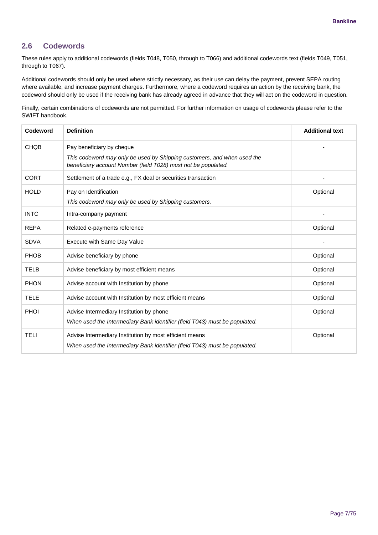## <span id="page-6-0"></span>**2.6 Codewords**

These rules apply to additional codewords (fields T048, T050, through to T066) and additional codewords text (fields T049, T051, through to T067).

Additional codewords should only be used where strictly necessary, as their use can delay the payment, prevent SEPA routing where available, and increase payment charges. Furthermore, where a codeword requires an action by the receiving bank, the codeword should only be used if the receiving bank has already agreed in advance that they will act on the codeword in question.

Finally, certain combinations of codewords are not permitted. For further information on usage of codewords please refer to the SWIFT handbook.

| Codeword    | <b>Definition</b>                                                                                                                                                      | <b>Additional text</b> |
|-------------|------------------------------------------------------------------------------------------------------------------------------------------------------------------------|------------------------|
| <b>CHQB</b> | Pay beneficiary by cheque<br>This codeword may only be used by Shipping customers, and when used the<br>beneficiary account Number (field T028) must not be populated. |                        |
| <b>CORT</b> | Settlement of a trade e.g., FX deal or securities transaction                                                                                                          |                        |
| <b>HOLD</b> | Pay on Identification<br>This codeword may only be used by Shipping customers.                                                                                         | Optional               |
| <b>INTC</b> | Intra-company payment                                                                                                                                                  |                        |
| <b>REPA</b> | Related e-payments reference                                                                                                                                           | Optional               |
| <b>SDVA</b> | Execute with Same Day Value                                                                                                                                            |                        |
| <b>PHOB</b> | Advise beneficiary by phone                                                                                                                                            | Optional               |
| <b>TELB</b> | Advise beneficiary by most efficient means                                                                                                                             | Optional               |
| <b>PHON</b> | Advise account with Institution by phone                                                                                                                               | Optional               |
| <b>TELE</b> | Advise account with Institution by most efficient means                                                                                                                | Optional               |
| <b>PHOI</b> | Advise Intermediary Institution by phone<br>When used the Intermediary Bank identifier (field T043) must be populated.                                                 | Optional               |
| <b>TELI</b> | Advise Intermediary Institution by most efficient means<br>When used the Intermediary Bank identifier (field T043) must be populated.                                  | Optional               |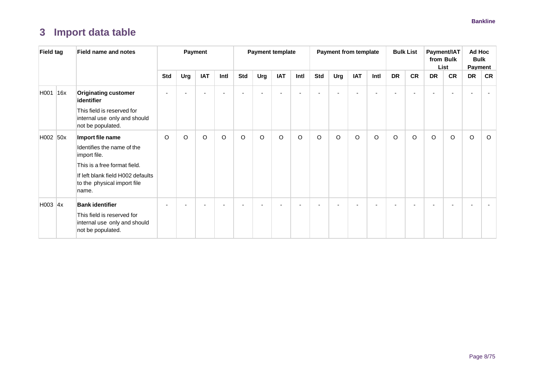## **3 Import data table**

<span id="page-7-0"></span>

| <b>Field tag</b> | <b>Field name and notes</b>                                                                                                                                                 |            |         | Payment    |         |         | <b>Payment template</b> |            |      |     | <b>Payment from template</b> |            |      |           | <b>Bulk List</b> |           | Payment/IAT<br>from Bulk<br>List |           | Ad Hoc<br><b>Bulk</b><br><b>Payment</b> |
|------------------|-----------------------------------------------------------------------------------------------------------------------------------------------------------------------------|------------|---------|------------|---------|---------|-------------------------|------------|------|-----|------------------------------|------------|------|-----------|------------------|-----------|----------------------------------|-----------|-----------------------------------------|
|                  |                                                                                                                                                                             | <b>Std</b> | Urg     | <b>IAT</b> | Intl    | Std     | Urg                     | <b>IAT</b> | Intl | Std | Urg                          | <b>IAT</b> | Intl | <b>DR</b> | <b>CR</b>        | <b>DR</b> | <b>CR</b>                        | <b>DR</b> | <b>CR</b>                               |
| H001 16x         | <b>Originating customer</b><br>identifier                                                                                                                                   |            |         |            |         |         |                         |            |      |     |                              |            |      |           |                  |           |                                  |           |                                         |
|                  | This field is reserved for<br>internal use only and should<br>not be populated.                                                                                             |            |         |            |         |         |                         |            |      |     |                              |            |      |           |                  |           |                                  |           |                                         |
| H002 50x         | Import file name<br>Identifies the name of the<br>import file.<br>This is a free format field.<br>If left blank field H002 defaults<br>to the physical import file<br>name. | O          | $\circ$ | $\circ$    | $\circ$ | $\circ$ | $\circ$                 | $\circ$    | O    | O   | O                            | O          | O    | $\circ$   | $\circ$          | $\circ$   | O                                | $\circ$   | $\circ$                                 |
| H003 $ 4x $      | <b>Bank identifier</b><br>This field is reserved for<br>internal use only and should<br>not be populated.                                                                   |            |         |            |         |         |                         |            |      |     |                              |            |      |           |                  |           |                                  |           |                                         |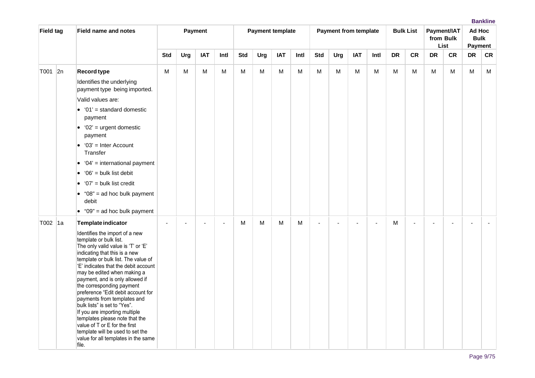| <b>Field tag</b> | <b>Field name and notes</b>                                                                                                                                                                                                                                                                                                                                                                                                                                                                                                                                                                                |            |                | Payment    |      |            |     | <b>Payment template</b> |           |            |     | <b>Payment from template</b> |      |           | <b>Bulk List</b> |           | Payment/IAT<br>from Bulk<br>List | Ad Hoc<br><b>Bulk</b><br>Payment |           |
|------------------|------------------------------------------------------------------------------------------------------------------------------------------------------------------------------------------------------------------------------------------------------------------------------------------------------------------------------------------------------------------------------------------------------------------------------------------------------------------------------------------------------------------------------------------------------------------------------------------------------------|------------|----------------|------------|------|------------|-----|-------------------------|-----------|------------|-----|------------------------------|------|-----------|------------------|-----------|----------------------------------|----------------------------------|-----------|
|                  |                                                                                                                                                                                                                                                                                                                                                                                                                                                                                                                                                                                                            | <b>Std</b> | Urg            | <b>IAT</b> | Intl | <b>Std</b> | Urg | <b>IAT</b>              | Intl      | <b>Std</b> | Urg | <b>IAT</b>                   | Intl | <b>DR</b> | <b>CR</b>        | <b>DR</b> | <b>CR</b>                        | DR                               | <b>CR</b> |
| T001 2n          | <b>Record type</b>                                                                                                                                                                                                                                                                                                                                                                                                                                                                                                                                                                                         | М          | ${\sf M}$      | M          | M    | M          | M   | M                       | ${\sf M}$ | M          | M   | ${\sf M}$                    | м    | М         | M                | M         | M                                | M                                | M         |
|                  | Identifies the underlying<br>payment type being imported.                                                                                                                                                                                                                                                                                                                                                                                                                                                                                                                                                  |            |                |            |      |            |     |                         |           |            |     |                              |      |           |                  |           |                                  |                                  |           |
|                  | Valid values are:                                                                                                                                                                                                                                                                                                                                                                                                                                                                                                                                                                                          |            |                |            |      |            |     |                         |           |            |     |                              |      |           |                  |           |                                  |                                  |           |
|                  | $\bullet$ '01' = standard domestic<br>payment                                                                                                                                                                                                                                                                                                                                                                                                                                                                                                                                                              |            |                |            |      |            |     |                         |           |            |     |                              |      |           |                  |           |                                  |                                  |           |
|                  | $\bullet$ '02' = urgent domestic<br>payment                                                                                                                                                                                                                                                                                                                                                                                                                                                                                                                                                                |            |                |            |      |            |     |                         |           |            |     |                              |      |           |                  |           |                                  |                                  |           |
|                  | $\bullet$ '03' = Inter Account<br>Transfer                                                                                                                                                                                                                                                                                                                                                                                                                                                                                                                                                                 |            |                |            |      |            |     |                         |           |            |     |                              |      |           |                  |           |                                  |                                  |           |
|                  | $\bullet$ '04' = international payment                                                                                                                                                                                                                                                                                                                                                                                                                                                                                                                                                                     |            |                |            |      |            |     |                         |           |            |     |                              |      |           |                  |           |                                  |                                  |           |
|                  | $\bullet$ '06' = bulk list debit                                                                                                                                                                                                                                                                                                                                                                                                                                                                                                                                                                           |            |                |            |      |            |     |                         |           |            |     |                              |      |           |                  |           |                                  |                                  |           |
|                  | $\bullet$ '07' = bulk list credit                                                                                                                                                                                                                                                                                                                                                                                                                                                                                                                                                                          |            |                |            |      |            |     |                         |           |            |     |                              |      |           |                  |           |                                  |                                  |           |
|                  | $\bullet$ "08" = ad hoc bulk payment<br>debit                                                                                                                                                                                                                                                                                                                                                                                                                                                                                                                                                              |            |                |            |      |            |     |                         |           |            |     |                              |      |           |                  |           |                                  |                                  |           |
|                  | $\bullet$ "09" = ad hoc bulk payment                                                                                                                                                                                                                                                                                                                                                                                                                                                                                                                                                                       |            |                |            |      |            |     |                         |           |            |     |                              |      |           |                  |           |                                  |                                  |           |
| T002 1a          | <b>Template indicator</b>                                                                                                                                                                                                                                                                                                                                                                                                                                                                                                                                                                                  |            | $\blacksquare$ |            |      | M          | М   | M                       | м         |            |     |                              |      | M         |                  |           |                                  |                                  |           |
|                  | Identifies the import of a new<br>template or bulk list.<br>The only valid value is 'T' or 'E'<br>indicating that this is a new<br>template or bulk list. The value of<br>'E' indicates that the debit account<br>may be edited when making a<br>payment, and is only allowed if<br>the corresponding payment<br>preference "Edit debit account for<br>payments from templates and<br>bulk lists" is set to "Yes".<br>If you are importing multiple<br>templates please note that the<br>value of T or E for the first<br>template will be used to set the<br>value for all templates in the same<br>file. |            |                |            |      |            |     |                         |           |            |     |                              |      |           |                  |           |                                  |                                  |           |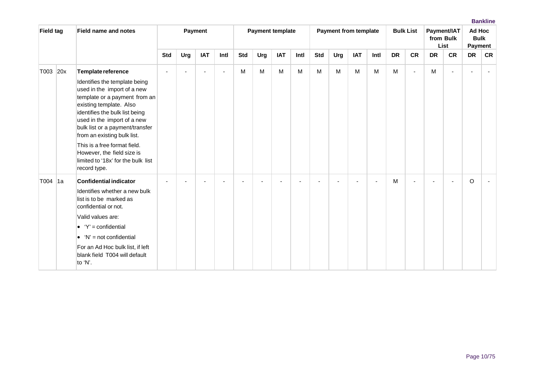| <b>Field tag</b> |     | <b>Field name and notes</b>                                                                                                                                                                                                                                                                                                                                                                           |                |                | Payment                  |        |            |     | <b>Payment template</b> |      |     | <b>Payment from template</b> |            |      |           | <b>Bulk List</b> |           | Payment/IAT<br>from Bulk<br>List | Ad Hoc<br><b>Bulk</b><br>Payment |           |
|------------------|-----|-------------------------------------------------------------------------------------------------------------------------------------------------------------------------------------------------------------------------------------------------------------------------------------------------------------------------------------------------------------------------------------------------------|----------------|----------------|--------------------------|--------|------------|-----|-------------------------|------|-----|------------------------------|------------|------|-----------|------------------|-----------|----------------------------------|----------------------------------|-----------|
|                  |     |                                                                                                                                                                                                                                                                                                                                                                                                       | <b>Std</b>     | Urg            | <b>IAT</b>               | Intl   | <b>Std</b> | Urg | <b>IAT</b>              | Intl | Std | Urg                          | <b>IAT</b> | Intl | <b>DR</b> | <b>CR</b>        | <b>DR</b> | <b>CR</b>                        | DR                               | <b>CR</b> |
| T003             | 20x | Template reference<br>Identifies the template being<br>used in the import of a new<br>template or a payment from an<br>existing template. Also<br>identifies the bulk list being<br>used in the import of a new<br>bulk list or a payment/transfer<br>from an existing bulk list.<br>This is a free format field.<br>However, the field size is<br>limited to '18x' for the bulk list<br>record type. | $\overline{a}$ | $\blacksquare$ | $\overline{\phantom{a}}$ | $\sim$ | M          | M   | M                       | M    | M   | M                            | M          | M    | M         | ٠                | M         |                                  |                                  |           |
| T004             | 1a  | <b>Confidential indicator</b><br>Identifies whether a new bulk<br>list is to be marked as<br>confidential or not.<br>Valid values are:<br>• $Y' =$ confidential<br>$\bullet$ 'N' = not confidential<br>For an Ad Hoc bulk list, if left<br>blank field T004 will default<br>to 'N'.                                                                                                                   |                |                |                          |        |            |     |                         |      |     |                              |            |      | M         |                  |           |                                  | O                                |           |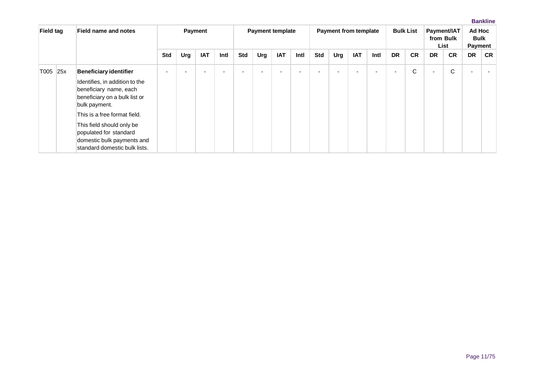| <b>Field tag</b> | Field name and notes                                                                                               |     |     | <b>Payment</b> |      |            | <b>Payment template</b> |            |      |     | <b>Payment from template</b> |            |      |                          | <b>Bulk List</b> |                          | Payment/IAT<br>from Bulk<br>List | Ad Hoc<br><b>Bulk</b><br>Payment |           |
|------------------|--------------------------------------------------------------------------------------------------------------------|-----|-----|----------------|------|------------|-------------------------|------------|------|-----|------------------------------|------------|------|--------------------------|------------------|--------------------------|----------------------------------|----------------------------------|-----------|
|                  |                                                                                                                    | Std | Urg | <b>IAT</b>     | Intl | <b>Std</b> | Urg                     | <b>IAT</b> | Intl | Std | Urg                          | <b>IAT</b> | Intl | <b>DR</b>                | <b>CR</b>        | <b>DR</b>                | <b>CR</b>                        | <b>DR</b>                        | <b>CR</b> |
| T005 25x         | <b>Beneficiary identifier</b>                                                                                      |     |     |                | -    |            |                         |            |      |     |                              |            |      | $\overline{\phantom{0}}$ | C                | $\overline{\phantom{a}}$ | C                                |                                  |           |
|                  | Identifies, in addition to the<br>beneficiary name, each<br>beneficiary on a bulk list or<br>bulk payment.         |     |     |                |      |            |                         |            |      |     |                              |            |      |                          |                  |                          |                                  |                                  |           |
|                  | This is a free format field.                                                                                       |     |     |                |      |            |                         |            |      |     |                              |            |      |                          |                  |                          |                                  |                                  |           |
|                  | This field should only be<br>populated for standard<br>domestic bulk payments and<br>standard domestic bulk lists. |     |     |                |      |            |                         |            |      |     |                              |            |      |                          |                  |                          |                                  |                                  |           |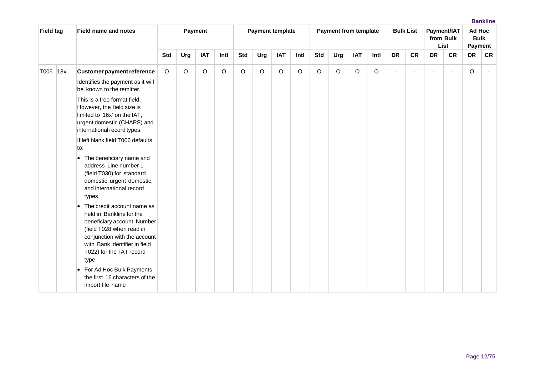| <b>Field tag</b> |     | <b>Field name and notes</b>                                                                                                                                                                                                                                    |            |     | Payment    |         |            | <b>Payment template</b> |            |      |            | <b>Payment from template</b> |            |         |           | <b>Bulk List</b> |                          | Payment/IAT<br>from Bulk<br>List | Ad Hoc<br><b>Bulk</b><br>Payment |           |
|------------------|-----|----------------------------------------------------------------------------------------------------------------------------------------------------------------------------------------------------------------------------------------------------------------|------------|-----|------------|---------|------------|-------------------------|------------|------|------------|------------------------------|------------|---------|-----------|------------------|--------------------------|----------------------------------|----------------------------------|-----------|
|                  |     |                                                                                                                                                                                                                                                                | <b>Std</b> | Urg | <b>IAT</b> | Intl    | <b>Std</b> | Urg                     | <b>IAT</b> | Intl | <b>Std</b> | Urg                          | <b>IAT</b> | Intl    | <b>DR</b> | <b>CR</b>        | <b>DR</b>                | <b>CR</b>                        | <b>DR</b>                        | <b>CR</b> |
| T006             | 18x | <b>Customer payment reference</b><br>Identifies the payment as it will<br>be known to the remitter.                                                                                                                                                            | $\circ$    | O   | O          | $\circ$ | $\Omega$   | O                       | O          | O    | $\circ$    | $\circ$                      | $\circ$    | $\circ$ | ä,        |                  | $\overline{\phantom{a}}$ | $\overline{a}$                   | O                                | $\sim$    |
|                  |     | This is a free format field.<br>However, the field size is<br>limited to '16x' on the IAT,<br>urgent domestic (CHAPS) and<br>international record types.                                                                                                       |            |     |            |         |            |                         |            |      |            |                              |            |         |           |                  |                          |                                  |                                  |           |
|                  |     | If left blank field T006 defaults<br>to:<br>• The beneficiary name and<br>address Line number 1<br>(field T030) for standard<br>domestic, urgent domestic,<br>and international record                                                                         |            |     |            |         |            |                         |            |      |            |                              |            |         |           |                  |                          |                                  |                                  |           |
|                  |     | types<br>• The credit account name as<br>held in Bankline for the<br>beneficiary account Number<br>(field T028 when read in<br>conjunction with the account<br>with Bank identifier in field<br>T022) for the IAT record<br>type<br>• For Ad Hoc Bulk Payments |            |     |            |         |            |                         |            |      |            |                              |            |         |           |                  |                          |                                  |                                  |           |
|                  |     | the first 16 characters of the<br>import file name                                                                                                                                                                                                             |            |     |            |         |            |                         |            |      |            |                              |            |         |           |                  |                          |                                  |                                  |           |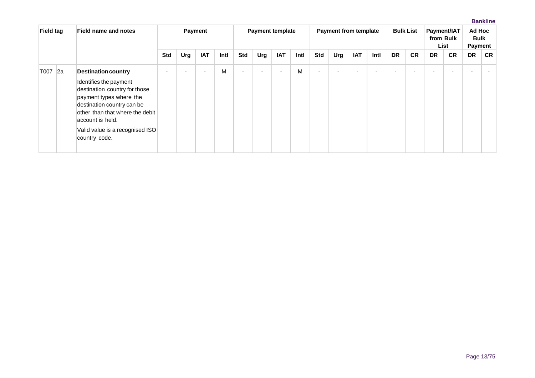| <b>Field tag</b> |             | <b>Field name and notes</b>                                                                                                                                                                                                                               |            |     | <b>Payment</b> |      |                | <b>Payment template</b>  |            |      |            | <b>Payment from template</b> |            |      |                          | <b>Bulk List</b> |           | Payment/IAT<br>from Bulk<br>List | Ad Hoc<br><b>Bulk</b><br>Payment |           |
|------------------|-------------|-----------------------------------------------------------------------------------------------------------------------------------------------------------------------------------------------------------------------------------------------------------|------------|-----|----------------|------|----------------|--------------------------|------------|------|------------|------------------------------|------------|------|--------------------------|------------------|-----------|----------------------------------|----------------------------------|-----------|
|                  |             |                                                                                                                                                                                                                                                           | <b>Std</b> | Urg | <b>IAT</b>     | Intl | <b>Std</b>     | Urg                      | <b>IAT</b> | Intl | <b>Std</b> | Urg                          | <b>IAT</b> | Intl | <b>DR</b>                | <b>CR</b>        | <b>DR</b> | <b>CR</b>                        | <b>DR</b>                        | <b>CR</b> |
| T007             | $\sqrt{2a}$ | <b>Destination country</b><br>Identifies the payment<br>destination country for those<br>payment types where the<br>destination country can be<br>other than that where the debit<br>account is held.<br>Valid value is a recognised ISO<br>country code. |            |     |                | M    | $\blacksquare$ | $\overline{\phantom{a}}$ |            | M    | -          |                              |            |      | $\overline{\phantom{0}}$ |                  | -         |                                  |                                  |           |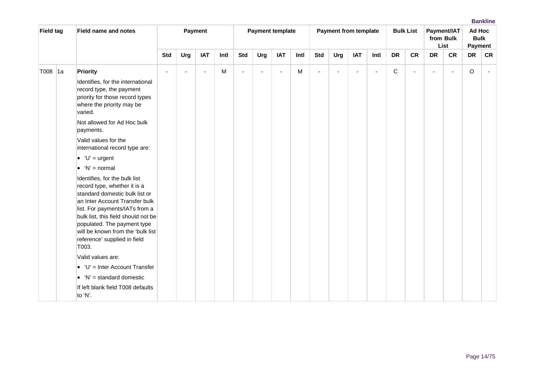| <b>Field tag</b> |     | <b>Field name and notes</b>                                                                                                                                                                                                                                                                                             |                |                          | Payment        |      |                |                          | <b>Payment template</b> |      |            |                | <b>Payment from template</b> |                |             | <b>Bulk List</b> |           | Payment/IAT<br>from Bulk<br>List | Ad Hoc<br><b>Bulk</b><br>Payment |                |
|------------------|-----|-------------------------------------------------------------------------------------------------------------------------------------------------------------------------------------------------------------------------------------------------------------------------------------------------------------------------|----------------|--------------------------|----------------|------|----------------|--------------------------|-------------------------|------|------------|----------------|------------------------------|----------------|-------------|------------------|-----------|----------------------------------|----------------------------------|----------------|
|                  |     |                                                                                                                                                                                                                                                                                                                         | <b>Std</b>     | Urg                      | <b>IAT</b>     | Intl | <b>Std</b>     | Urg                      | <b>IAT</b>              | Intl | <b>Std</b> | Urg            | <b>IAT</b>                   | Intl           | <b>DR</b>   | <b>CR</b>        | <b>DR</b> | <b>CR</b>                        | <b>DR</b>                        | <b>CR</b>      |
| T008             | ∣1a | Priority<br>Identifies, for the international<br>record type, the payment<br>priority for those record types<br>where the priority may be<br>varied.                                                                                                                                                                    | $\blacksquare$ | $\overline{\phantom{a}}$ | $\blacksquare$ | M    | $\blacksquare$ | $\overline{\phantom{a}}$ | $\blacksquare$          | M    |            | $\blacksquare$ | $\overline{\phantom{a}}$     | $\blacksquare$ | $\mathsf C$ | $\blacksquare$   | ÷         | $\overline{\phantom{a}}$         | O                                | $\blacksquare$ |
|                  |     | Not allowed for Ad Hoc bulk<br>payments.                                                                                                                                                                                                                                                                                |                |                          |                |      |                |                          |                         |      |            |                |                              |                |             |                  |           |                                  |                                  |                |
|                  |     | Valid values for the<br>international record type are:                                                                                                                                                                                                                                                                  |                |                          |                |      |                |                          |                         |      |            |                |                              |                |             |                  |           |                                  |                                  |                |
|                  |     | $\bullet$ 'U' = urgent                                                                                                                                                                                                                                                                                                  |                |                          |                |      |                |                          |                         |      |            |                |                              |                |             |                  |           |                                  |                                  |                |
|                  |     | $\bullet$ 'N' = normal                                                                                                                                                                                                                                                                                                  |                |                          |                |      |                |                          |                         |      |            |                |                              |                |             |                  |           |                                  |                                  |                |
|                  |     | Identifies, for the bulk list<br>record type, whether it is a<br>standard domestic bulk list or<br>an Inter Account Transfer bulk<br>list. For payments/IATs from a<br>bulk list, this field should not be<br>populated. The payment type<br>will be known from the 'bulk list<br>reference' supplied in field<br>T003. |                |                          |                |      |                |                          |                         |      |            |                |                              |                |             |                  |           |                                  |                                  |                |
|                  |     | Valid values are:                                                                                                                                                                                                                                                                                                       |                |                          |                |      |                |                          |                         |      |            |                |                              |                |             |                  |           |                                  |                                  |                |
|                  |     | $\bullet$ 'U' = Inter Account Transfer                                                                                                                                                                                                                                                                                  |                |                          |                |      |                |                          |                         |      |            |                |                              |                |             |                  |           |                                  |                                  |                |
|                  |     | $\bullet$ 'N' = standard domestic                                                                                                                                                                                                                                                                                       |                |                          |                |      |                |                          |                         |      |            |                |                              |                |             |                  |           |                                  |                                  |                |
|                  |     | If left blank field T008 defaults<br>to 'N'.                                                                                                                                                                                                                                                                            |                |                          |                |      |                |                          |                         |      |            |                |                              |                |             |                  |           |                                  |                                  |                |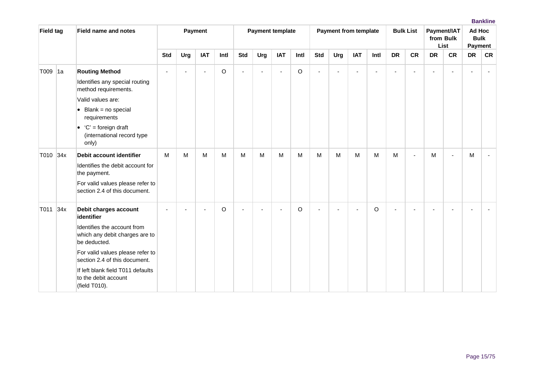| <b>Field tag</b> |     | <b>Field name and notes</b>                                                                                                                                                                                                                                             |            |                | Payment                  |         |                | <b>Payment template</b> |            |         |                | <b>Payment from template</b> |                |                          |           | <b>Bulk List</b> |           | Payment/IAT<br>from Bulk<br>List | Ad Hoc<br><b>Bulk</b> | Payment   |
|------------------|-----|-------------------------------------------------------------------------------------------------------------------------------------------------------------------------------------------------------------------------------------------------------------------------|------------|----------------|--------------------------|---------|----------------|-------------------------|------------|---------|----------------|------------------------------|----------------|--------------------------|-----------|------------------|-----------|----------------------------------|-----------------------|-----------|
|                  |     |                                                                                                                                                                                                                                                                         | <b>Std</b> | Urg            | <b>IAT</b>               | Intl    | <b>Std</b>     | Urg                     | <b>IAT</b> | Intl    | <b>Std</b>     | Urg                          | <b>IAT</b>     | Intl                     | <b>DR</b> | <b>CR</b>        | <b>DR</b> | <b>CR</b>                        | <b>DR</b>             | <b>CR</b> |
| T009 1a          |     | <b>Routing Method</b><br>Identifies any special routing<br>method requirements.                                                                                                                                                                                         | $\sim$     | $\overline{a}$ | $\overline{\phantom{a}}$ | $\circ$ | $\overline{a}$ | $\sim$                  | ÷          | $\circ$ | $\overline{a}$ | $\overline{a}$               | $\blacksquare$ | $\overline{\phantom{a}}$ | $\sim$    | ÷,               | $\sim$    |                                  |                       |           |
|                  |     | Valid values are:<br>$\bullet$ Blank = no special<br>requirements                                                                                                                                                                                                       |            |                |                          |         |                |                         |            |         |                |                              |                |                          |           |                  |           |                                  |                       |           |
|                  |     | $\bullet$ 'C' = foreign draft<br>(international record type<br>only)                                                                                                                                                                                                    |            |                |                          |         |                |                         |            |         |                |                              |                |                          |           |                  |           |                                  |                       |           |
| T010 34x         |     | Debit account identifier<br>Identifies the debit account for<br>the payment.<br>For valid values please refer to<br>section 2.4 of this document.                                                                                                                       | M          | М              | M                        | M       | M              | M                       | M          | M       | M              | м                            | M              | M                        | M         | ÷,               | M         | $\overline{a}$                   | M                     |           |
| T011             | 34x | Debit charges account<br>identifier<br>Identifies the account from<br>which any debit charges are to<br>be deducted.<br>For valid values please refer to<br>section 2.4 of this document.<br>If left blank field T011 defaults<br>to the debit account<br>(field T010). |            |                |                          | $\circ$ |                |                         |            | $\circ$ |                |                              |                | O                        |           |                  |           |                                  |                       |           |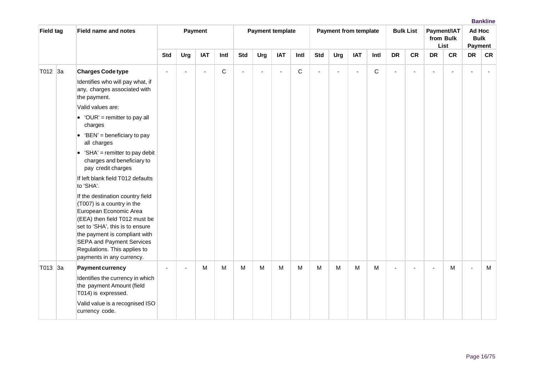| <b>Field tag</b> | <b>Field name and notes</b>                                                                                                                                                                                                                                                                    |                |                | Payment                  |      |            | <b>Payment template</b> |            |              |            | <b>Payment from template</b> |                |              |                | <b>Bulk List</b> |                          | Payment/IAT<br>from Bulk<br>List | Ad Hoc<br><b>Bulk</b><br><b>Payment</b> |           |
|------------------|------------------------------------------------------------------------------------------------------------------------------------------------------------------------------------------------------------------------------------------------------------------------------------------------|----------------|----------------|--------------------------|------|------------|-------------------------|------------|--------------|------------|------------------------------|----------------|--------------|----------------|------------------|--------------------------|----------------------------------|-----------------------------------------|-----------|
|                  |                                                                                                                                                                                                                                                                                                | <b>Std</b>     | Urg            | <b>IAT</b>               | Intl | <b>Std</b> | Urg                     | <b>IAT</b> | Intl         | <b>Std</b> | Urg                          | <b>IAT</b>     | Intl         | <b>DR</b>      | <b>CR</b>        | <b>DR</b>                | <b>CR</b>                        | <b>DR</b>                               | <b>CR</b> |
| T012 3a          | <b>Charges Code type</b>                                                                                                                                                                                                                                                                       |                | $\blacksquare$ | $\overline{\phantom{a}}$ | С    |            |                         |            | $\mathsf{C}$ |            |                              | $\overline{a}$ | $\mathsf{C}$ | $\sim$         |                  |                          |                                  |                                         |           |
|                  | Identifies who will pay what, if<br>any, charges associated with<br>the payment.                                                                                                                                                                                                               |                |                |                          |      |            |                         |            |              |            |                              |                |              |                |                  |                          |                                  |                                         |           |
|                  | Valid values are:                                                                                                                                                                                                                                                                              |                |                |                          |      |            |                         |            |              |            |                              |                |              |                |                  |                          |                                  |                                         |           |
|                  | • 'OUR' = remitter to pay all<br>charges                                                                                                                                                                                                                                                       |                |                |                          |      |            |                         |            |              |            |                              |                |              |                |                  |                          |                                  |                                         |           |
|                  | • 'BEN' = beneficiary to pay<br>all charges                                                                                                                                                                                                                                                    |                |                |                          |      |            |                         |            |              |            |                              |                |              |                |                  |                          |                                  |                                         |           |
|                  | • 'SHA' = remitter to pay debit<br>charges and beneficiary to<br>pay credit charges                                                                                                                                                                                                            |                |                |                          |      |            |                         |            |              |            |                              |                |              |                |                  |                          |                                  |                                         |           |
|                  | If left blank field T012 defaults<br>to 'SHA'.                                                                                                                                                                                                                                                 |                |                |                          |      |            |                         |            |              |            |                              |                |              |                |                  |                          |                                  |                                         |           |
|                  | If the destination country field<br>(T007) is a country in the<br>European Economic Area<br>(EEA) then field T012 must be<br>set to 'SHA', this is to ensure<br>the payment is compliant with<br><b>SEPA and Payment Services</b><br>Regulations. This applies to<br>payments in any currency. |                |                |                          |      |            |                         |            |              |            |                              |                |              |                |                  |                          |                                  |                                         |           |
| $T013$ 3a        | <b>Payment currency</b><br>Identifies the currency in which<br>the payment Amount (field<br>T014) is expressed.<br>Valid value is a recognised ISO<br>currency code.                                                                                                                           | $\blacksquare$ | $\blacksquare$ | M                        | M    | M          | M                       | M          | M            | М          | M                            | М              | M            | $\blacksquare$ |                  | $\overline{\phantom{a}}$ | M                                |                                         | M         |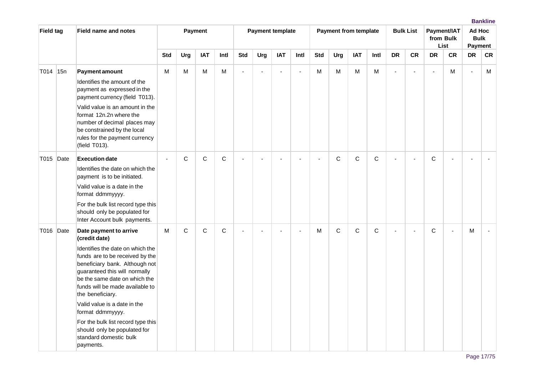| <b>Field tag</b> |     | <b>Field name and notes</b>                                                                                                                                                                                                    |                |              | Payment      |              |                | <b>Payment template</b>  |                |                          |                | <b>Payment from template</b> |              |              |                | <b>Bulk List</b> |                | Payment/IAT<br>from Bulk<br>List | Ad Hoc<br><b>Bulk</b><br><b>Payment</b> |           |
|------------------|-----|--------------------------------------------------------------------------------------------------------------------------------------------------------------------------------------------------------------------------------|----------------|--------------|--------------|--------------|----------------|--------------------------|----------------|--------------------------|----------------|------------------------------|--------------|--------------|----------------|------------------|----------------|----------------------------------|-----------------------------------------|-----------|
|                  |     |                                                                                                                                                                                                                                | <b>Std</b>     | Urg          | <b>IAT</b>   | Intl         | <b>Std</b>     | Urg                      | <b>IAT</b>     | Intl                     | <b>Std</b>     | Urg                          | <b>IAT</b>   | Intl         | <b>DR</b>      | <b>CR</b>        | <b>DR</b>      | <b>CR</b>                        | <b>DR</b>                               | <b>CR</b> |
| T014             | 15n | <b>Payment amount</b><br>Identifies the amount of the<br>payment as expressed in the<br>payment currency (field T013).                                                                                                         | M              | M            | M            | ${\sf M}$    | ä,             | $\blacksquare$           | $\blacksquare$ | ä,                       | M              | M                            | M            | M            | $\blacksquare$ | L,               | $\blacksquare$ | M                                | $\sim$                                  | M         |
|                  |     | Valid value is an amount in the<br>format 12n.2n where the<br>number of decimal places may<br>be constrained by the local<br>rules for the payment currency<br>(field T013).                                                   |                |              |              |              |                |                          |                |                          |                |                              |              |              |                |                  |                |                                  |                                         |           |
| T015 Date        |     | <b>Execution date</b>                                                                                                                                                                                                          | $\blacksquare$ | $\mathsf{C}$ | $\mathsf{C}$ | $\mathsf{C}$ | $\blacksquare$ | $\overline{\phantom{a}}$ | $\overline{a}$ | $\overline{\phantom{a}}$ | $\blacksquare$ | $\mathsf{C}$                 | $\mathsf{C}$ | $\mathsf{C}$ | $\blacksquare$ | ä,               | $\mathsf{C}$   | $\blacksquare$                   | $\overline{\phantom{a}}$                |           |
|                  |     | Identifies the date on which the<br>payment is to be initiated.                                                                                                                                                                |                |              |              |              |                |                          |                |                          |                |                              |              |              |                |                  |                |                                  |                                         |           |
|                  |     | Valid value is a date in the<br>format ddmmyyyy.                                                                                                                                                                               |                |              |              |              |                |                          |                |                          |                |                              |              |              |                |                  |                |                                  |                                         |           |
|                  |     | For the bulk list record type this<br>should only be populated for<br>Inter Account bulk payments.                                                                                                                             |                |              |              |              |                |                          |                |                          |                |                              |              |              |                |                  |                |                                  |                                         |           |
| T016 Date        |     | Date payment to arrive<br>(credit date)                                                                                                                                                                                        | M              | C            | $\mathsf C$  | $\mathbf C$  | Ē,             | $\overline{\phantom{a}}$ |                | ÷,                       | M              | $\mathsf{C}$                 | $\mathsf C$  | $\mathsf{C}$ | $\blacksquare$ | ÷,               | $\mathsf{C}$   |                                  | M                                       |           |
|                  |     | Identifies the date on which the<br>funds are to be received by the<br>beneficiary bank. Although not<br>guaranteed this will normally<br>be the same date on which the<br>funds will be made available to<br>the beneficiary. |                |              |              |              |                |                          |                |                          |                |                              |              |              |                |                  |                |                                  |                                         |           |
|                  |     | Valid value is a date in the<br>format ddmmyyyy.                                                                                                                                                                               |                |              |              |              |                |                          |                |                          |                |                              |              |              |                |                  |                |                                  |                                         |           |
|                  |     | For the bulk list record type this<br>should only be populated for<br>standard domestic bulk<br>payments.                                                                                                                      |                |              |              |              |                |                          |                |                          |                |                              |              |              |                |                  |                |                                  |                                         |           |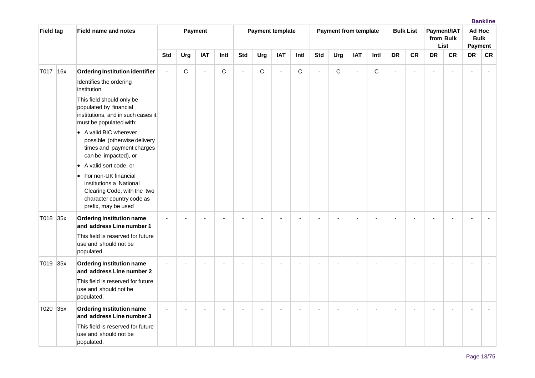| <b>Field tag</b> |     | <b>Field name and notes</b>                                                                                                               |                |             | Payment    |                |            | <b>Payment template</b> |                |      |                |             | <b>Payment from template</b> |             |                | <b>Bulk List</b> |           | Payment/IAT<br>from Bulk<br>List | Ad Hoc<br><b>Bulk</b><br>Payment |           |
|------------------|-----|-------------------------------------------------------------------------------------------------------------------------------------------|----------------|-------------|------------|----------------|------------|-------------------------|----------------|------|----------------|-------------|------------------------------|-------------|----------------|------------------|-----------|----------------------------------|----------------------------------|-----------|
|                  |     |                                                                                                                                           | <b>Std</b>     | Urg         | <b>IAT</b> | Intl           | <b>Std</b> | Urg                     | <b>IAT</b>     | Intl | <b>Std</b>     | Urg         | <b>IAT</b>                   | Intl        | <b>DR</b>      | <b>CR</b>        | <b>DR</b> | <b>CR</b>                        | <b>DR</b>                        | <b>CR</b> |
| T017             | 16x | Ordering Institution identifier                                                                                                           | $\overline{a}$ | $\mathsf C$ | $\sim$     | $\mathsf C$    | L.         | $\mathsf C$             | $\overline{a}$ | C    | $\overline{a}$ | $\mathsf C$ | $\overline{a}$               | $\mathsf C$ | $\overline{a}$ |                  |           |                                  |                                  |           |
|                  |     | Identifies the ordering<br>institution.                                                                                                   |                |             |            |                |            |                         |                |      |                |             |                              |             |                |                  |           |                                  |                                  |           |
|                  |     | This field should only be<br>populated by financial<br>institutions, and in such cases it<br>must be populated with:                      |                |             |            |                |            |                         |                |      |                |             |                              |             |                |                  |           |                                  |                                  |           |
|                  |     | • A valid BIC wherever<br>possible (otherwise delivery<br>times and payment charges<br>can be impacted), or                               |                |             |            |                |            |                         |                |      |                |             |                              |             |                |                  |           |                                  |                                  |           |
|                  |     | A valid sort code, or<br>$\bullet$                                                                                                        |                |             |            |                |            |                         |                |      |                |             |                              |             |                |                  |           |                                  |                                  |           |
|                  |     | • For non-UK financial<br>institutions a National<br>Clearing Code, with the two<br>character country code as<br>prefix, may be used      |                |             |            |                |            |                         |                |      |                |             |                              |             |                |                  |           |                                  |                                  |           |
| T018 35x         |     | <b>Ordering Institution name</b><br>and address Line number 1                                                                             |                |             |            |                |            |                         |                |      |                |             |                              |             |                |                  |           |                                  |                                  |           |
|                  |     | This field is reserved for future<br>use and should not be<br>populated.                                                                  |                |             |            |                |            |                         |                |      |                |             |                              |             |                |                  |           |                                  |                                  |           |
| T019 35x         |     | <b>Ordering Institution name</b><br>and address Line number 2                                                                             |                |             |            |                |            |                         |                |      |                |             |                              |             |                |                  |           |                                  |                                  |           |
|                  |     | This field is reserved for future<br>use and should not be<br>populated.                                                                  |                |             |            |                |            |                         |                |      |                |             |                              |             |                |                  |           |                                  |                                  |           |
| T020             | 35x | <b>Ordering Institution name</b><br>and address Line number 3<br>This field is reserved for future<br>use and should not be<br>populated. |                |             |            | $\blacksquare$ |            |                         |                |      | $\blacksquare$ |             | $\overline{\phantom{a}}$     |             | ÷              |                  |           |                                  |                                  |           |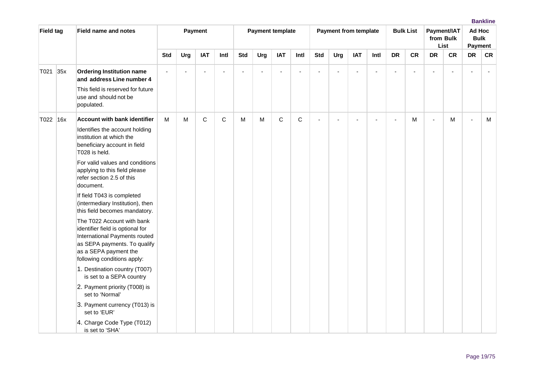| <b>Field tag</b> |     | <b>Field name and notes</b>                                                                                                                                                             |     |     | Payment    |      |            | <b>Payment template</b> |            |      |            | <b>Payment from template</b> |                          |                          |                | <b>Bulk List</b> |                          | Payment/IAT<br>from Bulk<br>List | Ad Hoc<br><b>Bulk</b><br>Payment |           |
|------------------|-----|-----------------------------------------------------------------------------------------------------------------------------------------------------------------------------------------|-----|-----|------------|------|------------|-------------------------|------------|------|------------|------------------------------|--------------------------|--------------------------|----------------|------------------|--------------------------|----------------------------------|----------------------------------|-----------|
|                  |     |                                                                                                                                                                                         | Std | Urg | <b>IAT</b> | Intl | <b>Std</b> | Urg                     | <b>IAT</b> | Intl | <b>Std</b> | Urg                          | <b>IAT</b>               | Intl                     | <b>DR</b>      | <b>CR</b>        | <b>DR</b>                | <b>CR</b>                        | <b>DR</b>                        | <b>CR</b> |
| T021             | 35x | <b>Ordering Institution name</b><br>and address Line number 4<br>This field is reserved for future<br>use and should not be<br>populated.                                               |     |     |            | ä,   |            | ÷,                      |            |      |            |                              | $\overline{\phantom{a}}$ |                          | ÷,             |                  | $\overline{\phantom{a}}$ |                                  |                                  |           |
| T022 16x         |     | <b>Account with bank identifier</b><br>Identifies the account holding<br>institution at which the<br>beneficiary account in field<br>T028 is held.                                      | м   | м   | C          | C    | м          | M                       | C          | C    |            | ٠                            | $\overline{a}$           | $\overline{\phantom{a}}$ | $\blacksquare$ | м                | ÷,                       | м                                | $\overline{a}$                   | м         |
|                  |     | For valid values and conditions<br>applying to this field please<br>refer section 2.5 of this<br>document.                                                                              |     |     |            |      |            |                         |            |      |            |                              |                          |                          |                |                  |                          |                                  |                                  |           |
|                  |     | If field T043 is completed<br>(intermediary Institution), then<br>this field becomes mandatory.                                                                                         |     |     |            |      |            |                         |            |      |            |                              |                          |                          |                |                  |                          |                                  |                                  |           |
|                  |     | The T022 Account with bank<br>identifier field is optional for<br>International Payments routed<br>as SEPA payments. To qualify<br>as a SEPA payment the<br>following conditions apply: |     |     |            |      |            |                         |            |      |            |                              |                          |                          |                |                  |                          |                                  |                                  |           |
|                  |     | 1. Destination country (T007)<br>is set to a SEPA country                                                                                                                               |     |     |            |      |            |                         |            |      |            |                              |                          |                          |                |                  |                          |                                  |                                  |           |
|                  |     | 2. Payment priority (T008) is<br>set to 'Normal'                                                                                                                                        |     |     |            |      |            |                         |            |      |            |                              |                          |                          |                |                  |                          |                                  |                                  |           |
|                  |     | 3. Payment currency (T013) is<br>set to 'EUR'                                                                                                                                           |     |     |            |      |            |                         |            |      |            |                              |                          |                          |                |                  |                          |                                  |                                  |           |
|                  |     | 4. Charge Code Type (T012)<br>is set to 'SHA'                                                                                                                                           |     |     |            |      |            |                         |            |      |            |                              |                          |                          |                |                  |                          |                                  |                                  |           |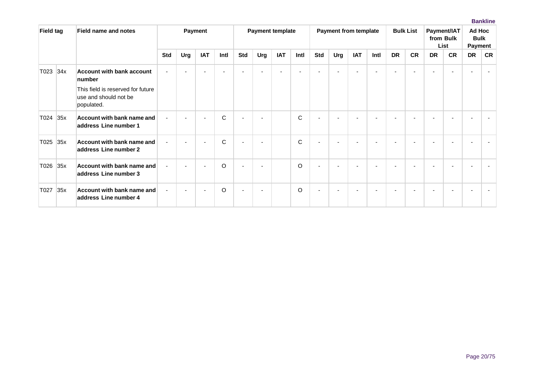| <b>Field tag</b> |     | <b>Field name and notes</b>                                              |            |     | <b>Payment</b> |              |                          |                          | <b>Payment template</b> |              |            | <b>Payment from template</b> |                          |      |           | <b>Bulk List</b> |                | Payment/IAT<br>from Bulk<br>List | Ad Hoc<br><b>Bulk</b><br><b>Payment</b> |                          |
|------------------|-----|--------------------------------------------------------------------------|------------|-----|----------------|--------------|--------------------------|--------------------------|-------------------------|--------------|------------|------------------------------|--------------------------|------|-----------|------------------|----------------|----------------------------------|-----------------------------------------|--------------------------|
|                  |     |                                                                          | <b>Std</b> | Urg | <b>IAT</b>     | Intl         | <b>Std</b>               | Urg                      | <b>IAT</b>              | Intl         | <b>Std</b> | Urg                          | <b>IAT</b>               | Intl | <b>DR</b> | <b>CR</b>        | <b>DR</b>      | <b>CR</b>                        | <b>DR</b>                               | <b>CR</b>                |
| T023 34x         |     | <b>Account with bank account</b><br>number                               |            |     |                |              |                          | $\overline{\phantom{a}}$ |                         |              |            |                              | $\overline{\phantom{0}}$ |      |           |                  | $\blacksquare$ |                                  |                                         | $\overline{\phantom{a}}$ |
|                  |     | This field is reserved for future<br>use and should not be<br>populated. |            |     |                |              |                          |                          |                         |              |            |                              |                          |      |           |                  |                |                                  |                                         |                          |
| T024             | 35x | Account with bank name and<br>address Line number 1                      |            |     |                | $\mathbf C$  | $\overline{\phantom{0}}$ |                          |                         | $\mathsf{C}$ |            |                              |                          |      |           |                  |                |                                  |                                         |                          |
| T025             | 35x | Account with bank name and<br>address Line number 2                      |            |     |                | $\mathsf{C}$ |                          | $\overline{\phantom{a}}$ |                         | C            |            |                              |                          |      |           |                  |                |                                  |                                         |                          |
| T026             | 35x | Account with bank name and<br>address Line number 3                      |            |     |                | $\circ$      | ٠                        | $\overline{\phantom{a}}$ |                         | $\circ$      |            |                              |                          |      |           |                  |                |                                  |                                         |                          |
| T027             | 35x | Account with bank name and<br>address Line number 4                      |            |     | -              | $\circ$      | $\blacksquare$           | $\overline{\phantom{a}}$ |                         | $\circ$      |            |                              |                          |      |           |                  |                |                                  |                                         |                          |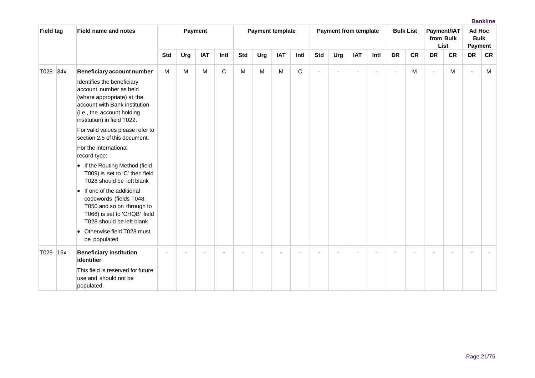| <b>Field tag</b> |     | <b>Field name and notes</b>                                                                                                                                                                                                                                                                                                                                                                                                                                                                                                                                                                                             |            |     | Payment    |             |            | <b>Payment template</b> |            |              |                | <b>Payment from template</b> |            |                          |                          | <b>Bulk List</b> |           | Payment/IAT<br>from Bulk<br>List | Ad Hoc<br><b>Bulk</b><br>Payment |           |
|------------------|-----|-------------------------------------------------------------------------------------------------------------------------------------------------------------------------------------------------------------------------------------------------------------------------------------------------------------------------------------------------------------------------------------------------------------------------------------------------------------------------------------------------------------------------------------------------------------------------------------------------------------------------|------------|-----|------------|-------------|------------|-------------------------|------------|--------------|----------------|------------------------------|------------|--------------------------|--------------------------|------------------|-----------|----------------------------------|----------------------------------|-----------|
|                  |     |                                                                                                                                                                                                                                                                                                                                                                                                                                                                                                                                                                                                                         | <b>Std</b> | Urg | <b>IAT</b> | Intl        | <b>Std</b> | Urg                     | <b>IAT</b> | Intl         | <b>Std</b>     | Urg                          | <b>IAT</b> | Intl                     | <b>DR</b>                | <b>CR</b>        | <b>DR</b> | <b>CR</b>                        | <b>DR</b>                        | <b>CR</b> |
| T028 34x         |     | Beneficiary account number<br>Identifies the beneficiary<br>account number as held<br>(where appropriate) at the<br>account with Bank institution<br>(i.e., the account holding<br>institution) in field T022.<br>For valid values please refer to<br>section 2.5 of this document.<br>For the international<br>record type:<br>• If the Routing Method (field<br>T009) is set to 'C' then field<br>T028 should be left blank<br>$\bullet$ If one of the additional<br>codewords (fields T048,<br>T050 and so on through to<br>T066) is set to 'CHQB' field<br>T028 should be left blank<br>• Otherwise field T028 must | M          | М   | M          | $\mathsf C$ | M          | M                       | M          | $\mathsf{C}$ | $\overline{a}$ |                              | $\sim$     | $\overline{\phantom{a}}$ | $\overline{\phantom{a}}$ | М                | $\sim$    | M                                | $\overline{\phantom{a}}$         | M         |
|                  |     | be populated                                                                                                                                                                                                                                                                                                                                                                                                                                                                                                                                                                                                            |            |     |            |             |            |                         |            |              |                |                              |            |                          |                          |                  |           |                                  |                                  |           |
| T029             | 16x | <b>Beneficiary institution</b><br>identifier<br>This field is reserved for future<br>use and should not be<br>populated.                                                                                                                                                                                                                                                                                                                                                                                                                                                                                                |            |     |            |             |            |                         |            |              |                |                              |            |                          |                          |                  |           |                                  |                                  |           |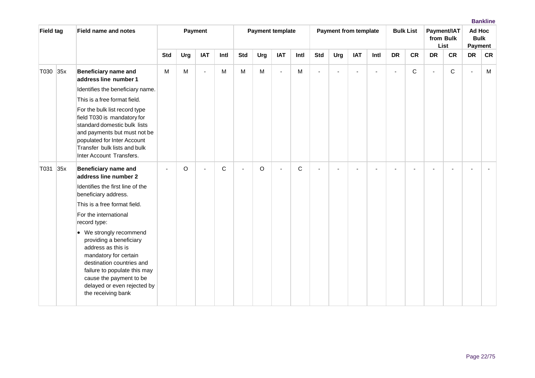| <b>Field tag</b> |     | <b>Field name and notes</b>                                                                                                                                                                                                                    |            |     | Payment        |             |            | <b>Payment template</b> |                |              |            | <b>Payment from template</b> |                |      |           | <b>Bulk List</b> |           | Payment/IAT<br>from Bulk<br>List | Ad Hoc<br><b>Bulk</b><br>Payment |           |
|------------------|-----|------------------------------------------------------------------------------------------------------------------------------------------------------------------------------------------------------------------------------------------------|------------|-----|----------------|-------------|------------|-------------------------|----------------|--------------|------------|------------------------------|----------------|------|-----------|------------------|-----------|----------------------------------|----------------------------------|-----------|
|                  |     |                                                                                                                                                                                                                                                | <b>Std</b> | Urg | <b>IAT</b>     | Intl        | <b>Std</b> | Urg                     | <b>IAT</b>     | Intl         | <b>Std</b> | Urg                          | <b>IAT</b>     | Intl | <b>DR</b> | <b>CR</b>        | <b>DR</b> | <b>CR</b>                        | <b>DR</b>                        | <b>CR</b> |
| T030             | 35x | <b>Beneficiary name and</b><br>address line number 1                                                                                                                                                                                           | M          | M   | $\overline{a}$ | M           | M          | M                       | $\overline{a}$ | M            | ٠          |                              | $\overline{a}$ | ٠    | $\sim$    | C                | $\sim$    | C                                |                                  | M         |
|                  |     | Identifies the beneficiary name.                                                                                                                                                                                                               |            |     |                |             |            |                         |                |              |            |                              |                |      |           |                  |           |                                  |                                  |           |
|                  |     | This is a free format field.                                                                                                                                                                                                                   |            |     |                |             |            |                         |                |              |            |                              |                |      |           |                  |           |                                  |                                  |           |
|                  |     | For the bulk list record type<br>field T030 is mandatory for<br>standard domestic bulk lists<br>and payments but must not be<br>populated for Inter Account<br>Transfer bulk lists and bulk<br>Inter Account Transfers.                        |            |     |                |             |            |                         |                |              |            |                              |                |      |           |                  |           |                                  |                                  |           |
| T031             | 35x | <b>Beneficiary name and</b><br>address line number 2                                                                                                                                                                                           |            | O   | $\blacksquare$ | $\mathbf C$ | ÷,         | $\circ$                 | $\blacksquare$ | $\mathsf{C}$ |            |                              |                |      |           |                  | ٠         |                                  |                                  |           |
|                  |     | Identifies the first line of the<br>beneficiary address.                                                                                                                                                                                       |            |     |                |             |            |                         |                |              |            |                              |                |      |           |                  |           |                                  |                                  |           |
|                  |     | This is a free format field.                                                                                                                                                                                                                   |            |     |                |             |            |                         |                |              |            |                              |                |      |           |                  |           |                                  |                                  |           |
|                  |     | For the international<br>record type:                                                                                                                                                                                                          |            |     |                |             |            |                         |                |              |            |                              |                |      |           |                  |           |                                  |                                  |           |
|                  |     | • We strongly recommend<br>providing a beneficiary<br>address as this is<br>mandatory for certain<br>destination countries and<br>failure to populate this may<br>cause the payment to be<br>delayed or even rejected by<br>the receiving bank |            |     |                |             |            |                         |                |              |            |                              |                |      |           |                  |           |                                  |                                  |           |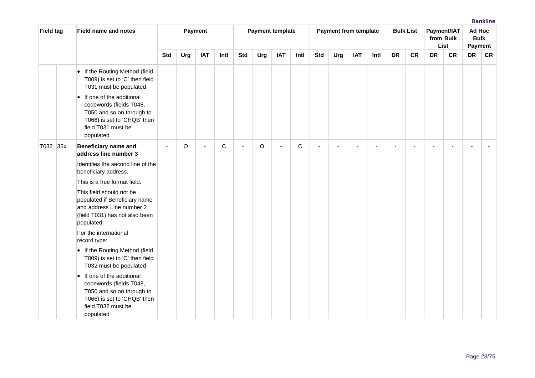| <b>Field tag</b> | <b>Field name and notes</b>                                                                                                                                                                                                                        |            |     | Payment        |      |            |     | <b>Payment template</b> |      |            | <b>Payment from template</b> |            |      |           | <b>Bulk List</b> |           | Payment/IAT<br>from Bulk<br>List | Ad Hoc<br><b>Bulk</b><br>Payment |           |
|------------------|----------------------------------------------------------------------------------------------------------------------------------------------------------------------------------------------------------------------------------------------------|------------|-----|----------------|------|------------|-----|-------------------------|------|------------|------------------------------|------------|------|-----------|------------------|-----------|----------------------------------|----------------------------------|-----------|
|                  |                                                                                                                                                                                                                                                    | <b>Std</b> | Urg | <b>IAT</b>     | Intl | <b>Std</b> | Urg | <b>IAT</b>              | Intl | <b>Std</b> | Urg                          | <b>IAT</b> | Intl | <b>DR</b> | <b>CR</b>        | <b>DR</b> | <b>CR</b>                        | <b>DR</b>                        | <b>CR</b> |
|                  | • If the Routing Method (field<br>T009) is set to 'C' then field<br>T031 must be populated<br>• If one of the additional<br>codewords (fields T048,<br>T050 and so on through to<br>T066) is set to 'CHQB' then<br>field T031 must be<br>populated |            |     |                |      |            |     |                         |      |            |                              |            |      |           |                  |           |                                  |                                  |           |
| T032 35x         | <b>Beneficiary name and</b><br>address line number 3                                                                                                                                                                                               |            | O   | $\overline{a}$ | C    | ÷,         | O   |                         | C    |            |                              |            |      | ÷         |                  |           |                                  |                                  |           |
|                  | Identifies the second line of the<br>beneficiary address.                                                                                                                                                                                          |            |     |                |      |            |     |                         |      |            |                              |            |      |           |                  |           |                                  |                                  |           |
|                  | This is a free format field.                                                                                                                                                                                                                       |            |     |                |      |            |     |                         |      |            |                              |            |      |           |                  |           |                                  |                                  |           |
|                  | This field should not be<br>populated if Beneficiary name<br>and address Line number 2<br>(field T031) has not also been<br>populated.                                                                                                             |            |     |                |      |            |     |                         |      |            |                              |            |      |           |                  |           |                                  |                                  |           |
|                  | For the international<br>record type:                                                                                                                                                                                                              |            |     |                |      |            |     |                         |      |            |                              |            |      |           |                  |           |                                  |                                  |           |
|                  | • If the Routing Method (field<br>T009) is set to 'C' then field<br>T032 must be populated                                                                                                                                                         |            |     |                |      |            |     |                         |      |            |                              |            |      |           |                  |           |                                  |                                  |           |
|                  | • If one of the additional<br>codewords (fields T048,<br>T050 and so on through to<br>T066) is set to 'CHQB' then<br>field T032 must be<br>populated                                                                                               |            |     |                |      |            |     |                         |      |            |                              |            |      |           |                  |           |                                  |                                  |           |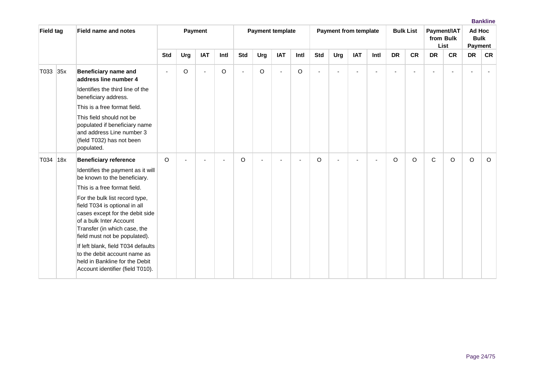| <b>Field tag</b> |     | <b>Field name and notes</b>                                                                                                                                                                                                                                                                                                                |            |         | Payment    |         |            |         | <b>Payment template</b> |         |            | <b>Payment from template</b> |            |      |           | <b>Bulk List</b> |              | Payment/IAT<br>from Bulk<br>List | Ad Hoc    | <b>Bulk</b><br>Payment |
|------------------|-----|--------------------------------------------------------------------------------------------------------------------------------------------------------------------------------------------------------------------------------------------------------------------------------------------------------------------------------------------|------------|---------|------------|---------|------------|---------|-------------------------|---------|------------|------------------------------|------------|------|-----------|------------------|--------------|----------------------------------|-----------|------------------------|
|                  |     |                                                                                                                                                                                                                                                                                                                                            | <b>Std</b> | Urg     | <b>IAT</b> | Intl    | <b>Std</b> | Urg     | <b>IAT</b>              | Intl    | <b>Std</b> | Urg                          | <b>IAT</b> | Intl | <b>DR</b> | <b>CR</b>        | <b>DR</b>    | <b>CR</b>                        | <b>DR</b> | <b>CR</b>              |
| T033 35x         |     | <b>Beneficiary name and</b><br>address line number 4                                                                                                                                                                                                                                                                                       |            | $\circ$ | ÷,         | $\circ$ | ÷,         | $\circ$ |                         | $\circ$ |            |                              |            |      |           |                  |              |                                  |           |                        |
|                  |     | Identifies the third line of the<br>beneficiary address.                                                                                                                                                                                                                                                                                   |            |         |            |         |            |         |                         |         |            |                              |            |      |           |                  |              |                                  |           |                        |
|                  |     | This is a free format field.                                                                                                                                                                                                                                                                                                               |            |         |            |         |            |         |                         |         |            |                              |            |      |           |                  |              |                                  |           |                        |
|                  |     | This field should not be<br>populated if beneficiary name<br>and address Line number 3<br>(field T032) has not been<br>populated.                                                                                                                                                                                                          |            |         |            |         |            |         |                         |         |            |                              |            |      |           |                  |              |                                  |           |                        |
| T034             | 18x | <b>Beneficiary reference</b>                                                                                                                                                                                                                                                                                                               | O          |         |            |         | O          |         |                         |         | O          |                              |            |      | O         | $\Omega$         | $\mathsf{C}$ | O                                | $\circ$   | $\circ$                |
|                  |     | Identifies the payment as it will<br>be known to the beneficiary.                                                                                                                                                                                                                                                                          |            |         |            |         |            |         |                         |         |            |                              |            |      |           |                  |              |                                  |           |                        |
|                  |     | This is a free format field.                                                                                                                                                                                                                                                                                                               |            |         |            |         |            |         |                         |         |            |                              |            |      |           |                  |              |                                  |           |                        |
|                  |     | For the bulk list record type,<br>field T034 is optional in all<br>cases except for the debit side<br>of a bulk Inter Account<br>Transfer (in which case, the<br>field must not be populated).<br>If left blank, field T034 defaults<br>to the debit account name as<br>held in Bankline for the Debit<br>Account identifier (field T010). |            |         |            |         |            |         |                         |         |            |                              |            |      |           |                  |              |                                  |           |                        |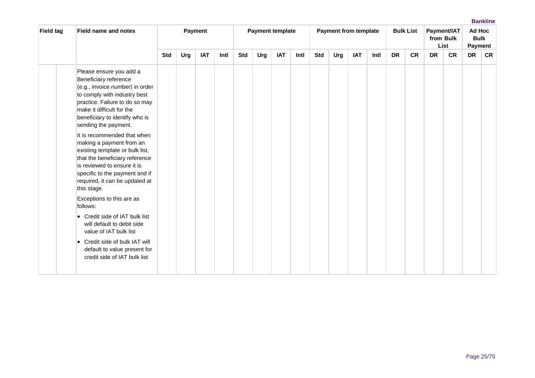| Field tag | <b>Field name and notes</b>                                                                                                                                                                                                                                                 | Payment    |     |            |      | <b>Payment template</b> |     |            |      | <b>Payment from template</b> |     |            |      | <b>Bulk List</b> |           | Payment/IAT<br>from Bulk<br>List | Ad Hoc<br><b>Bulk</b><br><b>Payment</b> |           |           |
|-----------|-----------------------------------------------------------------------------------------------------------------------------------------------------------------------------------------------------------------------------------------------------------------------------|------------|-----|------------|------|-------------------------|-----|------------|------|------------------------------|-----|------------|------|------------------|-----------|----------------------------------|-----------------------------------------|-----------|-----------|
|           |                                                                                                                                                                                                                                                                             | <b>Std</b> | Urg | <b>IAT</b> | Intl | <b>Std</b>              | Urg | <b>IAT</b> | Intl | <b>Std</b>                   | Urg | <b>IAT</b> | Intl | <b>DR</b>        | <b>CR</b> | <b>DR</b>                        | <b>CR</b>                               | <b>DR</b> | <b>CR</b> |
|           | Please ensure you add a<br>Beneficiary reference<br>(e.g., invoice number) in order<br>to comply with industry best<br>practice. Failure to do so may<br>make it difficult for the<br>beneficiary to identify who is<br>sending the payment.<br>It is recommended that when |            |     |            |      |                         |     |            |      |                              |     |            |      |                  |           |                                  |                                         |           |           |
|           | making a payment from an<br>existing template or bulk list,<br>that the beneficiary reference<br>is reviewed to ensure it is<br>specific to the payment and if<br>required, it can be updated at<br>this stage.                                                             |            |     |            |      |                         |     |            |      |                              |     |            |      |                  |           |                                  |                                         |           |           |
|           | Exceptions to this are as<br>follows:                                                                                                                                                                                                                                       |            |     |            |      |                         |     |            |      |                              |     |            |      |                  |           |                                  |                                         |           |           |
|           | • Credit side of IAT bulk list<br>will default to debit side<br>value of IAT bulk list                                                                                                                                                                                      |            |     |            |      |                         |     |            |      |                              |     |            |      |                  |           |                                  |                                         |           |           |
|           | • Credit side of bulk IAT will<br>default to value present for<br>credit side of IAT bulk list                                                                                                                                                                              |            |     |            |      |                         |     |            |      |                              |     |            |      |                  |           |                                  |                                         |           |           |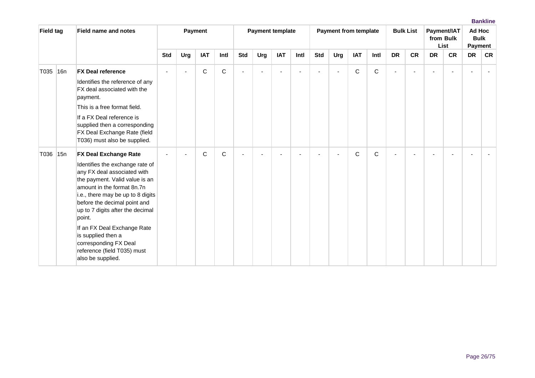| <b>Field tag</b> |                 | <b>Field name and notes</b>                                                                                                                                                                                                                                                                                                                                                                                         |            |                | Payment    |             |                |                          | <b>Payment template</b> |      |            | <b>Payment from template</b> |            |             |                          | <b>Bulk List</b> |                | Payment/IAT<br>from Bulk<br>List | Ad Hoc<br><b>Bulk</b><br>Payment |           |
|------------------|-----------------|---------------------------------------------------------------------------------------------------------------------------------------------------------------------------------------------------------------------------------------------------------------------------------------------------------------------------------------------------------------------------------------------------------------------|------------|----------------|------------|-------------|----------------|--------------------------|-------------------------|------|------------|------------------------------|------------|-------------|--------------------------|------------------|----------------|----------------------------------|----------------------------------|-----------|
|                  |                 |                                                                                                                                                                                                                                                                                                                                                                                                                     | <b>Std</b> | Urg            | <b>IAT</b> | Intl        | <b>Std</b>     | Urg                      | <b>IAT</b>              | Intl | <b>Std</b> | Urg                          | <b>IAT</b> | Intl        | <b>DR</b>                | <b>CR</b>        | <b>DR</b>      | <b>CR</b>                        | <b>DR</b>                        | <b>CR</b> |
| T035             | 16 <sub>n</sub> | <b>FX Deal reference</b><br>Identifies the reference of any<br>FX deal associated with the<br>payment.<br>This is a free format field.<br>If a FX Deal reference is<br>supplied then a corresponding<br>FX Deal Exchange Rate (field<br>T036) must also be supplied.                                                                                                                                                |            | $\blacksquare$ | C          | $\mathbf C$ | $\blacksquare$ | $\overline{\phantom{a}}$ |                         |      |            |                              | C          | $\mathsf C$ | $\overline{\phantom{0}}$ |                  | $\blacksquare$ |                                  |                                  |           |
| T036             | 15n             | <b>FX Deal Exchange Rate</b><br>Identifies the exchange rate of<br>any FX deal associated with<br>the payment. Valid value is an<br>amount in the format 8n.7n<br>i.e., there may be up to 8 digits<br>before the decimal point and<br>up to 7 digits after the decimal<br>point.<br>If an FX Deal Exchange Rate<br>is supplied then a<br>corresponding FX Deal<br>reference (field T035) must<br>also be supplied. |            |                | C          | $\mathbf C$ | ÷              |                          |                         |      |            |                              | C          | C           |                          |                  |                |                                  |                                  |           |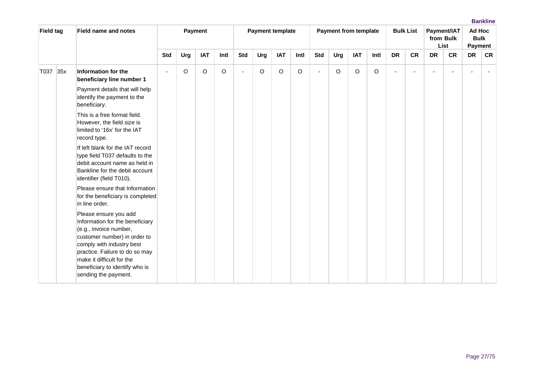| <b>Field tag</b> |     | <b>Field name and notes</b>                                                                                                                                                                                                                                              |                |     | Payment    |      |                |     | <b>Payment template</b> |      |                          | <b>Payment from template</b> |            |      |                | <b>Bulk List</b> |           | Payment/IAT<br>from Bulk<br>List | Ad Hoc<br><b>Bulk</b><br>Payment |           |
|------------------|-----|--------------------------------------------------------------------------------------------------------------------------------------------------------------------------------------------------------------------------------------------------------------------------|----------------|-----|------------|------|----------------|-----|-------------------------|------|--------------------------|------------------------------|------------|------|----------------|------------------|-----------|----------------------------------|----------------------------------|-----------|
|                  |     |                                                                                                                                                                                                                                                                          | <b>Std</b>     | Urg | <b>IAT</b> | Intl | <b>Std</b>     | Urg | <b>IAT</b>              | Intl | <b>Std</b>               | Urg                          | <b>IAT</b> | Intl | <b>DR</b>      | <b>CR</b>        | <b>DR</b> | <b>CR</b>                        | <b>DR</b>                        | <b>CR</b> |
| T037             | 35x | Information for the<br>beneficiary line number 1                                                                                                                                                                                                                         | $\blacksquare$ | O   | O          | O    | $\blacksquare$ | O   | O                       | O    | $\overline{\phantom{a}}$ | O                            | $\circ$    | O    | $\blacksquare$ |                  | ÷         |                                  |                                  |           |
|                  |     | Payment details that will help<br>identify the payment to the<br>beneficiary.                                                                                                                                                                                            |                |     |            |      |                |     |                         |      |                          |                              |            |      |                |                  |           |                                  |                                  |           |
|                  |     | This is a free format field.<br>However, the field size is<br>limited to '16x' for the IAT<br>record type.                                                                                                                                                               |                |     |            |      |                |     |                         |      |                          |                              |            |      |                |                  |           |                                  |                                  |           |
|                  |     | If left blank for the IAT record<br>type field T037 defaults to the<br>debit account name as held in<br>Bankline for the debit account<br>identifier (field T010).                                                                                                       |                |     |            |      |                |     |                         |      |                          |                              |            |      |                |                  |           |                                  |                                  |           |
|                  |     | Please ensure that Information<br>for the beneficiary is completed<br>in line order.                                                                                                                                                                                     |                |     |            |      |                |     |                         |      |                          |                              |            |      |                |                  |           |                                  |                                  |           |
|                  |     | Please ensure you add<br>Information for the beneficiary<br>(e.g., invoice number,<br>customer number) in order to<br>comply with industry best<br>practice. Failure to do so may<br>make it difficult for the<br>beneficiary to identify who is<br>sending the payment. |                |     |            |      |                |     |                         |      |                          |                              |            |      |                |                  |           |                                  |                                  |           |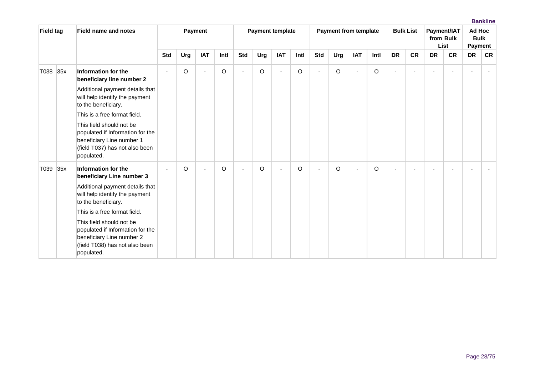| <b>Field tag</b> |     | <b>Field name and notes</b>                                                                                                               |                |     | Payment    |         |     |     | <b>Payment template</b> |         |                |         | <b>Payment from template</b> |      |                | <b>Bulk List</b> |                | Payment/IAT<br>from Bulk<br>List | Ad Hoc<br><b>Bulk</b><br><b>Payment</b> |                |
|------------------|-----|-------------------------------------------------------------------------------------------------------------------------------------------|----------------|-----|------------|---------|-----|-----|-------------------------|---------|----------------|---------|------------------------------|------|----------------|------------------|----------------|----------------------------------|-----------------------------------------|----------------|
|                  |     |                                                                                                                                           | <b>Std</b>     | Urg | <b>IAT</b> | Intl    | Std | Urg | <b>IAT</b>              | Intl    | <b>Std</b>     | Urg     | <b>IAT</b>                   | Intl | <b>DR</b>      | <b>CR</b>        | <b>DR</b>      | <b>CR</b>                        | <b>DR</b>                               | <b>CR</b>      |
| T038 35x         |     | Information for the<br>beneficiary line number 2                                                                                          | $\overline{a}$ | O   | ÷          | $\circ$ | ä,  | O   |                         | O       | $\blacksquare$ | O       | $\mathbf{r}$                 | O    | $\overline{a}$ |                  | $\blacksquare$ |                                  |                                         | $\blacksquare$ |
|                  |     | Additional payment details that<br>will help identify the payment<br>to the beneficiary.                                                  |                |     |            |         |     |     |                         |         |                |         |                              |      |                |                  |                |                                  |                                         |                |
|                  |     | This is a free format field.                                                                                                              |                |     |            |         |     |     |                         |         |                |         |                              |      |                |                  |                |                                  |                                         |                |
|                  |     | This field should not be<br>populated if Information for the<br>beneficiary Line number 1<br>(field T037) has not also been<br>populated. |                |     |            |         |     |     |                         |         |                |         |                              |      |                |                  |                |                                  |                                         |                |
| T039             | 35x | Information for the<br>beneficiary Line number 3                                                                                          | $\blacksquare$ | O   | ÷          | $\circ$ | ä,  | O   |                         | $\circ$ |                | $\circ$ | $\sim$                       | O    |                |                  |                |                                  |                                         |                |
|                  |     | Additional payment details that<br>will help identify the payment<br>to the beneficiary.                                                  |                |     |            |         |     |     |                         |         |                |         |                              |      |                |                  |                |                                  |                                         |                |
|                  |     | This is a free format field.                                                                                                              |                |     |            |         |     |     |                         |         |                |         |                              |      |                |                  |                |                                  |                                         |                |
|                  |     | This field should not be<br>populated if Information for the<br>beneficiary Line number 2<br>(field T038) has not also been<br>populated. |                |     |            |         |     |     |                         |         |                |         |                              |      |                |                  |                |                                  |                                         |                |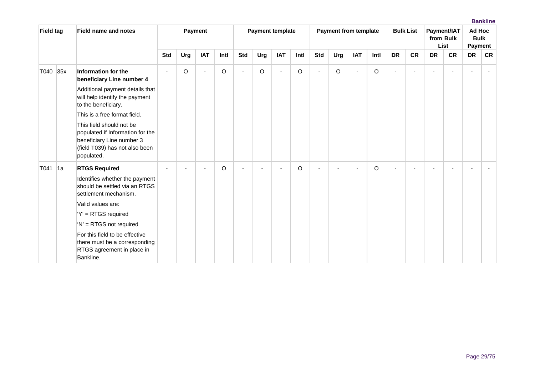| <b>Field tag</b> |     | <b>Field name and notes</b>                                                                                                               |            |     | Payment                  |         |                |                          | <b>Payment template</b> |         |            | <b>Payment from template</b> |            |      |                          | <b>Bulk List</b> |           | Payment/IAT<br>from Bulk<br>List | Ad Hoc<br><b>Bulk</b><br>Payment |           |
|------------------|-----|-------------------------------------------------------------------------------------------------------------------------------------------|------------|-----|--------------------------|---------|----------------|--------------------------|-------------------------|---------|------------|------------------------------|------------|------|--------------------------|------------------|-----------|----------------------------------|----------------------------------|-----------|
|                  |     |                                                                                                                                           | <b>Std</b> | Urg | <b>IAT</b>               | Intl    | <b>Std</b>     | Urg                      | <b>IAT</b>              | Intl    | <b>Std</b> | Urg                          | <b>IAT</b> | Intl | <b>DR</b>                | <b>CR</b>        | <b>DR</b> | <b>CR</b>                        | <b>DR</b>                        | <b>CR</b> |
| T040             | 35x | Information for the<br>beneficiary Line number 4                                                                                          |            | O   | $\overline{\phantom{a}}$ | $\circ$ | ÷,             | O                        | $\sim$                  | $\circ$ |            | O                            | $\sim$     | O    | $\overline{\phantom{a}}$ |                  |           |                                  |                                  |           |
|                  |     | Additional payment details that<br>will help identify the payment<br>to the beneficiary.                                                  |            |     |                          |         |                |                          |                         |         |            |                              |            |      |                          |                  |           |                                  |                                  |           |
|                  |     | This is a free format field.                                                                                                              |            |     |                          |         |                |                          |                         |         |            |                              |            |      |                          |                  |           |                                  |                                  |           |
|                  |     | This field should not be<br>populated if Information for the<br>beneficiary Line number 3<br>(field T039) has not also been<br>populated. |            |     |                          |         |                |                          |                         |         |            |                              |            |      |                          |                  |           |                                  |                                  |           |
| T041             | 1a  | <b>RTGS Required</b>                                                                                                                      |            |     |                          | $\circ$ | $\overline{a}$ | $\overline{\phantom{a}}$ |                         | O       |            |                              |            | O    |                          |                  |           |                                  |                                  |           |
|                  |     | Identifies whether the payment<br>should be settled via an RTGS<br>settlement mechanism.                                                  |            |     |                          |         |                |                          |                         |         |            |                              |            |      |                          |                  |           |                                  |                                  |           |
|                  |     | Valid values are:                                                                                                                         |            |     |                          |         |                |                          |                         |         |            |                              |            |      |                          |                  |           |                                  |                                  |           |
|                  |     | 'Y' = RTGS required                                                                                                                       |            |     |                          |         |                |                          |                         |         |            |                              |            |      |                          |                  |           |                                  |                                  |           |
|                  |     | 'N' = RTGS not required                                                                                                                   |            |     |                          |         |                |                          |                         |         |            |                              |            |      |                          |                  |           |                                  |                                  |           |
|                  |     | For this field to be effective<br>there must be a corresponding<br>RTGS agreement in place in<br>Bankline.                                |            |     |                          |         |                |                          |                         |         |            |                              |            |      |                          |                  |           |                                  |                                  |           |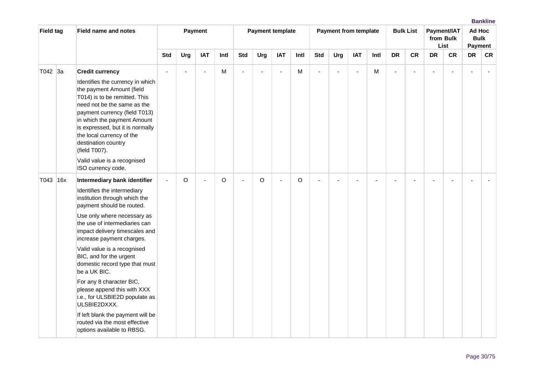| <b>Field tag</b> | <b>Field name and notes</b>                                                                                                                                                                                                                                                                                                                                                                                                                                                                                                                                                           |                |        | Payment        |         |                | <b>Payment template</b>  |                |      |            | <b>Payment from template</b> |            |      |                | <b>Bulk List</b> |                          | Payment/IAT<br>from Bulk<br>List | Ad Hoc<br><b>Bulk</b><br>Payment |           |
|------------------|---------------------------------------------------------------------------------------------------------------------------------------------------------------------------------------------------------------------------------------------------------------------------------------------------------------------------------------------------------------------------------------------------------------------------------------------------------------------------------------------------------------------------------------------------------------------------------------|----------------|--------|----------------|---------|----------------|--------------------------|----------------|------|------------|------------------------------|------------|------|----------------|------------------|--------------------------|----------------------------------|----------------------------------|-----------|
|                  |                                                                                                                                                                                                                                                                                                                                                                                                                                                                                                                                                                                       | Std            | Urg    | <b>IAT</b>     | Intl    | <b>Std</b>     | Urg                      | <b>IAT</b>     | Intl | <b>Std</b> | Urg                          | <b>IAT</b> | Intl | <b>DR</b>      | <b>CR</b>        | <b>DR</b>                | <b>CR</b>                        | <b>DR</b>                        | <b>CR</b> |
| T042 3a          | <b>Credit currency</b><br>Identifies the currency in which<br>the payment Amount (field<br>T014) is to be remitted. This<br>need not be the same as the<br>payment currency (field T013)<br>in which the payment Amount<br>is expressed, but it is normally<br>the local currency of the<br>destination country<br>(field T007).<br>Valid value is a recognised<br>ISO currency code.                                                                                                                                                                                                 | $\blacksquare$ | $\sim$ | $\blacksquare$ | м       | $\blacksquare$ | $\overline{\phantom{a}}$ | $\overline{a}$ | M    |            |                              | $\sim$     | M    | $\blacksquare$ | ۷                | $\overline{\phantom{a}}$ |                                  |                                  |           |
| T043 16x         | Intermediary bank identifier<br>Identifies the intermediary<br>institution through which the<br>payment should be routed.<br>Use only where necessary as<br>the use of intermediaries can<br>impact delivery timescales and<br>increase payment charges.<br>Valid value is a recognised<br>BIC, and for the urgent<br>domestic record type that must<br>be a UK BIC.<br>For any 8 character BIC,<br>please append this with XXX<br>i.e., for ULSBIE2D populate as<br>ULSBIE2DXXX.<br>If left blank the payment will be<br>routed via the most effective<br>options available to RBSG. | $\mathbf{r}$   | O      | ÷,             | $\circ$ | ä,             | O                        |                | O    |            |                              |            |      |                |                  |                          |                                  |                                  |           |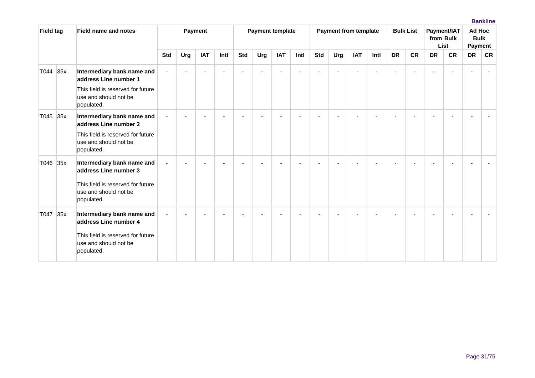| <b>Field tag</b> |     | <b>Field name and notes</b>                                                                                                     |            |     | Payment    |      |     |     | <b>Payment template</b> |      |            | <b>Payment from template</b> |            |      |           | <b>Bulk List</b> |           | Payment/IAT<br>from Bulk<br>List | Ad Hoc<br><b>Bulk</b><br>Payment |           |
|------------------|-----|---------------------------------------------------------------------------------------------------------------------------------|------------|-----|------------|------|-----|-----|-------------------------|------|------------|------------------------------|------------|------|-----------|------------------|-----------|----------------------------------|----------------------------------|-----------|
|                  |     |                                                                                                                                 | <b>Std</b> | Urg | <b>IAT</b> | Intl | Std | Urg | <b>IAT</b>              | Intl | <b>Std</b> | Urg                          | <b>IAT</b> | Intl | <b>DR</b> | <b>CR</b>        | <b>DR</b> | <b>CR</b>                        | <b>DR</b>                        | <b>CR</b> |
| T044             | 35x | Intermediary bank name and<br>address Line number 1                                                                             |            |     |            |      |     |     |                         |      |            |                              |            |      | ÷         |                  |           |                                  |                                  |           |
|                  |     | This field is reserved for future<br>use and should not be<br>populated.                                                        |            |     |            |      |     |     |                         |      |            |                              |            |      |           |                  |           |                                  |                                  |           |
| T045 35x         |     | Intermediary bank name and<br>address Line number 2<br>This field is reserved for future<br>use and should not be<br>populated. |            |     |            |      |     |     |                         |      |            |                              |            |      |           |                  |           |                                  |                                  |           |
| T046 35x         |     | Intermediary bank name and<br>address Line number 3<br>This field is reserved for future<br>use and should not be<br>populated. |            |     |            |      |     |     |                         |      |            |                              |            |      |           |                  |           |                                  |                                  |           |
| T047             | 35x | Intermediary bank name and<br>address Line number 4<br>This field is reserved for future<br>use and should not be<br>populated. |            |     |            |      |     |     |                         |      |            |                              |            |      |           |                  |           |                                  |                                  |           |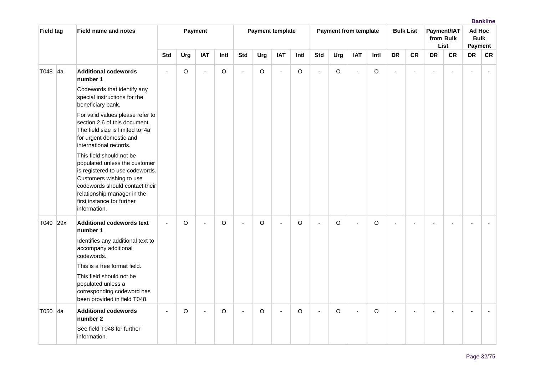| <b>Field tag</b> | <b>Field name and notes</b>                                                                                                                                                                                                             |                |     | Payment                  |      |                | <b>Payment template</b> |                          |          |                | <b>Payment from template</b> |                |         |                | <b>Bulk List</b> |           | Payment/IAT<br>from Bulk<br>List | Ad Hoc<br><b>Bulk</b><br>Payment |           |
|------------------|-----------------------------------------------------------------------------------------------------------------------------------------------------------------------------------------------------------------------------------------|----------------|-----|--------------------------|------|----------------|-------------------------|--------------------------|----------|----------------|------------------------------|----------------|---------|----------------|------------------|-----------|----------------------------------|----------------------------------|-----------|
|                  |                                                                                                                                                                                                                                         | <b>Std</b>     | Urg | <b>IAT</b>               | Intl | <b>Std</b>     | Urg                     | <b>IAT</b>               | Intl     | <b>Std</b>     | Urg                          | <b>IAT</b>     | Intl    | <b>DR</b>      | <b>CR</b>        | <b>DR</b> | <b>CR</b>                        | DR                               | <b>CR</b> |
| T048 4a          | <b>Additional codewords</b><br>number 1                                                                                                                                                                                                 | $\sim$         | O   | $\sim$                   | O    | ä,             | O                       | $\overline{\phantom{a}}$ | $\circ$  | $\blacksquare$ | $\circ$                      | $\sim$         | $\circ$ | $\blacksquare$ | ÷,               |           |                                  |                                  |           |
|                  | Codewords that identify any<br>special instructions for the<br>beneficiary bank.                                                                                                                                                        |                |     |                          |      |                |                         |                          |          |                |                              |                |         |                |                  |           |                                  |                                  |           |
|                  | For valid values please refer to<br>section 2.6 of this document.<br>The field size is limited to '4a'<br>for urgent domestic and<br>international records.                                                                             |                |     |                          |      |                |                         |                          |          |                |                              |                |         |                |                  |           |                                  |                                  |           |
|                  | This field should not be<br>populated unless the customer<br>is registered to use codewords.<br>Customers wishing to use<br>codewords should contact their<br>relationship manager in the<br>first instance for further<br>information. |                |     |                          |      |                |                         |                          |          |                |                              |                |         |                |                  |           |                                  |                                  |           |
| T049 29x         | <b>Additional codewords text</b><br>number 1<br>Identifies any additional text to<br>accompany additional<br>codewords.<br>This is a free format field.<br>This field should not be<br>populated unless a<br>corresponding codeword has | $\sim$         | O   | $\blacksquare$           | O    | $\sim$         | $\circ$                 | $\blacksquare$           | $\Omega$ | $\blacksquare$ | O                            | $\blacksquare$ | O       | ÷.             |                  |           |                                  |                                  |           |
| T050 4a          | been provided in field T048.<br><b>Additional codewords</b>                                                                                                                                                                             | $\blacksquare$ | O   | $\overline{\phantom{a}}$ | O    | $\blacksquare$ | O                       | $\blacksquare$           | O        | $\blacksquare$ | $\circ$                      | $\blacksquare$ | O       | $\blacksquare$ |                  |           |                                  |                                  |           |
|                  | number 2<br>See field T048 for further<br>information.                                                                                                                                                                                  |                |     |                          |      |                |                         |                          |          |                |                              |                |         |                |                  |           |                                  |                                  |           |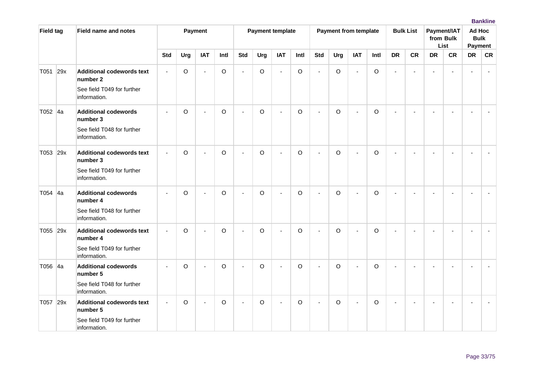| <b>Field tag</b> | <b>Field name and notes</b>                                                                |                |             | Payment        |         |                          | <b>Payment template</b> |                          |          |                | <b>Payment from template</b> |                |         |                | <b>Bulk List</b> |                          | Payment/IAT<br>from Bulk<br>List | Ad Hoc<br><b>Bulk</b><br><b>Payment</b> |    |
|------------------|--------------------------------------------------------------------------------------------|----------------|-------------|----------------|---------|--------------------------|-------------------------|--------------------------|----------|----------------|------------------------------|----------------|---------|----------------|------------------|--------------------------|----------------------------------|-----------------------------------------|----|
|                  |                                                                                            | <b>Std</b>     | Urg         | <b>IAT</b>     | Intl    | <b>Std</b>               | Urg                     | <b>IAT</b>               | Intl     | <b>Std</b>     | Urg                          | <b>IAT</b>     | Intl    | <b>DR</b>      | <b>CR</b>        | <b>DR</b>                | <b>CR</b>                        | <b>DR</b>                               | CR |
| T051 29x         | <b>Additional codewords text</b><br>number 2<br>See field T049 for further<br>information. | $\blacksquare$ | O           | $\blacksquare$ | O       | ÷,                       | O                       | $\sim$                   | $\circ$  | $\blacksquare$ | O                            | $\blacksquare$ | O       | $\blacksquare$ | ÷,               | $\blacksquare$           |                                  |                                         |    |
| T052 4a          | <b>Additional codewords</b><br>number 3<br>See field T048 for further<br>information.      |                | O           | ÷,             | O       | $\blacksquare$           | $\circ$                 |                          | $\circ$  | $\overline{a}$ | O                            | $\blacksquare$ | O       |                |                  |                          |                                  |                                         |    |
| T053 29x         | <b>Additional codewords text</b><br>number 3<br>See field T049 for further<br>information. |                | O           | ÷,             | O       | ä,                       | $\circ$                 | $\overline{\phantom{a}}$ | $\Omega$ | $\blacksquare$ | O                            | $\blacksquare$ | O       |                |                  |                          |                                  |                                         |    |
| T054 4a          | <b>Additional codewords</b><br>number 4<br>See field T048 for further<br>information.      |                | O           | L.             | $\circ$ | $\overline{a}$           | $\circ$                 | $\overline{a}$           | $\Omega$ | $\overline{a}$ | $\circ$                      | $\mathbf{r}$   | $\circ$ | $\overline{a}$ |                  | $\overline{\phantom{a}}$ |                                  |                                         |    |
| T055 29x         | <b>Additional codewords text</b><br>number 4<br>See field T049 for further<br>information. |                | $\mathsf O$ | ÷,             | $\circ$ | ä,                       | $\circ$                 |                          | $\circ$  | ÷              | $\circ$                      | $\blacksquare$ | $\circ$ |                |                  |                          |                                  |                                         |    |
| T056 4a          | <b>Additional codewords</b><br>number 5<br>See field T048 for further<br>information.      | $\blacksquare$ | O           | ä,             | O       | $\blacksquare$           | $\circ$                 | ÷,                       | $\circ$  | $\sim$         | $\Omega$                     | $\mathbf{r}$   | O       | $\sim$         |                  |                          |                                  |                                         |    |
| T057 29x         | <b>Additional codewords text</b><br>number 5<br>See field T049 for further<br>information. | $\blacksquare$ | O           | $\sim$         | O       | $\overline{\phantom{a}}$ | $\circ$                 | $\blacksquare$           | O        | ÷.             | $\circ$                      | $\blacksquare$ | O       |                |                  |                          |                                  |                                         |    |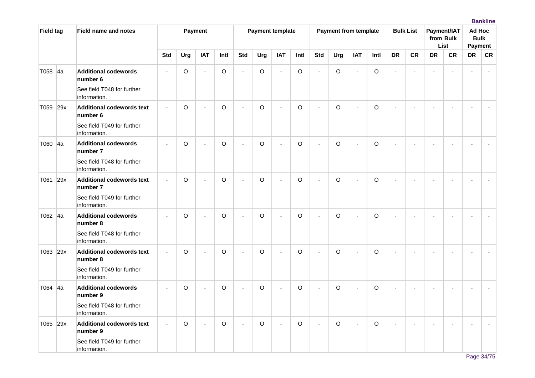| <b>Field tag</b> |    | <b>Field name and notes</b>                  |                          |             | Payment                  |             |                          | <b>Payment template</b> |                          |         |                | <b>Payment from template</b> |                |             |                | <b>Bulk List</b> |                          | Payment/IAT<br>from Bulk<br><b>List</b> | Ad Hoc<br><b>Bulk</b><br><b>Payment</b> |    |
|------------------|----|----------------------------------------------|--------------------------|-------------|--------------------------|-------------|--------------------------|-------------------------|--------------------------|---------|----------------|------------------------------|----------------|-------------|----------------|------------------|--------------------------|-----------------------------------------|-----------------------------------------|----|
|                  |    |                                              | <b>Std</b>               | Urg         | <b>IAT</b>               | Intl        | <b>Std</b>               | Urg                     | <b>IAT</b>               | Intl    | <b>Std</b>     | Urg                          | <b>IAT</b>     | Intl        | <b>DR</b>      | <b>CR</b>        | <b>DR</b>                | <b>CR</b>                               | <b>DR</b>                               | CR |
| T058             | 4a | <b>Additional codewords</b><br>number 6      | $\blacksquare$           | O           | $\sim$                   | $\mathsf O$ | $\overline{\phantom{a}}$ | $\circ$                 | $\sim$                   | $\circ$ | $\overline{a}$ | $\circ$                      | $\blacksquare$ | $\circ$     | $\blacksquare$ | ä,               | $\overline{\phantom{a}}$ |                                         |                                         |    |
|                  |    | See field T048 for further<br>information.   |                          |             |                          |             |                          |                         |                          |         |                |                              |                |             |                |                  |                          |                                         |                                         |    |
| T059 29x         |    | <b>Additional codewords text</b><br>number 6 | $\sim$                   | $\mathsf O$ | $\blacksquare$           | O           | ÷,                       | $\circ$                 | $\overline{\phantom{a}}$ | $\circ$ | $\sim$         | $\circ$                      | $\mathbf{r}$   | $\circ$     | $\blacksquare$ | $\blacksquare$   | $\blacksquare$           |                                         |                                         |    |
|                  |    | See field T049 for further<br>information.   |                          |             |                          |             |                          |                         |                          |         |                |                              |                |             |                |                  |                          |                                         |                                         |    |
| T060 4a          |    | <b>Additional codewords</b><br>number 7      | $\overline{\phantom{a}}$ | O           | $\overline{\phantom{a}}$ | $\mathsf O$ | ÷.                       | $\circ$                 | $\overline{\phantom{a}}$ | $\circ$ | $\sim$         | $\circ$                      | $\sim$         | $\mathsf O$ | ÷.             |                  |                          |                                         |                                         |    |
|                  |    | See field T048 for further<br>information.   |                          |             |                          |             |                          |                         |                          |         |                |                              |                |             |                |                  |                          |                                         |                                         |    |
| T061 29x         |    | <b>Additional codewords text</b><br>number 7 |                          | O           |                          | $\circ$     |                          | $\circ$                 |                          | $\circ$ |                | $\mathsf O$                  | $\sim$         | $\circ$     |                |                  |                          |                                         |                                         |    |
|                  |    | See field T049 for further<br>information.   |                          |             |                          |             |                          |                         |                          |         |                |                              |                |             |                |                  |                          |                                         |                                         |    |
| T062 4a          |    | <b>Additional codewords</b><br>number 8      | $\blacksquare$           | O           | ä,                       | $\circ$     | ä,                       | $\circ$                 | ÷,                       | $\circ$ | $\blacksquare$ | $\circ$                      | $\blacksquare$ | $\circ$     | $\blacksquare$ |                  |                          |                                         |                                         |    |
|                  |    | See field T048 for further<br>information.   |                          |             |                          |             |                          |                         |                          |         |                |                              |                |             |                |                  |                          |                                         |                                         |    |
| T063 29x         |    | <b>Additional codewords text</b><br>number 8 |                          | O           | ä,                       | $\mathsf O$ | ä,                       | $\circ$                 | ÷,                       | $\circ$ | $\blacksquare$ | $\circ$                      | $\blacksquare$ | $\circ$     |                |                  |                          |                                         |                                         |    |
|                  |    | See field T049 for further<br>information.   |                          |             |                          |             |                          |                         |                          |         |                |                              |                |             |                |                  |                          |                                         |                                         |    |
| T064 4a          |    | <b>Additional codewords</b><br>number 9      | $\overline{\phantom{a}}$ | O           | $\overline{a}$           | O           | $\blacksquare$           | $\circ$                 | $\overline{a}$           | $\circ$ | $\overline{a}$ | $\circ$                      | $\blacksquare$ | $\circ$     | ÷.             |                  |                          |                                         |                                         |    |
|                  |    | See field T048 for further<br>information.   |                          |             |                          |             |                          |                         |                          |         |                |                              |                |             |                |                  |                          |                                         |                                         |    |
| T065 29x         |    | <b>Additional codewords text</b><br>number 9 |                          | $\mathsf O$ | $\overline{\phantom{a}}$ | $\mathsf O$ | ÷.                       | $\circ$                 |                          | $\circ$ |                | $\circ$                      | $\overline{a}$ | $\circ$     |                |                  |                          |                                         |                                         |    |
|                  |    | See field T049 for further<br>information.   |                          |             |                          |             |                          |                         |                          |         |                |                              |                |             |                |                  |                          |                                         |                                         |    |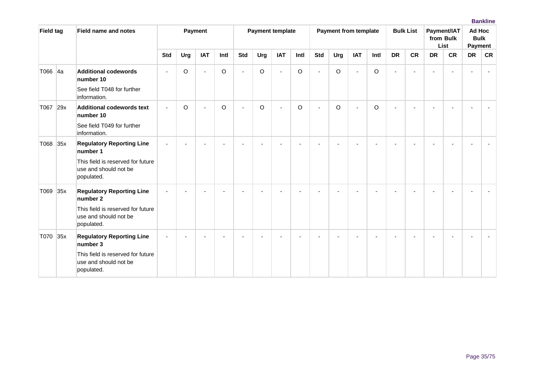| <b>Field tag</b> | <b>Field name and notes</b>                                                                                              |                |                | Payment        |         |                          | <b>Payment template</b> |                          |         |                | <b>Payment from template</b> |                |      |                | <b>Bulk List</b> |           | Payment/IAT<br>from Bulk<br>List | Ad Hoc    | <b>Bulk</b><br><b>Payment</b> |
|------------------|--------------------------------------------------------------------------------------------------------------------------|----------------|----------------|----------------|---------|--------------------------|-------------------------|--------------------------|---------|----------------|------------------------------|----------------|------|----------------|------------------|-----------|----------------------------------|-----------|-------------------------------|
|                  |                                                                                                                          | <b>Std</b>     | Urg            | <b>IAT</b>     | Intl    | <b>Std</b>               | Urg                     | <b>IAT</b>               | Intl    | <b>Std</b>     | Urg                          | <b>IAT</b>     | Intl | <b>DR</b>      | <b>CR</b>        | <b>DR</b> | <b>CR</b>                        | <b>DR</b> | <b>CR</b>                     |
| T066 4a          | <b>Additional codewords</b><br>number 10<br>See field T048 for further<br>information.                                   |                | O              | $\blacksquare$ | $\circ$ | $\overline{\phantom{a}}$ | $\circ$                 | $\overline{\phantom{a}}$ | $\circ$ | $\blacksquare$ | $\circ$                      | $\mathbf{r}$   | O    | $\sim$         |                  |           |                                  |           |                               |
| T067 29x         | <b>Additional codewords text</b><br>number 10<br>See field T049 for further<br>information.                              | $\blacksquare$ | O              | $\blacksquare$ | O       | ÷,                       | $\circ$                 | $\blacksquare$           | $\circ$ | $\blacksquare$ | O                            | $\blacksquare$ | O    | $\blacksquare$ |                  |           |                                  |           |                               |
| T068 35x         | <b>Regulatory Reporting Line</b><br>number 1<br>This field is reserved for future<br>use and should not be<br>populated. | $\sim$         | $\blacksquare$ |                |         |                          |                         |                          |         |                |                              |                |      |                |                  |           |                                  |           |                               |
| T069 35x         | <b>Regulatory Reporting Line</b><br>number 2<br>This field is reserved for future<br>use and should not be<br>populated. |                |                |                |         |                          |                         |                          |         |                |                              |                |      |                |                  |           |                                  |           |                               |
| T070 35x         | <b>Regulatory Reporting Line</b><br>number 3<br>This field is reserved for future<br>use and should not be<br>populated. |                |                |                |         |                          |                         |                          |         |                |                              |                |      |                |                  |           |                                  |           |                               |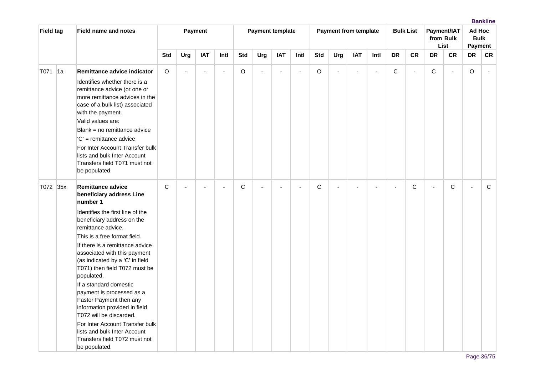| <b>Field tag</b> |     | <b>Field name and notes</b>                                                                                                                                                                                                                                                                                                                                                                                                                                                                                                                                                                                      |              |              | Payment        |                |              |                          | <b>Payment template</b> |        |             | <b>Payment from template</b> |                |                |                          | <b>Bulk List</b> |              | Payment/IAT<br>from Bulk<br>List | Ad Hoc<br><b>Bulk</b><br>Payment |              |
|------------------|-----|------------------------------------------------------------------------------------------------------------------------------------------------------------------------------------------------------------------------------------------------------------------------------------------------------------------------------------------------------------------------------------------------------------------------------------------------------------------------------------------------------------------------------------------------------------------------------------------------------------------|--------------|--------------|----------------|----------------|--------------|--------------------------|-------------------------|--------|-------------|------------------------------|----------------|----------------|--------------------------|------------------|--------------|----------------------------------|----------------------------------|--------------|
|                  |     |                                                                                                                                                                                                                                                                                                                                                                                                                                                                                                                                                                                                                  | <b>Std</b>   | Urg          | <b>IAT</b>     | Intl           | <b>Std</b>   | Urg                      | <b>IAT</b>              | Intl   | <b>Std</b>  | Urg                          | <b>IAT</b>     | Intl           | <b>DR</b>                | <b>CR</b>        | <b>DR</b>    | <b>CR</b>                        | <b>DR</b>                        | <b>CR</b>    |
| T071             | ∣1a | Remittance advice indicator<br>Identifies whether there is a<br>remittance advice (or one or<br>more remittance advices in the<br>case of a bulk list) associated<br>with the payment.<br>Valid values are:<br>Blank = no remittance advice<br>$C'$ = remittance advice<br>For Inter Account Transfer bulk<br>lists and bulk Inter Account<br>Transfers field T071 must not<br>be populated.                                                                                                                                                                                                                     | O            | $\mathbf{r}$ | $\overline{a}$ | $\blacksquare$ | O            | ÷,                       | $\overline{a}$          | $\sim$ | O           | $\overline{a}$               | $\blacksquare$ | $\overline{a}$ | $\mathsf C$              | $\sim$           | $\mathsf{C}$ | $\sim$                           | $\circ$                          |              |
| T072 35x         |     | <b>Remittance advice</b><br>beneficiary address Line<br>number 1<br>Identifies the first line of the<br>beneficiary address on the<br>remittance advice.<br>This is a free format field.<br>If there is a remittance advice<br>associated with this payment<br>(as indicated by a 'C' in field<br>T071) then field T072 must be<br>populated.<br>If a standard domestic<br>payment is processed as a<br>Faster Payment then any<br>information provided in field<br>T072 will be discarded.<br>For Inter Account Transfer bulk<br>lists and bulk Inter Account<br>Transfers field T072 must not<br>be populated. | $\mathsf{C}$ | ÷.           | ÷,             | $\sim$         | $\mathsf{C}$ | $\overline{\phantom{a}}$ |                         | ä,     | $\mathsf C$ | ÷                            | $\sim$         | L,             | $\overline{\phantom{a}}$ | C                | ÷,           | C                                | L.                               | $\mathsf{C}$ |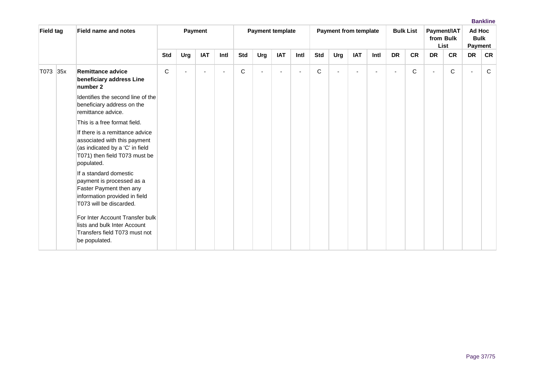| <b>Field tag</b> | <b>Field name and notes</b>                                                                                                                       |              |     | Payment    |                          |            |     | <b>Payment template</b> |      |             | Payment from template |            |      |                | <b>Bulk List</b> |                          | Payment/IAT<br>from Bulk<br>List | Ad Hoc<br><b>Bulk</b><br><b>Payment</b> |             |
|------------------|---------------------------------------------------------------------------------------------------------------------------------------------------|--------------|-----|------------|--------------------------|------------|-----|-------------------------|------|-------------|-----------------------|------------|------|----------------|------------------|--------------------------|----------------------------------|-----------------------------------------|-------------|
|                  |                                                                                                                                                   | <b>Std</b>   | Urg | <b>IAT</b> | Intl                     | <b>Std</b> | Urg | <b>IAT</b>              | Intl | <b>Std</b>  | Urg                   | <b>IAT</b> | Intl | <b>DR</b>      | <b>CR</b>        | <b>DR</b>                | <b>CR</b>                        | <b>DR</b>                               | <b>CR</b>   |
| T073 35x         | Remittance advice<br>beneficiary address Line<br>number 2                                                                                         | $\mathsf{C}$ |     |            | $\overline{\phantom{a}}$ | C          |     |                         |      | $\mathbf C$ |                       |            |      | $\blacksquare$ | C                | $\overline{\phantom{a}}$ | $\mathsf C$                      |                                         | $\mathsf C$ |
|                  | Identifies the second line of the<br>beneficiary address on the<br>remittance advice.                                                             |              |     |            |                          |            |     |                         |      |             |                       |            |      |                |                  |                          |                                  |                                         |             |
|                  | This is a free format field.                                                                                                                      |              |     |            |                          |            |     |                         |      |             |                       |            |      |                |                  |                          |                                  |                                         |             |
|                  | If there is a remittance advice<br>associated with this payment<br>(as indicated by a 'C' in field<br>T071) then field T073 must be<br>populated. |              |     |            |                          |            |     |                         |      |             |                       |            |      |                |                  |                          |                                  |                                         |             |
|                  | If a standard domestic<br>payment is processed as a<br>Faster Payment then any<br>information provided in field<br>T073 will be discarded.        |              |     |            |                          |            |     |                         |      |             |                       |            |      |                |                  |                          |                                  |                                         |             |
|                  | For Inter Account Transfer bulk<br>lists and bulk Inter Account<br>Transfers field T073 must not<br>be populated.                                 |              |     |            |                          |            |     |                         |      |             |                       |            |      |                |                  |                          |                                  |                                         |             |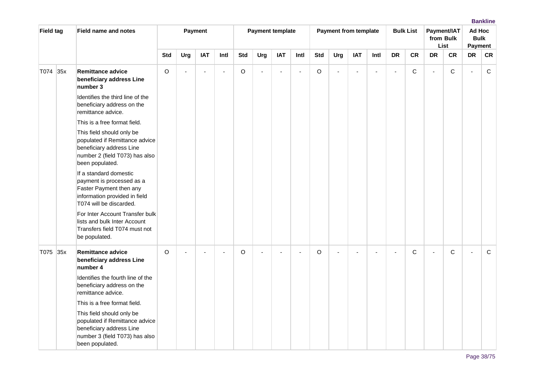| <b>Field tag</b> | <b>Field name and notes</b>                                                                                                                  |             |                | Payment                  |                          |            |                | <b>Payment template</b>  |                          |            | <b>Payment from template</b> |                          |                          |                | <b>Bulk List</b> |                | Payment/IAT<br>from Bulk<br>List | Ad Hoc<br><b>Bulk</b><br>Payment |             |
|------------------|----------------------------------------------------------------------------------------------------------------------------------------------|-------------|----------------|--------------------------|--------------------------|------------|----------------|--------------------------|--------------------------|------------|------------------------------|--------------------------|--------------------------|----------------|------------------|----------------|----------------------------------|----------------------------------|-------------|
|                  |                                                                                                                                              | <b>Std</b>  | Urg            | <b>IAT</b>               | Intl                     | <b>Std</b> | Urg            | <b>IAT</b>               | Intl                     | <b>Std</b> | Urg                          | <b>IAT</b>               | Intl                     | <b>DR</b>      | <b>CR</b>        | <b>DR</b>      | <b>CR</b>                        | <b>DR</b>                        | <b>CR</b>   |
| T074 35x         | <b>Remittance advice</b><br>beneficiary address Line<br>number 3                                                                             | $\mathsf O$ | $\overline{a}$ | $\blacksquare$           | $\blacksquare$           | $\circ$    | $\blacksquare$ | $\overline{\phantom{a}}$ | $\overline{\phantom{a}}$ | $\circ$    | $\blacksquare$               | $\sim$                   | $\overline{\phantom{a}}$ | $\blacksquare$ | $\mathsf C$      | $\sim$         | C                                | $\overline{a}$                   | $\mathbf C$ |
|                  | Identifies the third line of the<br>beneficiary address on the<br>remittance advice.                                                         |             |                |                          |                          |            |                |                          |                          |            |                              |                          |                          |                |                  |                |                                  |                                  |             |
|                  | This is a free format field.                                                                                                                 |             |                |                          |                          |            |                |                          |                          |            |                              |                          |                          |                |                  |                |                                  |                                  |             |
|                  | This field should only be<br>populated if Remittance advice<br>beneficiary address Line<br>number 2 (field T073) has also<br>been populated. |             |                |                          |                          |            |                |                          |                          |            |                              |                          |                          |                |                  |                |                                  |                                  |             |
|                  | If a standard domestic<br>payment is processed as a<br>Faster Payment then any<br>information provided in field<br>T074 will be discarded.   |             |                |                          |                          |            |                |                          |                          |            |                              |                          |                          |                |                  |                |                                  |                                  |             |
|                  | For Inter Account Transfer bulk<br>lists and bulk Inter Account<br>Transfers field T074 must not<br>be populated.                            |             |                |                          |                          |            |                |                          |                          |            |                              |                          |                          |                |                  |                |                                  |                                  |             |
| T075 35x         | <b>Remittance advice</b><br>beneficiary address Line<br>number 4                                                                             | O           | $\sim$         | $\overline{\phantom{a}}$ | $\overline{\phantom{a}}$ | O          | $\blacksquare$ | ÷,                       | $\overline{\phantom{a}}$ | $\circ$    | $\blacksquare$               | $\overline{\phantom{a}}$ | $\blacksquare$           | $\blacksquare$ | С                | $\blacksquare$ | C                                | $\sim$                           | $\mathbf C$ |
|                  | Identifies the fourth line of the<br>beneficiary address on the<br>remittance advice.                                                        |             |                |                          |                          |            |                |                          |                          |            |                              |                          |                          |                |                  |                |                                  |                                  |             |
|                  | This is a free format field.                                                                                                                 |             |                |                          |                          |            |                |                          |                          |            |                              |                          |                          |                |                  |                |                                  |                                  |             |
|                  | This field should only be<br>populated if Remittance advice<br>beneficiary address Line<br>number 3 (field T073) has also<br>been populated. |             |                |                          |                          |            |                |                          |                          |            |                              |                          |                          |                |                  |                |                                  |                                  |             |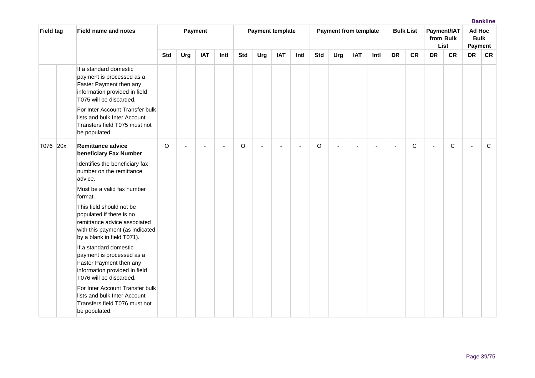| <b>Field tag</b> | <b>Field name and notes</b>                                                                                                                                                                                                                                                                     |            |     | Payment    |                |            |     | <b>Payment template</b> |      |            | <b>Payment from template</b> |            |      |           | <b>Bulk List</b> |           | Payment/IAT<br>from Bulk<br>List | Ad Hoc<br><b>Bulk</b><br>Payment |             |
|------------------|-------------------------------------------------------------------------------------------------------------------------------------------------------------------------------------------------------------------------------------------------------------------------------------------------|------------|-----|------------|----------------|------------|-----|-------------------------|------|------------|------------------------------|------------|------|-----------|------------------|-----------|----------------------------------|----------------------------------|-------------|
|                  |                                                                                                                                                                                                                                                                                                 | <b>Std</b> | Urg | <b>IAT</b> | Intl           | <b>Std</b> | Urg | <b>IAT</b>              | Intl | <b>Std</b> | Urg                          | <b>IAT</b> | Intl | <b>DR</b> | <b>CR</b>        | <b>DR</b> | <b>CR</b>                        | <b>DR</b>                        | <b>CR</b>   |
|                  | If a standard domestic<br>payment is processed as a<br>Faster Payment then any<br>information provided in field<br>T075 will be discarded.<br>For Inter Account Transfer bulk<br>lists and bulk Inter Account<br>Transfers field T075 must not<br>be populated.                                 |            |     |            |                |            |     |                         |      |            |                              |            |      |           |                  |           |                                  |                                  |             |
| T076 20x         | <b>Remittance advice</b><br>beneficiary Fax Number<br>Identifies the beneficiary fax<br>number on the remittance<br>advice.<br>Must be a valid fax number<br>format.<br>This field should not be<br>populated if there is no<br>remittance advice associated<br>with this payment (as indicated | $\circ$    |     |            | $\blacksquare$ | O          |     |                         |      | O          |                              |            |      | ÷,        | C                | ÷,        | $\mathsf{C}$                     | $\sim$                           | $\mathsf C$ |
|                  | by a blank in field T071).<br>If a standard domestic<br>payment is processed as a<br>Faster Payment then any<br>information provided in field<br>T076 will be discarded.<br>For Inter Account Transfer bulk<br>lists and bulk Inter Account<br>Transfers field T076 must not<br>be populated.   |            |     |            |                |            |     |                         |      |            |                              |            |      |           |                  |           |                                  |                                  |             |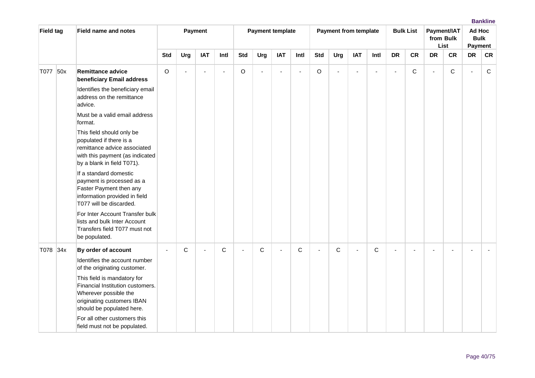| <b>Field tag</b> | <b>Field name and notes</b>                                                                                                                                                                                    |             |                | Payment        |             |                |                | <b>Payment template</b> |      |            | <b>Payment from template</b> |                          |                |                | <b>Bulk List</b> |                | Payment/IAT<br>from Bulk<br>List | Ad Hoc<br><b>Bulk</b><br>Payment |    |
|------------------|----------------------------------------------------------------------------------------------------------------------------------------------------------------------------------------------------------------|-------------|----------------|----------------|-------------|----------------|----------------|-------------------------|------|------------|------------------------------|--------------------------|----------------|----------------|------------------|----------------|----------------------------------|----------------------------------|----|
|                  |                                                                                                                                                                                                                | <b>Std</b>  | Urg            | <b>IAT</b>     | Intl        | <b>Std</b>     | Urg            | <b>IAT</b>              | Intl | <b>Std</b> | Urg                          | <b>IAT</b>               | Intl           | <b>DR</b>      | <b>CR</b>        | <b>DR</b>      | <b>CR</b>                        | <b>DR</b>                        | CR |
| T077 50x         | <b>Remittance advice</b><br>beneficiary Email address                                                                                                                                                          | $\mathsf O$ | $\blacksquare$ | ÷,             | $\sim$      | O              | $\blacksquare$ | $\blacksquare$          |      | O          |                              | $\overline{\phantom{a}}$ | $\blacksquare$ | $\blacksquare$ | С                | $\blacksquare$ | $\mathsf C$                      | $\sim$                           | C  |
|                  | Identifies the beneficiary email<br>address on the remittance<br>advice.                                                                                                                                       |             |                |                |             |                |                |                         |      |            |                              |                          |                |                |                  |                |                                  |                                  |    |
|                  | Must be a valid email address<br>format.                                                                                                                                                                       |             |                |                |             |                |                |                         |      |            |                              |                          |                |                |                  |                |                                  |                                  |    |
|                  | This field should only be<br>populated if there is a<br>remittance advice associated<br>with this payment (as indicated<br>by a blank in field T071).                                                          |             |                |                |             |                |                |                         |      |            |                              |                          |                |                |                  |                |                                  |                                  |    |
|                  | If a standard domestic<br>payment is processed as a<br>Faster Payment then any<br>information provided in field<br>T077 will be discarded.                                                                     |             |                |                |             |                |                |                         |      |            |                              |                          |                |                |                  |                |                                  |                                  |    |
|                  | For Inter Account Transfer bulk<br>lists and bulk Inter Account<br>Transfers field T077 must not<br>be populated.                                                                                              |             |                |                |             |                |                |                         |      |            |                              |                          |                |                |                  |                |                                  |                                  |    |
| T078 34x         | By order of account<br>Identifies the account number<br>of the originating customer.<br>This field is mandatory for<br>Financial Institution customers.<br>Wherever possible the<br>originating customers IBAN |             | C              | $\overline{a}$ | $\mathsf C$ | $\blacksquare$ | C              |                         | C    |            | C                            | $\sim$                   | C              |                |                  |                |                                  |                                  |    |
|                  | should be populated here.<br>For all other customers this<br>field must not be populated.                                                                                                                      |             |                |                |             |                |                |                         |      |            |                              |                          |                |                |                  |                |                                  |                                  |    |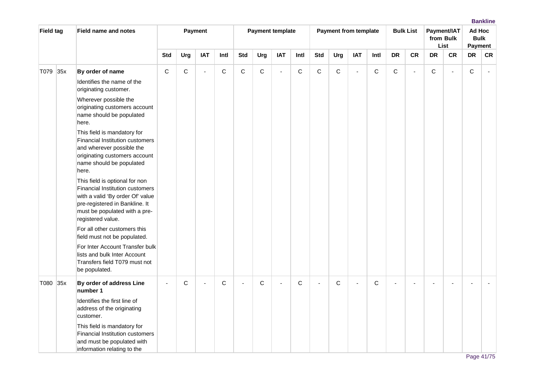| <b>Field tag</b> | <b>Field name and notes</b>                                                                                                                                                                          |                          |             | Payment        |             |                          | <b>Payment template</b> |            |              |                | <b>Payment from template</b> |                |              |             | <b>Bulk List</b> |             | Payment/IAT<br>from Bulk<br>List | Ad Hoc<br><b>Bulk</b><br>Payment |    |
|------------------|------------------------------------------------------------------------------------------------------------------------------------------------------------------------------------------------------|--------------------------|-------------|----------------|-------------|--------------------------|-------------------------|------------|--------------|----------------|------------------------------|----------------|--------------|-------------|------------------|-------------|----------------------------------|----------------------------------|----|
|                  |                                                                                                                                                                                                      | <b>Std</b>               | Urg         | <b>IAT</b>     | Intl        | <b>Std</b>               | Urg                     | <b>IAT</b> | Intl         | <b>Std</b>     | Urg                          | <b>IAT</b>     | Intl         | <b>DR</b>   | CR               | DR          | ${\sf CR}$                       | <b>DR</b>                        | CR |
| T079 35x         | By order of name                                                                                                                                                                                     | $\mathsf C$              | $\mathsf C$ | $\blacksquare$ | C           | $\mathsf{C}$             | C                       | $\sim$     | $\mathsf C$  | $\mathbf C$    | C                            | ä,             | $\mathbf C$  | $\mathbf C$ | ä,               | $\mathsf C$ | ÷,                               | $\mathbf C$                      |    |
|                  | Identifies the name of the<br>originating customer.                                                                                                                                                  |                          |             |                |             |                          |                         |            |              |                |                              |                |              |             |                  |             |                                  |                                  |    |
|                  | Wherever possible the<br>originating customers account<br>name should be populated<br>here.                                                                                                          |                          |             |                |             |                          |                         |            |              |                |                              |                |              |             |                  |             |                                  |                                  |    |
|                  | This field is mandatory for<br><b>Financial Institution customers</b><br>and wherever possible the<br>originating customers account<br>name should be populated<br>here.                             |                          |             |                |             |                          |                         |            |              |                |                              |                |              |             |                  |             |                                  |                                  |    |
|                  | This field is optional for non<br><b>Financial Institution customers</b><br>with a valid 'By order Of' value<br>pre-registered in Bankline. It<br>must be populated with a pre-<br>registered value. |                          |             |                |             |                          |                         |            |              |                |                              |                |              |             |                  |             |                                  |                                  |    |
|                  | For all other customers this<br>field must not be populated.                                                                                                                                         |                          |             |                |             |                          |                         |            |              |                |                              |                |              |             |                  |             |                                  |                                  |    |
|                  | For Inter Account Transfer bulk<br>lists and bulk Inter Account<br>Transfers field T079 must not<br>be populated.                                                                                    |                          |             |                |             |                          |                         |            |              |                |                              |                |              |             |                  |             |                                  |                                  |    |
| T080 35x         | By order of address Line<br>number 1                                                                                                                                                                 | $\overline{\phantom{a}}$ | $\mathsf C$ |                | $\mathsf C$ | $\overline{\phantom{a}}$ | C                       | ÷          | $\mathsf{C}$ | $\blacksquare$ | $\mathsf C$                  | $\overline{a}$ | $\mathsf{C}$ |             |                  |             |                                  |                                  |    |
|                  | Identifies the first line of<br>address of the originating<br>customer.                                                                                                                              |                          |             |                |             |                          |                         |            |              |                |                              |                |              |             |                  |             |                                  |                                  |    |
|                  | This field is mandatory for<br>Financial Institution customers<br>and must be populated with<br>information relating to the                                                                          |                          |             |                |             |                          |                         |            |              |                |                              |                |              |             |                  |             |                                  |                                  |    |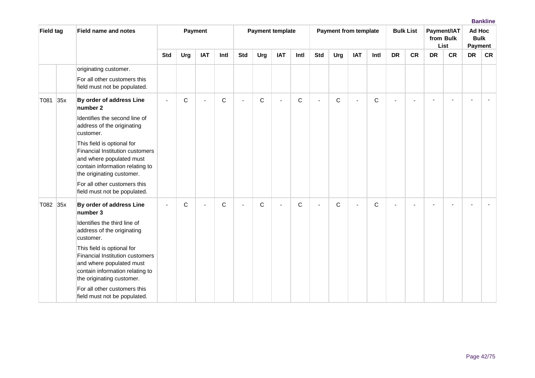| <b>Field tag</b> |     | <b>Field name and notes</b>                                                                                                                                      |                          |     | Payment                  |             |                | <b>Payment template</b> |            |      |            | <b>Payment from template</b> |                |             |                          | <b>Bulk List</b> |           | Payment/IAT<br>from Bulk<br>List | Ad Hoc<br><b>Bulk</b><br>Payment |           |
|------------------|-----|------------------------------------------------------------------------------------------------------------------------------------------------------------------|--------------------------|-----|--------------------------|-------------|----------------|-------------------------|------------|------|------------|------------------------------|----------------|-------------|--------------------------|------------------|-----------|----------------------------------|----------------------------------|-----------|
|                  |     |                                                                                                                                                                  | <b>Std</b>               | Urg | <b>IAT</b>               | Intl        | <b>Std</b>     | Urg                     | <b>IAT</b> | Intl | <b>Std</b> | Urg                          | <b>IAT</b>     | Intl        | <b>DR</b>                | <b>CR</b>        | <b>DR</b> | <b>CR</b>                        | <b>DR</b>                        | <b>CR</b> |
|                  |     | originating customer.<br>For all other customers this<br>field must not be populated.                                                                            |                          |     |                          |             |                |                         |            |      |            |                              |                |             |                          |                  |           |                                  |                                  |           |
| T081             | 35x | By order of address Line<br>number 2                                                                                                                             | $\overline{\phantom{a}}$ | C   | $\blacksquare$           | $\mathbf C$ | $\blacksquare$ | $\mathsf{C}$            | $\sim$     | C    | $\sim$     | C                            | $\blacksquare$ | $\mathsf C$ | ä,                       |                  |           |                                  |                                  |           |
|                  |     | Identifies the second line of<br>address of the originating<br>customer.                                                                                         |                          |     |                          |             |                |                         |            |      |            |                              |                |             |                          |                  |           |                                  |                                  |           |
|                  |     | This field is optional for<br><b>Financial Institution customers</b><br>and where populated must<br>contain information relating to<br>the originating customer. |                          |     |                          |             |                |                         |            |      |            |                              |                |             |                          |                  |           |                                  |                                  |           |
|                  |     | For all other customers this<br>field must not be populated.                                                                                                     |                          |     |                          |             |                |                         |            |      |            |                              |                |             |                          |                  |           |                                  |                                  |           |
| T082 35x         |     | By order of address Line<br>number 3<br>Identifies the third line of<br>address of the originating<br>customer.                                                  | $\blacksquare$           | C   | $\overline{\phantom{0}}$ | C           | ÷,             | C                       | $\sim$     | C    | $\sim$     | C                            | $\blacksquare$ | C           | $\overline{\phantom{0}}$ |                  |           |                                  |                                  |           |
|                  |     | This field is optional for<br>Financial Institution customers<br>and where populated must<br>contain information relating to<br>the originating customer.        |                          |     |                          |             |                |                         |            |      |            |                              |                |             |                          |                  |           |                                  |                                  |           |
|                  |     | For all other customers this<br>field must not be populated.                                                                                                     |                          |     |                          |             |                |                         |            |      |            |                              |                |             |                          |                  |           |                                  |                                  |           |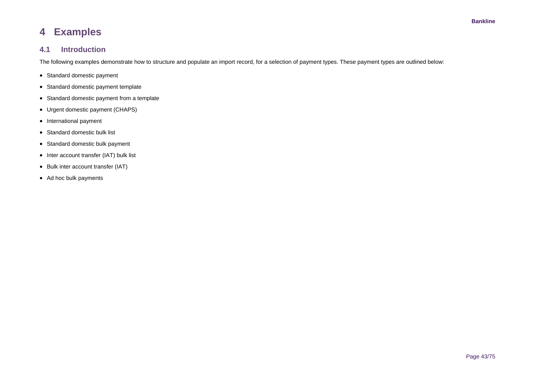# **4 Examples**

## **4.1 Introduction**

The following examples demonstrate how to structure and populate an import record, for a selection of payment types. These payment types are outlined below:

- Standard domestic payment
- Standard domestic payment template
- Standard domestic payment from a template
- Urgent domestic payment (CHAPS)
- International payment
- Standard domestic bulk list
- Standard domestic bulk payment
- Inter account transfer (IAT) bulk list
- Bulk inter account transfer (IAT)
- Ad hoc bulk payments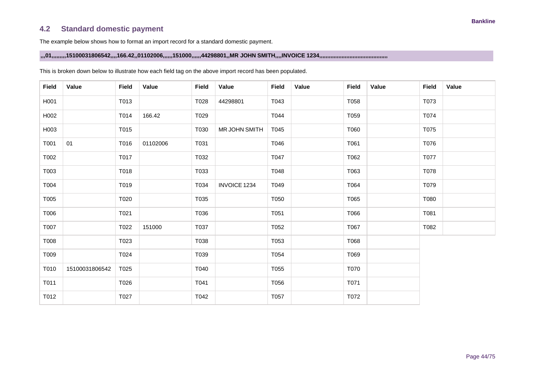## **4.2 Standard domestic payment**

The example below shows how to format an import record for a standard domestic payment.

### **,,,01,,,,,,,,,15100031806542,,,,166.42,,01102006,,,,,,151000,,,,,,44298801,,MR JOHN SMITH,,,,INVOICE 1234,,,,,,,,,,,,,,,,,,,,,,,,,,,,,,,,,,,,,,,,,,,**

| <b>Field</b> | Value          | <b>Field</b> | Value    | <b>Field</b> | Value               | <b>Field</b> | Value | <b>Field</b> | Value | <b>Field</b> | Value |
|--------------|----------------|--------------|----------|--------------|---------------------|--------------|-------|--------------|-------|--------------|-------|
| H001         |                | T013         |          | T028         | 44298801            | T043         |       | T058         |       | T073         |       |
| H002         |                | T014         | 166.42   | T029         |                     | T044         |       | T059         |       | T074         |       |
| H003         |                | T015         |          | T030         | MR JOHN SMITH       | T045         |       | T060         |       | T075         |       |
| T001         | 01             | T016         | 01102006 | T031         |                     | T046         |       | T061         |       | T076         |       |
| T002         |                | T017         |          | T032         |                     | T047         |       | T062         |       | T077         |       |
| T003         |                | T018         |          | T033         |                     | T048         |       | T063         |       | T078         |       |
| T004         |                | T019         |          | T034         | <b>INVOICE 1234</b> | T049         |       | T064         |       | T079         |       |
| T005         |                | T020         |          | T035         |                     | T050         |       | T065         |       | T080         |       |
| T006         |                | T021         |          | T036         |                     | T051         |       | T066         |       | T081         |       |
| T007         |                | T022         | 151000   | T037         |                     | T052         |       | T067         |       | T082         |       |
| T008         |                | T023         |          | T038         |                     | T053         |       | T068         |       |              |       |
| T009         |                | T024         |          | T039         |                     | T054         |       | T069         |       |              |       |
| T010         | 15100031806542 | T025         |          | T040         |                     | T055         |       | T070         |       |              |       |
| T011         |                | T026         |          | T041         |                     | T056         |       | T071         |       |              |       |
| T012         |                | T027         |          | T042         |                     | T057         |       | T072         |       |              |       |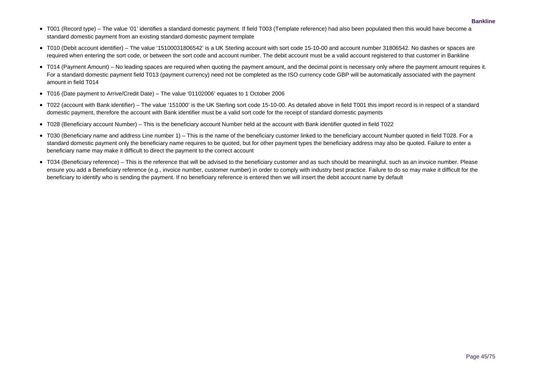- T001 (Record type) The value '01' identifies a standard domestic payment. If field T003 (Template reference) had also been populated then this would have become a standard domestic payment from an existing standard domestic payment template
- T010 (Debit account identifier) The value '15100031806542' is a UK Sterling account with sort code 15-10-00 and account number 31806542. No dashes or spaces are required when entering the sort code, or between the sort code and account number. The debit account must be a valid account registered to that customer in Bankline
- T014 (Payment Amount) No leading spaces are required when quoting the payment amount, and the decimal point is necessary only where the payment amount requires it. For a standard domestic payment field T013 (payment currency) need not be completed as the ISO currency code GBP will be automatically associated with the payment amount in field T014
- T016 (Date payment to Arrive/Credit Date) The value '01102006' equates to 1 October 2006
- T022 (account with Bank identifier) The value '151000' is the UK Sterling sort code 15-10-00. As detailed above in field T001 this import record is in respect of a standard domestic payment, therefore the account with Bank identifier must be a valid sort code for the receipt of standard domestic payments
- T028 (Beneficiary account Number) This is the beneficiary account Number held at the account with Bank identifier quoted in field T022
- T030 (Beneficiary name and address Line number 1) This is the name of the beneficiary customer linked to the beneficiary account Number quoted in field T028. For a standard domestic payment only the beneficiary name requires to be quoted, but for other payment types the beneficiary address may also be quoted. Failure to enter a beneficiary name may make it difficult to direct the payment to the correct account
- T034 (Beneficiary reference) This is the reference that will be advised to the beneficiary customer and as such should be meaningful, such as an invoice number. Please ensure you add a Beneficiary reference (e.g., invoice number, customer number) in order to comply with industry best practice. Failure to do so may make it difficult for the beneficiary to identify who is sending the payment. If no beneficiary reference is entered then we will insert the debit account name by default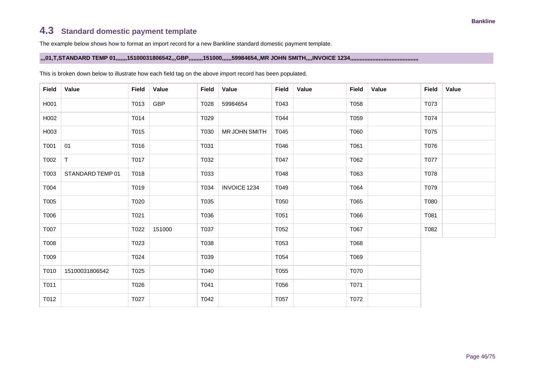# **4.3 Standard domestic payment template**

The example below shows how to format an import record for a new Bankline standard domestic payment template.

**,,,01,T,STANDARD TEMP 01,,,,,,,15100031806542,,,GBP,,,,,,,,,151000,,,,,,59984654,,MR JOHN SMITH,,,,INVOICE 1234,,,,,,,,,,,,,,,,,,,,,,,,,,,,,,,,,,,,,,,,,,,**

| <b>Field</b> | Value            | Field | Value  | <b>Field</b> | Value               | <b>Field</b> | Value | <b>Field</b> | Value | <b>Field</b> | Value |
|--------------|------------------|-------|--------|--------------|---------------------|--------------|-------|--------------|-------|--------------|-------|
| H001         |                  | T013  | GBP    | T028         | 59984654            | T043         |       | T058         |       | T073         |       |
| H002         |                  | T014  |        | T029         |                     | T044         |       | T059         |       | T074         |       |
| H003         |                  | T015  |        | T030         | MR JOHN SMITH       | T045         |       | T060         |       | T075         |       |
| T001         | 01               | T016  |        | T031         |                     | T046         |       | T061         |       | T076         |       |
| T002         | $\top$           | T017  |        | T032         |                     | T047         |       | T062         |       | T077         |       |
| T003         | STANDARD TEMP 01 | T018  |        | T033         |                     | T048         |       | T063         |       | T078         |       |
| T004         |                  | T019  |        | T034         | <b>INVOICE 1234</b> | T049         |       | T064         |       | T079         |       |
| T005         |                  | T020  |        | T035         |                     | T050         |       | T065         |       | T080         |       |
| T006         |                  | T021  |        | T036         |                     | T051         |       | T066         |       | T081         |       |
| T007         |                  | T022  | 151000 | T037         |                     | T052         |       | T067         |       | T082         |       |
| T008         |                  | T023  |        | T038         |                     | T053         |       | T068         |       |              |       |
| T009         |                  | T024  |        | T039         |                     | T054         |       | T069         |       |              |       |
| T010         | 15100031806542   | T025  |        | T040         |                     | T055         |       | T070         |       |              |       |
| T011         |                  | T026  |        | T041         |                     | T056         |       | T071         |       |              |       |
| T012         |                  | T027  |        | T042         |                     | T057         |       | T072         |       |              |       |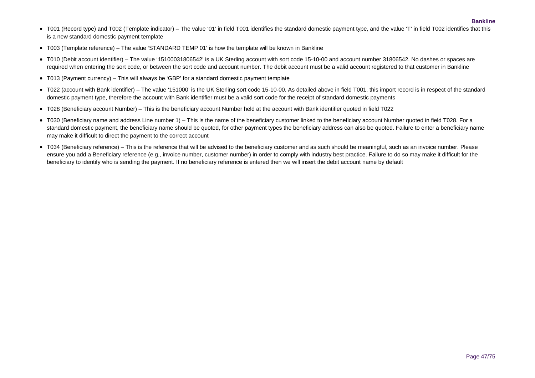- T001 (Record type) and T002 (Template indicator) The value '01' in field T001 identifies the standard domestic payment type, and the value 'T' in field T002 identifies that this is a new standard domestic payment template
- T003 (Template reference) The value 'STANDARD TEMP 01' is how the template will be known in Bankline
- T010 (Debit account identifier) The value '15100031806542' is a UK Sterling account with sort code 15-10-00 and account number 31806542. No dashes or spaces are required when entering the sort code, or between the sort code and account number. The debit account must be a valid account registered to that customer in Bankline
- T013 (Payment currency) This will always be 'GBP' for a standard domestic payment template
- T022 (account with Bank identifier) The value '151000' is the UK Sterling sort code 15-10-00. As detailed above in field T001, this import record is in respect of the standard domestic payment type, therefore the account with Bank identifier must be a valid sort code for the receipt of standard domestic payments
- T028 (Beneficiary account Number) This is the beneficiary account Number held at the account with Bank identifier quoted in field T022
- T030 (Beneficiary name and address Line number 1) This is the name of the beneficiary customer linked to the beneficiary account Number quoted in field T028. For a standard domestic payment, the beneficiary name should be quoted, for other payment types the beneficiary address can also be quoted. Failure to enter a beneficiary name may make it difficult to direct the payment to the correct account
- T034 (Beneficiary reference) This is the reference that will be advised to the beneficiary customer and as such should be meaningful, such as an invoice number. Please ensure you add a Beneficiary reference (e.g., invoice number, customer number) in order to comply with industry best practice. Failure to do so may make it difficult for the beneficiary to identify who is sending the payment. If no beneficiary reference is entered then we will insert the debit account name by default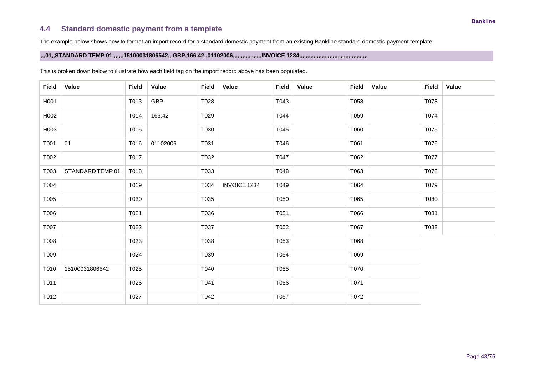## **4.4 Standard domestic payment from a template**

The example below shows how to format an import record for a standard domestic payment from an existing Bankline standard domestic payment template.

### **,,,01,,STANDARD TEMP 01,,,,,,,15100031806542,,,GBP,166.42,,01102006,,,,,,,,,,,,,,,,,,INVOICE 1234,,,,,,,,,,,,,,,,,,,,,,,,,,,,,,,,,,,,,,,,,,,**

| <b>Field</b> | Value            | <b>Field</b> | Value      | <b>Field</b> | Value               | <b>Field</b> | Value | <b>Field</b> | Value | Field | Value |
|--------------|------------------|--------------|------------|--------------|---------------------|--------------|-------|--------------|-------|-------|-------|
| H001         |                  | T013         | <b>GBP</b> | T028         |                     | T043         |       | T058         |       | T073  |       |
| H002         |                  | T014         | 166.42     | T029         |                     | T044         |       | T059         |       | T074  |       |
| H003         |                  | T015         |            | T030         |                     | T045         |       | T060         |       | T075  |       |
| T001         | 01               | T016         | 01102006   | T031         |                     | T046         |       | T061         |       | T076  |       |
| T002         |                  | T017         |            | T032         |                     | T047         |       | T062         |       | T077  |       |
| T003         | STANDARD TEMP 01 | T018         |            | T033         |                     | T048         |       | T063         |       | T078  |       |
| T004         |                  | T019         |            | T034         | <b>INVOICE 1234</b> | T049         |       | T064         |       | T079  |       |
| T005         |                  | T020         |            | T035         |                     | T050         |       | T065         |       | T080  |       |
| T006         |                  | T021         |            | T036         |                     | T051         |       | T066         |       | T081  |       |
| T007         |                  | T022         |            | T037         |                     | T052         |       | T067         |       | T082  |       |
| T008         |                  | T023         |            | T038         |                     | T053         |       | T068         |       |       |       |
| T009         |                  | T024         |            | T039         |                     | T054         |       | T069         |       |       |       |
| T010         | 15100031806542   | T025         |            | T040         |                     | T055         |       | T070         |       |       |       |
| T011         |                  | T026         |            | T041         |                     | T056         |       | T071         |       |       |       |
| T012         |                  | T027         |            | T042         |                     | T057         |       | T072         |       |       |       |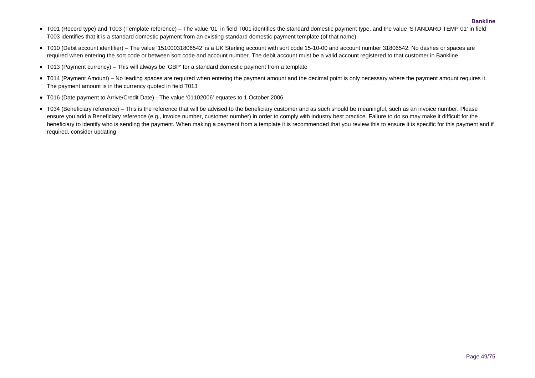- T001 (Record type) and T003 (Template reference) The value '01' in field T001 identifies the standard domestic payment type, and the value 'STANDARD TEMP 01' in field T003 identifies that it is a standard domestic payment from an existing standard domestic payment template (of that name)
- T010 (Debit account identifier) The value '15100031806542' is a UK Sterling account with sort code 15-10-00 and account number 31806542. No dashes or spaces are required when entering the sort code or between sort code and account number. The debit account must be a valid account registered to that customer in Bankline
- T013 (Payment currency) This will always be 'GBP' for a standard domestic payment from a template
- T014 (Payment Amount) No leading spaces are required when entering the payment amount and the decimal point is only necessary where the payment amount requires it. The payment amount is in the currency quoted in field T013
- T016 (Date payment to Arrive/Credit Date) The value '01102006' equates to 1 October 2006
- T034 (Beneficiary reference) This is the reference that will be advised to the beneficiary customer and as such should be meaningful, such as an invoice number. Please ensure you add a Beneficiary reference (e.g., invoice number, customer number) in order to comply with industry best practice. Failure to do so may make it difficult for the beneficiary to identify who is sending the payment. When making a payment from a template it is recommended that you review this to ensure it is specific for this payment and if required, consider updating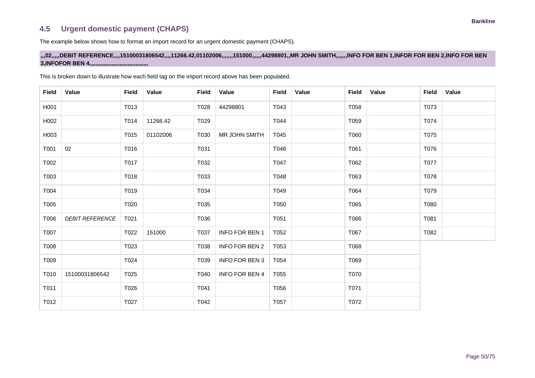## **4.5 Urgent domestic payment (CHAPS)**

The example below shows how to format an import record for an urgent domestic payment (CHAPS).

### **,,,02,,,,,DEBIT REFERENCE,,,,15100031806542,,,,11266.42,01102006,,,,,,,151000,,,,,,44298801,,MR JOHN SMITH,,,,,,,INFO FOR BEN 1,INFOR FOR BEN 2,INFO FOR BEN 3,INFOFOR BEN 4,,,,,,,,,,,,,,,,,,,,,,,,,,,,,,,,,,,,,**

| <b>Field</b> | Value                  | <b>Field</b> | Value    | <b>Field</b> | Value                 | <b>Field</b> | Value | Field | Value | <b>Field</b> | Value |
|--------------|------------------------|--------------|----------|--------------|-----------------------|--------------|-------|-------|-------|--------------|-------|
| H001         |                        | T013         |          | T028         | 44298801              | T043         |       | T058  |       | T073         |       |
| H002         |                        | T014         | 11266.42 | T029         |                       | T044         |       | T059  |       | T074         |       |
| H003         |                        | T015         | 01102006 | T030         | MR JOHN SMITH         | T045         |       | T060  |       | T075         |       |
| T001         | 02                     | T016         |          | T031         |                       | T046         |       | T061  |       | T076         |       |
| T002         |                        | T017         |          | T032         |                       | T047         |       | T062  |       | T077         |       |
| T003         |                        | T018         |          | T033         |                       | T048         |       | T063  |       | T078         |       |
| T004         |                        | T019         |          | T034         |                       | T049         |       | T064  |       | T079         |       |
| T005         |                        | T020         |          | T035         |                       | T050         |       | T065  |       | T080         |       |
| T006         | <b>DEBIT REFERENCE</b> | T021         |          | T036         |                       | T051         |       | T066  |       | T081         |       |
| T007         |                        | T022         | 151000   | T037         | <b>INFO FOR BEN 1</b> | T052         |       | T067  |       | T082         |       |
| T008         |                        | T023         |          | T038         | <b>INFO FOR BEN 2</b> | T053         |       | T068  |       |              |       |
| T009         |                        | T024         |          | T039         | <b>INFO FOR BEN 3</b> | T054         |       | T069  |       |              |       |
| T010         | 15100031806542         | T025         |          | T040         | <b>INFO FOR BEN 4</b> | T055         |       | T070  |       |              |       |
| T011         |                        | T026         |          | T041         |                       | T056         |       | T071  |       |              |       |
| T012         |                        | T027         |          | T042         |                       | T057         |       | T072  |       |              |       |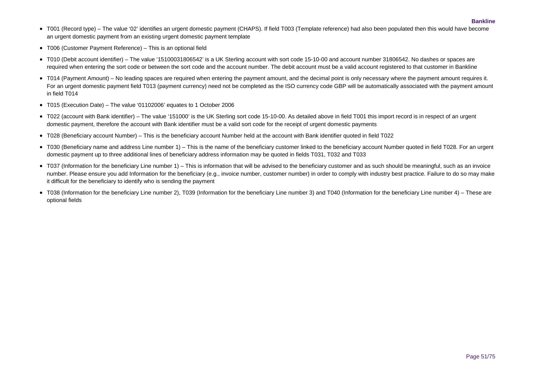- T001 (Record type) The value '02' identifies an urgent domestic payment (CHAPS). If field T003 (Template reference) had also been populated then this would have become an urgent domestic payment from an existing urgent domestic payment template
- T006 (Customer Payment Reference) This is an optional field
- T010 (Debit account identifier) The value '15100031806542' is a UK Sterling account with sort code 15-10-00 and account number 31806542. No dashes or spaces are required when entering the sort code or between the sort code and the account number. The debit account must be a valid account registered to that customer in Bankline
- T014 (Payment Amount) No leading spaces are required when entering the payment amount, and the decimal point is only necessary where the payment amount requires it. For an urgent domestic payment field T013 (payment currency) need not be completed as the ISO currency code GBP will be automatically associated with the payment amount in field T014
- T015 (Execution Date) The value '01102006' equates to 1 October 2006
- T022 (account with Bank identifier) The value '151000' is the UK Sterling sort code 15-10-00. As detailed above in field T001 this import record is in respect of an urgent domestic payment, therefore the account with Bank identifier must be a valid sort code for the receipt of urgent domestic payments
- T028 (Beneficiary account Number) This is the beneficiary account Number held at the account with Bank identifier quoted in field T022
- T030 (Beneficiary name and address Line number 1) This is the name of the beneficiary customer linked to the beneficiary account Number quoted in field T028. For an urgent domestic payment up to three additional lines of beneficiary address information may be quoted in fields T031, T032 and T033
- T037 (Information for the beneficiary Line number 1) This is information that will be advised to the beneficiary customer and as such should be meaningful, such as an invoice number. Please ensure you add Information for the beneficiary (e.g., invoice number, customer number) in order to comply with industry best practice. Failure to do so may make it difficult for the beneficiary to identify who is sending the payment
- T038 (Information for the beneficiary Line number 2), T039 (Information for the beneficiary Line number 3) and T040 (Information for the beneficiary Line number 4) These are optional fields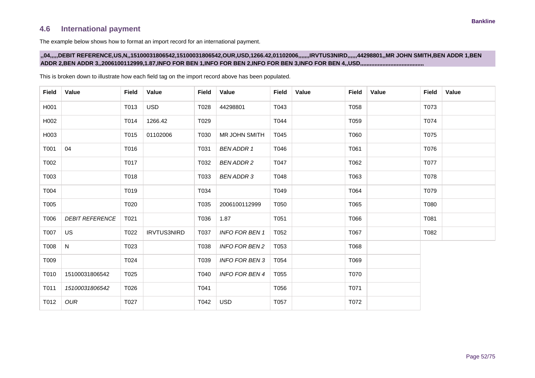## **4.6 International payment**

The example below shows how to format an import record for an international payment.

This is broken down to illustrate how each field tag on the import record above has been populated.

### **,,04,,,,,DEBIT REFERENCE,US,N,,15100031806542,15100031806542,OUR,USD,1266.42,01102006,,,,,,,IRVTUS3NIRD,,,,,,44298801,,MR JOHN SMITH,BEN ADDR 1,BEN ADDR 2,BEN ADDR 3,,2006100112999,1.87,INFO FOR BEN 1,INFO FOR BEN 2,INFO FOR BEN 3,INFO FOR BEN 4,,USD,,,,,,,,,,,,,,,,,,,,,,,,,,,,,,,,,,,,,,,,**

**Field Value Field Value Field Value Field Value Field Value Field Value** H001 | | T013 | USD | T028 | 44298801 | T043 | | T058 | | T073 H002 | | T014 | 1266.42 | T029 | | T044 | | T059 | | T074 H003 | T015 | 01102006 | T030 | MR JOHN SMITH | T045 | | T060 | | T075 T001 04 T016 T031 *BEN ADDR 1* T046 T061 T076 T002 T017 T032 *BEN ADDR 2* T047 T062 T077 T003 T018 T033 *BEN ADDR 3* T048 T063 T078 T004 T019 T034 T049 T064 T079 T005 T020 T035 2006100112999 T050 T065 T080 T006 *DEBIT REFERENCE* | T021 | T036 | 1.87 | T051 | T051 | T066 | T066 | T081 T007 US T022 IRVTUS3NIRD T037 *INFO FOR BEN 1* T052 T067 T082 T008 N T023 T038 *INFO FOR BEN 2* T053 T068 T009 T024 T039 *INFO FOR BEN 3* T054 T069 T010 15100031806542 T025 T040 *INFO FOR BEN 4* T055 T070 T011 *15100031806542* T026 T041 T056 T071 T012 *OUR* T027 T042 USD T057 T072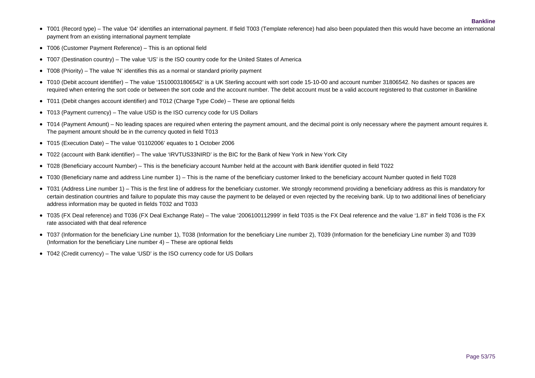- T001 (Record type) The value '04' identifies an international payment. If field T003 (Template reference) had also been populated then this would have become an international payment from an existing international payment template
- T006 (Customer Payment Reference) This is an optional field
- T007 (Destination country) The value 'US' is the ISO country code for the United States of America
- T008 (Priority) The value 'N' identifies this as a normal or standard priority payment
- T010 (Debit account identifier) The value '15100031806542' is a UK Sterling account with sort code 15-10-00 and account number 31806542. No dashes or spaces are required when entering the sort code or between the sort code and the account number. The debit account must be a valid account registered to that customer in Bankline
- T011 (Debit changes account identifier) and T012 (Charge Type Code) These are optional fields
- T013 (Payment currency) The value USD is the ISO currency code for US Dollars
- T014 (Payment Amount) No leading spaces are required when entering the payment amount, and the decimal point is only necessary where the payment amount requires it. The payment amount should be in the currency quoted in field T013
- T015 (Execution Date) The value '01102006' equates to 1 October 2006
- T022 (account with Bank identifier) The value 'IRVTUS33NIRD' is the BIC for the Bank of New York in New York City
- T028 (Beneficiary account Number) This is the beneficiary account Number held at the account with Bank identifier quoted in field T022
- T030 (Beneficiary name and address Line number 1) This is the name of the beneficiary customer linked to the beneficiary account Number quoted in field T028
- T031 (Address Line number 1) This is the first line of address for the beneficiary customer. We strongly recommend providing a beneficiary address as this is mandatory for certain destination countries and failure to populate this may cause the payment to be delayed or even rejected by the receiving bank. Up to two additional lines of beneficiary address information may be quoted in fields T032 and T033
- T035 (FX Deal reference) and T036 (FX Deal Exchange Rate) The value '2006100112999' in field T035 is the FX Deal reference and the value '1.87' in field T036 is the FX rate associated with that deal reference
- T037 (Information for the beneficiary Line number 1), T038 (Information for the beneficiary Line number 2), T039 (Information for the beneficiary Line number 3) and T039 (Information for the beneficiary Line number  $4$ ) – These are optional fields
- T042 (Credit currency) The value 'USD' is the ISO currency code for US Dollars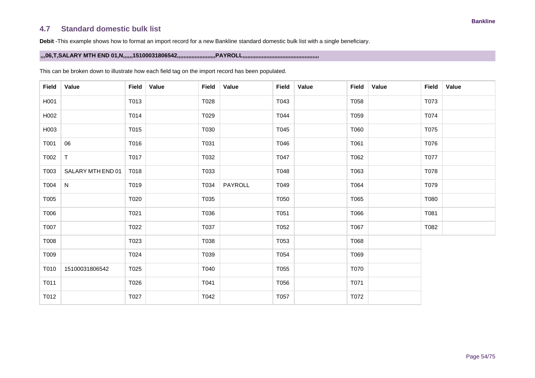## **4.7 Standard domestic bulk list**

**Debit** -This example shows how to format an import record for a new Bankline standard domestic bulk list with a single beneficiary.

### **,,,06,T,SALARY MTH END 01,N,,,,,,15100031806542,,,,,,,,,,,,,,,,,,,,,,,,PAYROLL,,,,,,,,,,,,,,,,,,,,,,,,,,,,,,,,,,,,,,,,,,,,,,,,**

| <b>Field</b> | Value             | <b>Field</b> | Value | <b>Field</b> | Value   | Field | Value | Field | Value | <b>Field</b> | Value |
|--------------|-------------------|--------------|-------|--------------|---------|-------|-------|-------|-------|--------------|-------|
| H001         |                   | T013         |       | T028         |         | T043  |       | T058  |       | T073         |       |
| H002         |                   | T014         |       | T029         |         | T044  |       | T059  |       | T074         |       |
| H003         |                   | T015         |       | T030         |         | T045  |       | T060  |       | T075         |       |
| T001         | 06                | T016         |       | T031         |         | T046  |       | T061  |       | T076         |       |
| T002         | T                 | T017         |       | T032         |         | T047  |       | T062  |       | T077         |       |
| T003         | SALARY MTH END 01 | T018         |       | T033         |         | T048  |       | T063  |       | T078         |       |
| T004         | $\mathsf{N}$      | T019         |       | T034         | PAYROLL | T049  |       | T064  |       | T079         |       |
| T005         |                   | T020         |       | T035         |         | T050  |       | T065  |       | T080         |       |
| T006         |                   | T021         |       | T036         |         | T051  |       | T066  |       | T081         |       |
| T007         |                   | T022         |       | T037         |         | T052  |       | T067  |       | T082         |       |
| T008         |                   | T023         |       | T038         |         | T053  |       | T068  |       |              |       |
| T009         |                   | T024         |       | T039         |         | T054  |       | T069  |       |              |       |
| T010         | 15100031806542    | T025         |       | T040         |         | T055  |       | T070  |       |              |       |
| T011         |                   | T026         |       | T041         |         | T056  |       | T071  |       |              |       |
| T012         |                   | T027         |       | T042         |         | T057  |       | T072  |       |              |       |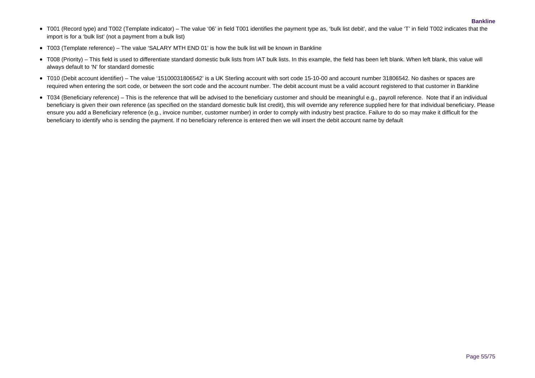- T001 (Record type) and T002 (Template indicator) The value '06' in field T001 identifies the payment type as, 'bulk list debit', and the value 'T' in field T002 indicates that the import is for a 'bulk list' (not a payment from a bulk list)
- T003 (Template reference) The value 'SALARY MTH END 01' is how the bulk list will be known in Bankline
- T008 (Priority) This field is used to differentiate standard domestic bulk lists from IAT bulk lists. In this example, the field has been left blank. When left blank, this value will always default to 'N' for standard domestic
- T010 (Debit account identifier) The value '15100031806542' is a UK Sterling account with sort code 15-10-00 and account number 31806542. No dashes or spaces are required when entering the sort code, or between the sort code and the account number. The debit account must be a valid account registered to that customer in Bankline
- T034 (Beneficiary reference) This is the reference that will be advised to the beneficiary customer and should be meaningful e.g., payroll reference. Note that if an individual beneficiary is given their own reference (as specified on the standard domestic bulk list credit), this will override any reference supplied here for that individual beneficiary. Please ensure you add a Beneficiary reference (e.g., invoice number, customer number) in order to comply with industry best practice. Failure to do so may make it difficult for the beneficiary to identify who is sending the payment. If no beneficiary reference is entered then we will insert the debit account name by default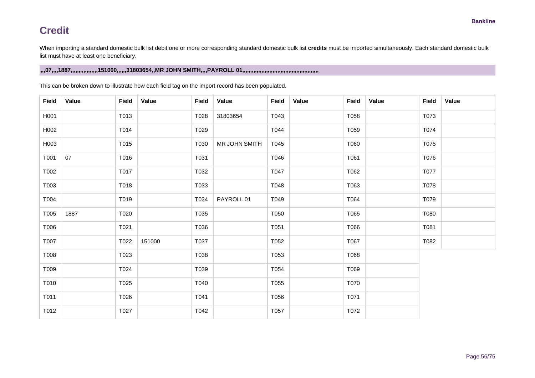When importing a standard domestic bulk list debit one or more corresponding standard domestic bulk list **credits** must be imported simultaneously. Each standard domestic bulk list must have at least one beneficiary.

### **,,,07,,,,1887,,,,,,,,,,,,,,,,,151000,,,,,,31803654,,MR JOHN SMITH,,,,PAYROLL 01,,,,,,,,,,,,,,,,,,,,,,,,,,,,,,,,,,,,,,,,,,,,,,,,**

| <b>Field</b> | Value | <b>Field</b> | Value  | <b>Field</b> | Value         | <b>Field</b> | Value | <b>Field</b> | Value | <b>Field</b> | <b>Value</b> |
|--------------|-------|--------------|--------|--------------|---------------|--------------|-------|--------------|-------|--------------|--------------|
| H001         |       | T013         |        | T028         | 31803654      | T043         |       | T058         |       | T073         |              |
| H002         |       | T014         |        | T029         |               | T044         |       | T059         |       | T074         |              |
| H003         |       | T015         |        | T030         | MR JOHN SMITH | T045         |       | T060         |       | T075         |              |
| T001         | 07    | T016         |        | T031         |               | T046         |       | T061         |       | T076         |              |
| T002         |       | T017         |        | T032         |               | T047         |       | T062         |       | T077         |              |
| T003         |       | T018         |        | T033         |               | T048         |       | T063         |       | T078         |              |
| T004         |       | T019         |        | T034         | PAYROLL 01    | T049         |       | T064         |       | T079         |              |
| T005         | 1887  | T020         |        | T035         |               | T050         |       | T065         |       | T080         |              |
| T006         |       | T021         |        | T036         |               | T051         |       | T066         |       | T081         |              |
| T007         |       | T022         | 151000 | T037         |               | T052         |       | T067         |       | T082         |              |
| T008         |       | T023         |        | T038         |               | T053         |       | T068         |       |              |              |
| T009         |       | T024         |        | T039         |               | T054         |       | T069         |       |              |              |
| T010         |       | T025         |        | T040         |               | T055         |       | T070         |       |              |              |
| T011         |       | T026         |        | T041         |               | T056         |       | T071         |       |              |              |
| T012         |       | T027         |        | T042         |               | T057         |       | T072         |       |              |              |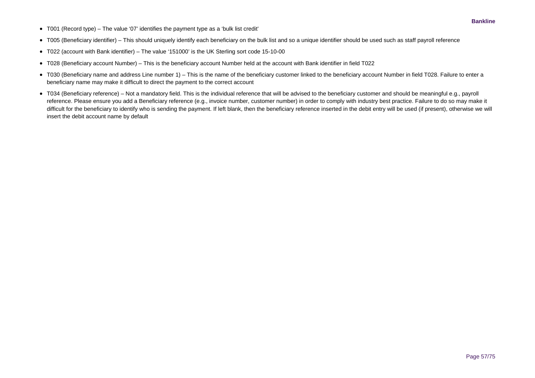- T001 (Record type) The value '07' identifies the payment type as a 'bulk list credit'
- T005 (Beneficiary identifier) This should uniquely identify each beneficiary on the bulk list and so a unique identifier should be used such as staff payroll reference
- T022 (account with Bank identifier) The value '151000' is the UK Sterling sort code 15-10-00
- T028 (Beneficiary account Number) This is the beneficiary account Number held at the account with Bank identifier in field T022
- T030 (Beneficiary name and address Line number 1) This is the name of the beneficiary customer linked to the beneficiary account Number in field T028. Failure to enter a beneficiary name may make it difficult to direct the payment to the correct account
- T034 (Beneficiary reference) Not a mandatory field. This is the individual reference that will be advised to the beneficiary customer and should be meaningful e.g., payroll reference. Please ensure you add a Beneficiary reference (e.g., invoice number, customer number) in order to comply with industry best practice. Failure to do so may make it difficult for the beneficiary to identify who is sending the payment. If left blank, then the beneficiary reference inserted in the debit entry will be used (if present), otherwise we will insert the debit account name by default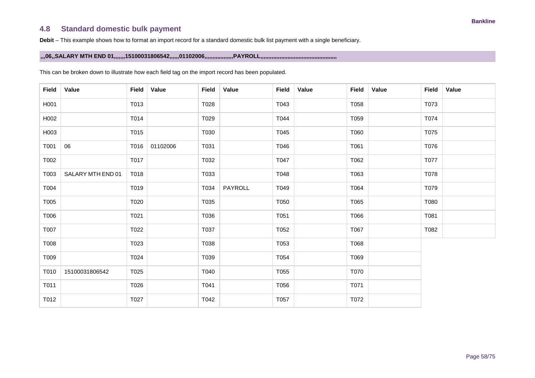## **4.8 Standard domestic bulk payment**

**Debit** – This example shows how to format an import record for a standard domestic bulk list payment with a single beneficiary.

**,,,06,,SALARY MTH END 01,,,,,,,15100031806542,,,,,,01102006,,,,,,,,,,,,,,,,,,PAYROLL,,,,,,,,,,,,,,,,,,,,,,,,,,,,,,,,,,,,,,,,,,,,,,,,**

| <b>Field</b> | Value             | <b>Field</b> | Value    | <b>Field</b> | Value   | <b>Field</b> | Value | Field | Value | <b>Field</b> | <b>Value</b> |
|--------------|-------------------|--------------|----------|--------------|---------|--------------|-------|-------|-------|--------------|--------------|
| H001         |                   | T013         |          | T028         |         | T043         |       | T058  |       | T073         |              |
| H002         |                   | T014         |          | T029         |         | T044         |       | T059  |       | T074         |              |
| H003         |                   | T015         |          | T030         |         | T045         |       | T060  |       | T075         |              |
| T001         | 06                | T016         | 01102006 | T031         |         | T046         |       | T061  |       | T076         |              |
| T002         |                   | T017         |          | T032         |         | T047         |       | T062  |       | T077         |              |
| T003         | SALARY MTH END 01 | T018         |          | T033         |         | T048         |       | T063  |       | T078         |              |
| T004         |                   | T019         |          | T034         | PAYROLL | T049         |       | T064  |       | T079         |              |
| T005         |                   | T020         |          | T035         |         | T050         |       | T065  |       | T080         |              |
| T006         |                   | T021         |          | T036         |         | T051         |       | T066  |       | T081         |              |
| T007         |                   | T022         |          | T037         |         | T052         |       | T067  |       | T082         |              |
| T008         |                   | T023         |          | T038         |         | T053         |       | T068  |       |              |              |
| T009         |                   | T024         |          | T039         |         | T054         |       | T069  |       |              |              |
| T010         | 15100031806542    | T025         |          | T040         |         | T055         |       | T070  |       |              |              |
| T011         |                   | T026         |          | T041         |         | T056         |       | T071  |       |              |              |
| T012         |                   | T027         |          | T042         |         | T057         |       | T072  |       |              |              |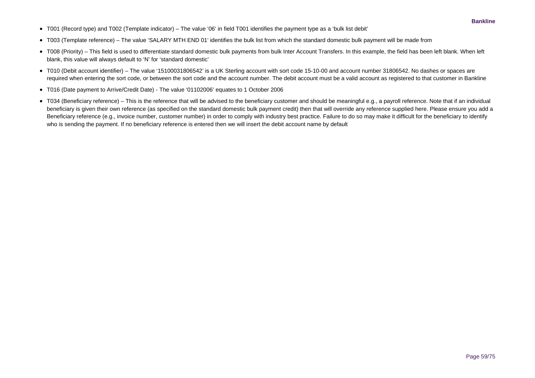- T001 (Record type) and T002 (Template indicator) The value '06' in field T001 identifies the payment type as a 'bulk list debit'
- T003 (Template reference) The value 'SALARY MTH END 01' identifies the bulk list from which the standard domestic bulk payment will be made from
- T008 (Priority) This field is used to differentiate standard domestic bulk payments from bulk Inter Account Transfers. In this example, the field has been left blank. When left blank, this value will always default to 'N' for 'standard domestic'
- T010 (Debit account identifier) The value '15100031806542' is a UK Sterling account with sort code 15-10-00 and account number 31806542. No dashes or spaces are required when entering the sort code, or between the sort code and the account number. The debit account must be a valid account as registered to that customer in Bankline
- T016 (Date payment to Arrive/Credit Date) The value '01102006' equates to 1 October 2006
- T034 (Beneficiary reference) This is the reference that will be advised to the beneficiary customer and should be meaningful e.g., a payroll reference. Note that if an individual beneficiary is given their own reference (as specified on the standard domestic bulk payment credit) then that will override any reference supplied here. Please ensure you add a Beneficiary reference (e.g., invoice number, customer number) in order to comply with industry best practice. Failure to do so may make it difficult for the beneficiary to identify who is sending the payment. If no beneficiary reference is entered then we will insert the debit account name by default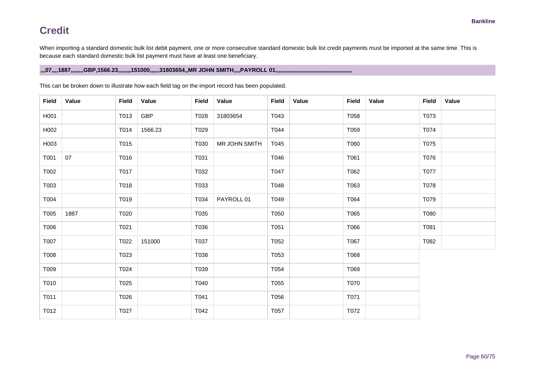When importing a standard domestic bulk list debit payment, one or more consecutive standard domestic bulk list credit payments must be imported at the same time. This is because each standard domestic bulk list payment must have at least one beneficiary.

### **,,,07,,,,1887,,,,,,,,GBP,1566.23,,,,,,,,151000,,,,,,31803654,,MR JOHN SMITH,,,,PAYROLL 01,,,,,,,,,,,,,,,,,,,,,,,,,,,,,,,,,,,,,,,,,,,,,,,,**

| <b>Field</b> | Value | <b>Field</b> | Value   | <b>Field</b> | Value         | <b>Field</b> | Value | <b>Field</b> | Value | <b>Field</b> | <b>Value</b> |
|--------------|-------|--------------|---------|--------------|---------------|--------------|-------|--------------|-------|--------------|--------------|
| H001         |       | T013         | GBP     | T028         | 31803654      | T043         |       | T058         |       | T073         |              |
| H002         |       | T014         | 1566.23 | T029         |               | T044         |       | T059         |       | T074         |              |
| H003         |       | T015         |         | T030         | MR JOHN SMITH | T045         |       | T060         |       | T075         |              |
| T001         | 07    | T016         |         | T031         |               | T046         |       | T061         |       | T076         |              |
| T002         |       | T017         |         | T032         |               | T047         |       | T062         |       | T077         |              |
| T003         |       | T018         |         | T033         |               | T048         |       | T063         |       | T078         |              |
| T004         |       | T019         |         | T034         | PAYROLL 01    | T049         |       | T064         |       | T079         |              |
| T005         | 1887  | T020         |         | T035         |               | T050         |       | T065         |       | T080         |              |
| T006         |       | T021         |         | T036         |               | T051         |       | T066         |       | T081         |              |
| T007         |       | T022         | 151000  | T037         |               | T052         |       | T067         |       | T082         |              |
| T008         |       | T023         |         | T038         |               | T053         |       | T068         |       |              |              |
| T009         |       | T024         |         | T039         |               | T054         |       | T069         |       |              |              |
| T010         |       | T025         |         | T040         |               | T055         |       | T070         |       |              |              |
| T011         |       | T026         |         | T041         |               | T056         |       | T071         |       |              |              |
| T012         |       | T027         |         | T042         |               | T057         |       | T072         |       |              |              |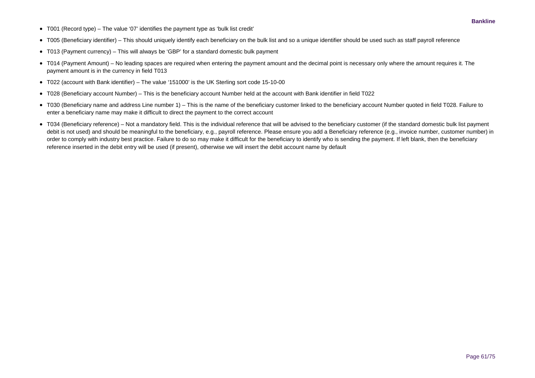- T001 (Record type) The value '07' identifies the payment type as 'bulk list credit'
- T005 (Beneficiary identifier) This should uniquely identify each beneficiary on the bulk list and so a unique identifier should be used such as staff payroll reference
- T013 (Payment currency) This will always be 'GBP' for a standard domestic bulk payment
- T014 (Payment Amount) No leading spaces are required when entering the payment amount and the decimal point is necessary only where the amount requires it. The payment amount is in the currency in field T013
- T022 (account with Bank identifier) The value '151000' is the UK Sterling sort code 15-10-00
- T028 (Beneficiary account Number) This is the beneficiary account Number held at the account with Bank identifier in field T022
- T030 (Beneficiary name and address Line number 1) This is the name of the beneficiary customer linked to the beneficiary account Number quoted in field T028. Failure to enter a beneficiary name may make it difficult to direct the payment to the correct account
- T034 (Beneficiary reference) Not a mandatory field. This is the individual reference that will be advised to the beneficiary customer (if the standard domestic bulk list payment debit is not used) and should be meaningful to the beneficiary, e.g., payroll reference. Please ensure you add a Beneficiary reference (e.g., invoice number, customer number) in order to comply with industry best practice. Failure to do so may make it difficult for the beneficiary to identify who is sending the payment. If left blank, then the beneficiary reference inserted in the debit entry will be used (if present), otherwise we will insert the debit account name by default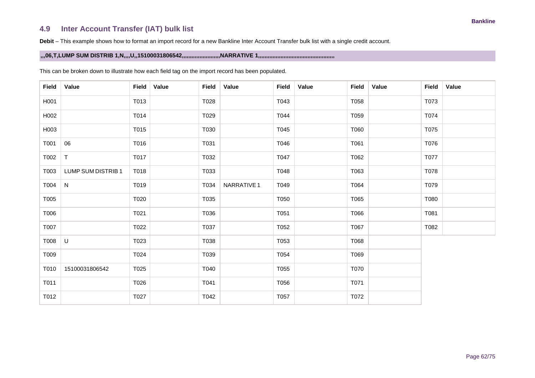## **4.9 Inter Account Transfer (IAT) bulk list**

**Debit** – This example shows how to format an import record for a new Bankline Inter Account Transfer bulk list with a single credit account.

### **,,,06,T,LUMP SUM DISTRIB 1,N,,,,U,,15100031806542,,,,,,,,,,,,,,,,,,,,,,,,NARRATIVE 1,,,,,,,,,,,,,,,,,,,,,,,,,,,,,,,,,,,,,,,,,,,,,,,,**

| <b>Field</b> | Value              | <b>Field</b> | <b>Value</b> | <b>Field</b> | Value       | <b>Field</b> | Value | <b>Field</b> | <b>Value</b> | <b>Field</b> | <b>Value</b> |
|--------------|--------------------|--------------|--------------|--------------|-------------|--------------|-------|--------------|--------------|--------------|--------------|
| H001         |                    | T013         |              | T028         |             | T043         |       | T058         |              | T073         |              |
| H002         |                    | T014         |              | T029         |             | T044         |       | T059         |              | T074         |              |
| H003         |                    | T015         |              | T030         |             | T045         |       | T060         |              | T075         |              |
| T001         | 06                 | T016         |              | T031         |             | T046         |       | T061         |              | T076         |              |
| T002         | $\mathsf{T}$       | T017         |              | T032         |             | T047         |       | T062         |              | T077         |              |
| T003         | LUMP SUM DISTRIB 1 | T018         |              | T033         |             | T048         |       | T063         |              | T078         |              |
| T004         | $\mathsf{N}$       | T019         |              | T034         | NARRATIVE 1 | T049         |       | T064         |              | T079         |              |
| T005         |                    | T020         |              | T035         |             | T050         |       | T065         |              | T080         |              |
| T006         |                    | T021         |              | T036         |             | T051         |       | T066         |              | T081         |              |
| T007         |                    | T022         |              | T037         |             | T052         |       | T067         |              | T082         |              |
| T008         | U                  | T023         |              | T038         |             | T053         |       | T068         |              |              |              |
| T009         |                    | T024         |              | T039         |             | T054         |       | T069         |              |              |              |
| T010         | 15100031806542     | T025         |              | T040         |             | T055         |       | T070         |              |              |              |
| T011         |                    | T026         |              | T041         |             | T056         |       | T071         |              |              |              |
| T012         |                    | T027         |              | T042         |             | T057         |       | T072         |              |              |              |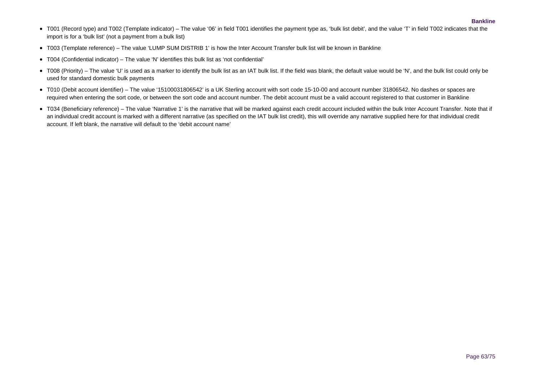- T001 (Record type) and T002 (Template indicator) The value '06' in field T001 identifies the payment type as, 'bulk list debit', and the value 'T' in field T002 indicates that the import is for a 'bulk list' (not a payment from a bulk list)
- T003 (Template reference) The value 'LUMP SUM DISTRIB 1' is how the Inter Account Transfer bulk list will be known in Bankline
- T004 (Confidential indicator) The value 'N' identifies this bulk list as 'not confidential'
- T008 (Priority) The value 'U' is used as a marker to identify the bulk list as an IAT bulk list. If the field was blank, the default value would be 'N', and the bulk list could only be used for standard domestic bulk payments
- T010 (Debit account identifier) The value '15100031806542' is a UK Sterling account with sort code 15-10-00 and account number 31806542. No dashes or spaces are required when entering the sort code, or between the sort code and account number. The debit account must be a valid account registered to that customer in Bankline
- T034 (Beneficiary reference) The value 'Narrative 1' is the narrative that will be marked against each credit account included within the bulk Inter Account Transfer. Note that if an individual credit account is marked with a different narrative (as specified on the IAT bulk list credit), this will override any narrative supplied here for that individual credit account. If left blank, the narrative will default to the 'debit account name'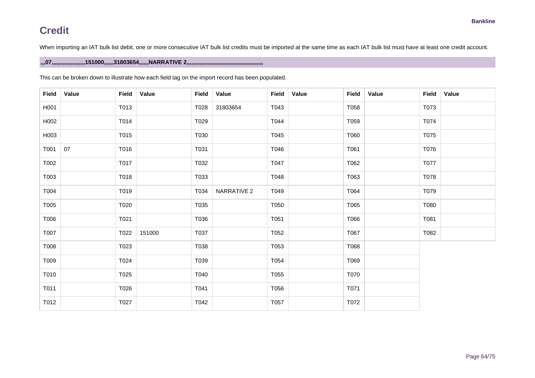When importing an IAT bulk list debit, one or more consecutive IAT bulk list credits must be imported at the same time as each IAT bulk list must have at least one credit account.

### **,,,07,,,,,,,,,,,,,,,,,,,,,151000,,,,,,31803654,,,,,,NARRATIVE 2,,,,,,,,,,,,,,,,,,,,,,,,,,,,,,,,,,,,,,,,,,,,,,,,**

| <b>Field</b> | Value | <b>Field</b> | Value  | <b>Field</b> | Value       | Field | Value | <b>Field</b> | Value | <b>Field</b> | Value |
|--------------|-------|--------------|--------|--------------|-------------|-------|-------|--------------|-------|--------------|-------|
| H001         |       | T013         |        | T028         | 31803654    | T043  |       | T058         |       | T073         |       |
| H002         |       | T014         |        | T029         |             | T044  |       | T059         |       | T074         |       |
| H003         |       | T015         |        | T030         |             | T045  |       | T060         |       | T075         |       |
| T001         | 07    | T016         |        | T031         |             | T046  |       | T061         |       | T076         |       |
| T002         |       | T017         |        | T032         |             | T047  |       | T062         |       | T077         |       |
| T003         |       | T018         |        | T033         |             | T048  |       | T063         |       | T078         |       |
| T004         |       | T019         |        | T034         | NARRATIVE 2 | T049  |       | T064         |       | T079         |       |
| T005         |       | T020         |        | T035         |             | T050  |       | T065         |       | T080         |       |
| T006         |       | T021         |        | T036         |             | T051  |       | T066         |       | T081         |       |
| T007         |       | T022         | 151000 | T037         |             | T052  |       | T067         |       | T082         |       |
| T008         |       | T023         |        | T038         |             | T053  |       | T068         |       |              |       |
| T009         |       | T024         |        | T039         |             | T054  |       | T069         |       |              |       |
| T010         |       | T025         |        | T040         |             | T055  |       | T070         |       |              |       |
| T011         |       | T026         |        | T041         |             | T056  |       | T071         |       |              |       |
| T012         |       | T027         |        | T042         |             | T057  |       | T072         |       |              |       |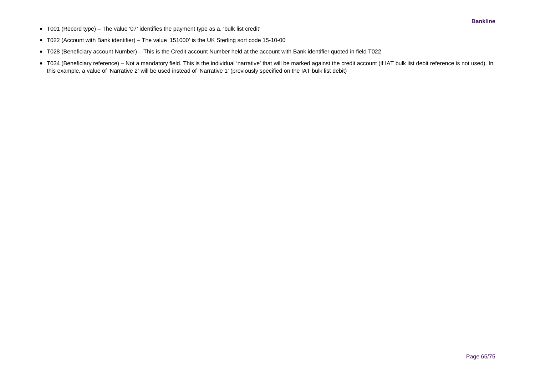- T001 (Record type) The value '07' identifies the payment type as a, 'bulk list credit'
- T022 (Account with Bank identifier) The value '151000' is the UK Sterling sort code 15-10-00
- T028 (Beneficiary account Number) This is the Credit account Number held at the account with Bank identifier quoted in field T022
- T034 (Beneficiary reference) Not a mandatory field. This is the individual 'narrative' that will be marked against the credit account (if IAT bulk list debit reference is not used). In this example, a value of 'Narrative 2' will be used instead of 'Narrative 1' (previously specified on the IAT bulk list debit)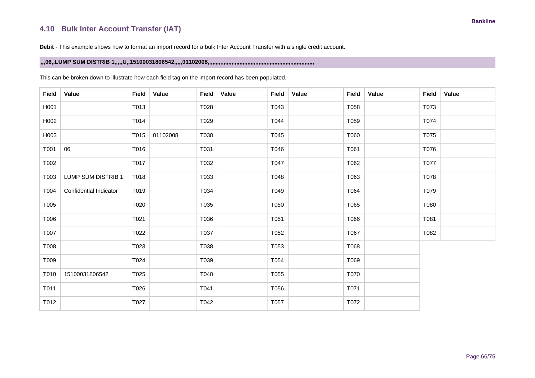## **4.10 Bulk Inter Account Transfer (IAT)**

**Debit** - This example shows how to format an import record for a bulk Inter Account Transfer with a single credit account.

### **,,,06,,LUMP SUM DISTRIB 1,,,,,U,,15100031806542,,,,,01102008,,,,,,,,,,,,,,,,,,,,,,,,,,,,,,,,,,,,,,,,,,,,,,,,,,,,,,,,,,,,,,,,,,,**

| <b>Field</b> | Value                  | <b>Field</b> | Value    | <b>Field</b> | Value | <b>Field</b> | Value | <b>Field</b> | Value | <b>Field</b> | Value |
|--------------|------------------------|--------------|----------|--------------|-------|--------------|-------|--------------|-------|--------------|-------|
| H001         |                        | T013         |          | T028         |       | T043         |       | T058         |       | T073         |       |
| H002         |                        | T014         |          | T029         |       | T044         |       | T059         |       | T074         |       |
| H003         |                        | T015         | 01102008 | T030         |       | T045         |       | T060         |       | T075         |       |
| T001         | 06                     | T016         |          | T031         |       | T046         |       | T061         |       | T076         |       |
| T002         |                        | T017         |          | T032         |       | T047         |       | T062         |       | T077         |       |
| T003         | LUMP SUM DISTRIB 1     | T018         |          | T033         |       | T048         |       | T063         |       | T078         |       |
| T004         | Confidential Indicator | T019         |          | T034         |       | T049         |       | T064         |       | T079         |       |
| T005         |                        | T020         |          | T035         |       | T050         |       | T065         |       | T080         |       |
| T006         |                        | T021         |          | T036         |       | T051         |       | T066         |       | T081         |       |
| T007         |                        | T022         |          | T037         |       | T052         |       | T067         |       | T082         |       |
| T008         |                        | T023         |          | T038         |       | T053         |       | T068         |       |              |       |
| T009         |                        | T024         |          | T039         |       | T054         |       | T069         |       |              |       |
| T010         | 15100031806542         | T025         |          | T040         |       | T055         |       | T070         |       |              |       |
| T011         |                        | T026         |          | T041         |       | T056         |       | T071         |       |              |       |
| T012         |                        | T027         |          | T042         |       | T057         |       | T072         |       |              |       |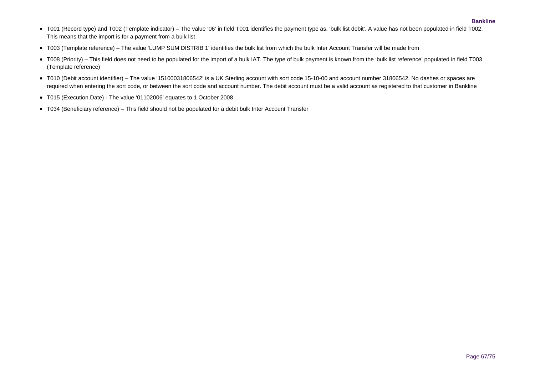- T001 (Record type) and T002 (Template indicator) The value '06' in field T001 identifies the payment type as, 'bulk list debit'. A value has not been populated in field T002. This means that the import is for a payment from a bulk list
- T003 (Template reference) The value 'LUMP SUM DISTRIB 1' identifies the bulk list from which the bulk Inter Account Transfer will be made from
- T008 (Priority) This field does not need to be populated for the import of a bulk IAT. The type of bulk payment is known from the 'bulk list reference' populated in field T003 (Template reference)
- T010 (Debit account identifier) The value '15100031806542' is a UK Sterling account with sort code 15-10-00 and account number 31806542. No dashes or spaces are required when entering the sort code, or between the sort code and account number. The debit account must be a valid account as registered to that customer in Bankline
- T015 (Execution Date) The value '01102006' equates to 1 October 2008
- T034 (Beneficiary reference) This field should not be populated for a debit bulk Inter Account Transfer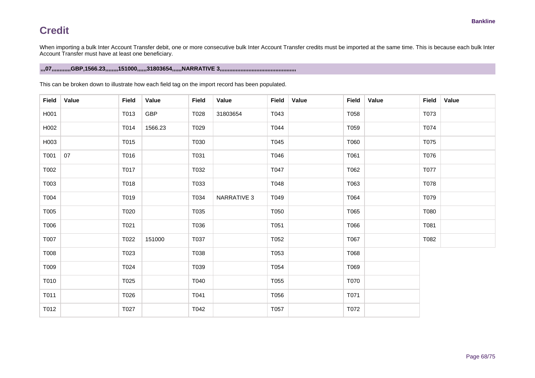When importing a bulk Inter Account Transfer debit, one or more consecutive bulk Inter Account Transfer credits must be imported at the same time. This is because each bulk Inter Account Transfer must have at least one beneficiary.

## **,,,07,,,,,,,,,,,,GBP,1566.23,,,,,,,,151000,,,,,,31803654,,,,,,NARRATIVE 3,,,,,,,,,,,,,,,,,,,,,,,,,,,,,,,,,,,,,,,,,,,,,,,,**

| <b>Field</b> | Value | <b>Field</b> | Value      | <b>Field</b> | Value       | <b>Field</b> | Value | <b>Field</b> | Value | <b>Field</b> | Value |
|--------------|-------|--------------|------------|--------------|-------------|--------------|-------|--------------|-------|--------------|-------|
| H001         |       | T013         | <b>GBP</b> | T028         | 31803654    | T043         |       | T058         |       | T073         |       |
| H002         |       | T014         | 1566.23    | T029         |             | T044         |       | T059         |       | T074         |       |
| H003         |       | T015         |            | T030         |             | T045         |       | T060         |       | T075         |       |
| T001         | 07    | T016         |            | T031         |             | T046         |       | T061         |       | T076         |       |
| T002         |       | T017         |            | T032         |             | T047         |       | T062         |       | T077         |       |
| T003         |       | T018         |            | T033         |             | T048         |       | T063         |       | T078         |       |
| T004         |       | T019         |            | T034         | NARRATIVE 3 | T049         |       | T064         |       | T079         |       |
| T005         |       | T020         |            | T035         |             | T050         |       | T065         |       | T080         |       |
| T006         |       | T021         |            | T036         |             | T051         |       | T066         |       | T081         |       |
| T007         |       | T022         | 151000     | T037         |             | T052         |       | T067         |       | T082         |       |
| T008         |       | T023         |            | T038         |             | T053         |       | T068         |       |              |       |
| T009         |       | T024         |            | T039         |             | T054         |       | T069         |       |              |       |
| T010         |       | T025         |            | T040         |             | T055         |       | T070         |       |              |       |
| T011         |       | T026         |            | T041         |             | T056         |       | T071         |       |              |       |
| T012         |       | T027         |            | T042         |             | T057         |       | T072         |       |              |       |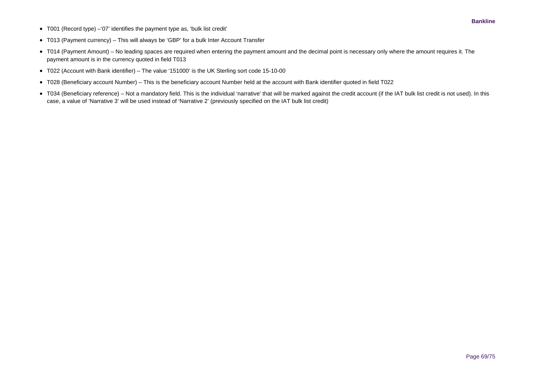• T001 (Record type) –'07' identifies the payment type as, 'bulk list credit'

- T013 (Payment currency) This will always be 'GBP' for a bulk Inter Account Transfer
- T014 (Payment Amount) No leading spaces are required when entering the payment amount and the decimal point is necessary only where the amount requires it. The payment amount is in the currency quoted in field T013
- T022 (Account with Bank identifier) The value '151000' is the UK Sterling sort code 15-10-00
- T028 (Beneficiary account Number) This is the beneficiary account Number held at the account with Bank identifier quoted in field T022
- T034 (Beneficiary reference) Not a mandatory field. This is the individual 'narrative' that will be marked against the credit account (if the IAT bulk list credit is not used). In this case, a value of 'Narrative 3' will be used instead of 'Narrative 2' (previously specified on the IAT bulk list credit)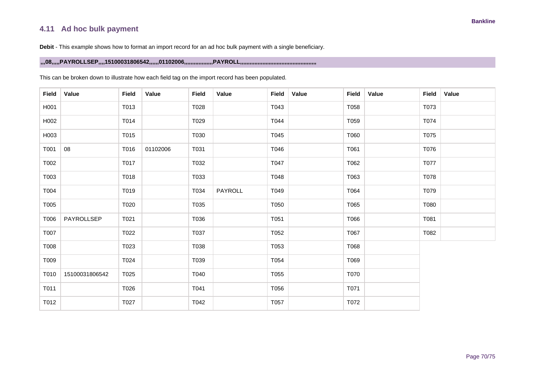## **4.11 Ad hoc bulk payment**

**Debit** - This example shows how to format an import record for an ad hoc bulk payment with a single beneficiary.

### **,,,08,,,,,PAYROLLSEP,,,,15100031806542,,,,,,01102006,,,,,,,,,,,,,,,,,,PAYROLL,,,,,,,,,,,,,,,,,,,,,,,,,,,,,,,,,,,,,,,,,,,,,,,,**

| Field | Value          | <b>Field</b> | Value    | <b>Field</b> | Value   | <b>Field</b> | Value | <b>Field</b> | Value | Field | Value |
|-------|----------------|--------------|----------|--------------|---------|--------------|-------|--------------|-------|-------|-------|
| H001  |                | T013         |          | T028         |         | T043         |       | T058         |       | T073  |       |
| H002  |                | T014         |          | T029         |         | T044         |       | T059         |       | T074  |       |
| H003  |                | T015         |          | T030         |         | T045         |       | T060         |       | T075  |       |
| T001  | 08             | T016         | 01102006 | T031         |         | T046         |       | T061         |       | T076  |       |
| T002  |                | T017         |          | T032         |         | T047         |       | T062         |       | T077  |       |
| T003  |                | T018         |          | T033         |         | T048         |       | T063         |       | T078  |       |
| T004  |                | T019         |          | T034         | PAYROLL | T049         |       | T064         |       | T079  |       |
| T005  |                | T020         |          | T035         |         | T050         |       | T065         |       | T080  |       |
| T006  | PAYROLLSEP     | T021         |          | T036         |         | T051         |       | T066         |       | T081  |       |
| T007  |                | T022         |          | T037         |         | T052         |       | T067         |       | T082  |       |
| T008  |                | T023         |          | T038         |         | T053         |       | T068         |       |       |       |
| T009  |                | T024         |          | T039         |         | T054         |       | T069         |       |       |       |
| T010  | 15100031806542 | T025         |          | T040         |         | T055         |       | T070         |       |       |       |
| T011  |                | T026         |          | T041         |         | T056         |       | T071         |       |       |       |
| T012  |                | T027         |          | T042         |         | T057         |       | T072         |       |       |       |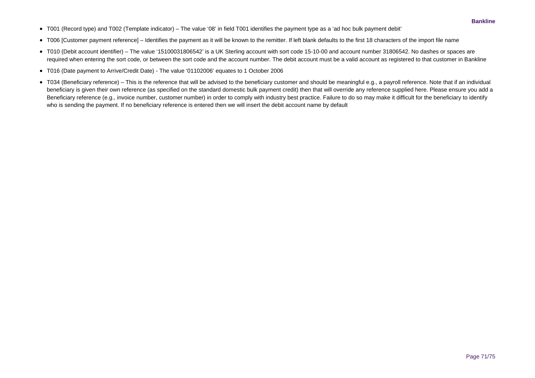- T001 (Record type) and T002 (Template indicator) The value '08' in field T001 identifies the payment type as a 'ad hoc bulk payment debit'
- T006 [Customer payment reference] Identifies the payment as it will be known to the remitter. If left blank defaults to the first 18 characters of the import file name
- T010 (Debit account identifier) The value '15100031806542' is a UK Sterling account with sort code 15-10-00 and account number 31806542. No dashes or spaces are required when entering the sort code, or between the sort code and the account number. The debit account must be a valid account as registered to that customer in Bankline
- T016 (Date payment to Arrive/Credit Date) The value '01102006' equates to 1 October 2006
- T034 (Beneficiary reference) This is the reference that will be advised to the beneficiary customer and should be meaningful e.g., a payroll reference. Note that if an individual beneficiary is given their own reference (as specified on the standard domestic bulk payment credit) then that will override any reference supplied here. Please ensure you add a Beneficiary reference (e.g., invoice number, customer number) in order to comply with industry best practice. Failure to do so may make it difficult for the beneficiary to identify who is sending the payment. If no beneficiary reference is entered then we will insert the debit account name by default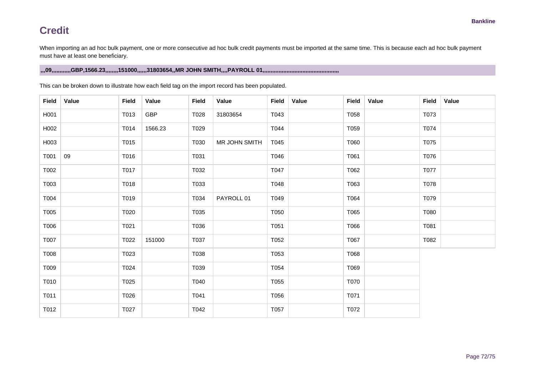When importing an ad hoc bulk payment, one or more consecutive ad hoc bulk credit payments must be imported at the same time. This is because each ad hoc bulk payment must have at least one beneficiary.

## **,,,09,,,,,,,,,,,,GBP,1566.23,,,,,,,,151000,,,,,,31803654,,MR JOHN SMITH,,,,PAYROLL 01,,,,,,,,,,,,,,,,,,,,,,,,,,,,,,,,,,,,,,,,,,,,,,,,**

| <b>Field</b> | Value | <b>Field</b> | Value      | <b>Field</b> | Value         | <b>Field</b> | Value | Field | Value | <b>Field</b> | Value |
|--------------|-------|--------------|------------|--------------|---------------|--------------|-------|-------|-------|--------------|-------|
| H001         |       | T013         | <b>GBP</b> | T028         | 31803654      | T043         |       | T058  |       | T073         |       |
| H002         |       | T014         | 1566.23    | T029         |               | T044         |       | T059  |       | T074         |       |
| H003         |       | T015         |            | T030         | MR JOHN SMITH | T045         |       | T060  |       | T075         |       |
| T001         | 09    | T016         |            | T031         |               | T046         |       | T061  |       | T076         |       |
| T002         |       | T017         |            | T032         |               | T047         |       | T062  |       | T077         |       |
| T003         |       | T018         |            | T033         |               | T048         |       | T063  |       | T078         |       |
| T004         |       | T019         |            | T034         | PAYROLL 01    | T049         |       | T064  |       | T079         |       |
| T005         |       | T020         |            | T035         |               | T050         |       | T065  |       | T080         |       |
| T006         |       | T021         |            | T036         |               | T051         |       | T066  |       | T081         |       |
| T007         |       | T022         | 151000     | T037         |               | T052         |       | T067  |       | T082         |       |
| T008         |       | T023         |            | T038         |               | T053         |       | T068  |       |              |       |
| T009         |       | T024         |            | T039         |               | T054         |       | T069  |       |              |       |
| T010         |       | T025         |            | T040         |               | T055         |       | T070  |       |              |       |
| T011         |       | T026         |            | T041         |               | T056         |       | T071  |       |              |       |
| T012         |       | T027         |            | T042         |               | T057         |       | T072  |       |              |       |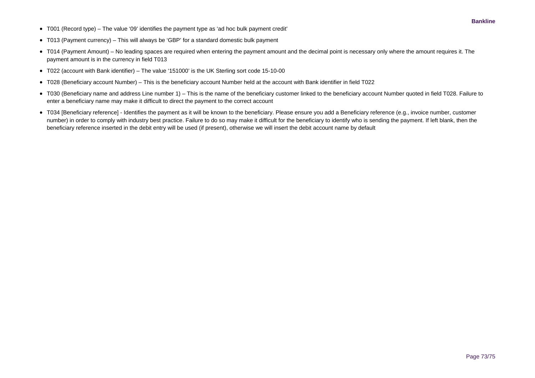- T001 (Record type) The value '09' identifies the payment type as 'ad hoc bulk payment credit'
- T013 (Payment currency) This will always be 'GBP' for a standard domestic bulk payment
- T014 (Payment Amount) No leading spaces are required when entering the payment amount and the decimal point is necessary only where the amount requires it. The payment amount is in the currency in field T013
- T022 (account with Bank identifier) The value '151000' is the UK Sterling sort code 15-10-00
- T028 (Beneficiary account Number) This is the beneficiary account Number held at the account with Bank identifier in field T022
- T030 (Beneficiary name and address Line number 1) This is the name of the beneficiary customer linked to the beneficiary account Number quoted in field T028. Failure to enter a beneficiary name may make it difficult to direct the payment to the correct account
- T034 [Beneficiary reference] Identifies the payment as it will be known to the beneficiary. Please ensure you add a Beneficiary reference (e.g., invoice number, customer number) in order to comply with industry best practice. Failure to do so may make it difficult for the beneficiary to identify who is sending the payment. If left blank, then the beneficiary reference inserted in the debit entry will be used (if present), otherwise we will insert the debit account name by default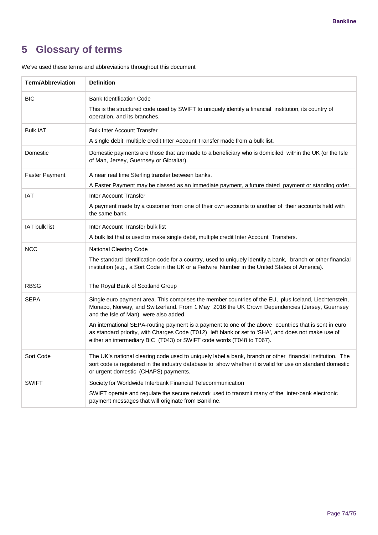## **5 Glossary of terms**

| <b>Term/Abbreviation</b> | <b>Definition</b>                                                                                                                                                                                                                                                                                                                                       |
|--------------------------|---------------------------------------------------------------------------------------------------------------------------------------------------------------------------------------------------------------------------------------------------------------------------------------------------------------------------------------------------------|
| <b>BIC</b>               | <b>Bank Identification Code</b><br>This is the structured code used by SWIFT to uniquely identify a financial institution, its country of<br>operation, and its branches.                                                                                                                                                                               |
| <b>Bulk IAT</b>          | <b>Bulk Inter Account Transfer</b><br>A single debit, multiple credit Inter Account Transfer made from a bulk list.                                                                                                                                                                                                                                     |
| Domestic                 | Domestic payments are those that are made to a beneficiary who is domiciled within the UK (or the Isle<br>of Man, Jersey, Guernsey or Gibraltar).                                                                                                                                                                                                       |
| <b>Faster Payment</b>    | A near real time Sterling transfer between banks.<br>A Faster Payment may be classed as an immediate payment, a future dated payment or standing order.                                                                                                                                                                                                 |
| IAT                      | Inter Account Transfer<br>A payment made by a customer from one of their own accounts to another of their accounts held with<br>the same bank.                                                                                                                                                                                                          |
| <b>IAT bulk list</b>     | Inter Account Transfer bulk list<br>A bulk list that is used to make single debit, multiple credit Inter Account Transfers.                                                                                                                                                                                                                             |
| <b>NCC</b>               | <b>National Clearing Code</b><br>The standard identification code for a country, used to uniquely identify a bank, branch or other financial<br>institution (e.g., a Sort Code in the UK or a Fedwire Number in the United States of America).                                                                                                          |
| <b>RBSG</b>              | The Royal Bank of Scotland Group                                                                                                                                                                                                                                                                                                                        |
| <b>SEPA</b>              | Single euro payment area. This comprises the member countries of the EU, plus Iceland, Liechtenstein,<br>Monaco, Norway, and Switzerland. From 1 May 2016 the UK Crown Dependencies (Jersey, Guernsey<br>and the Isle of Man) were also added.<br>An international SEPA-routing payment is a payment to one of the above countries that is sent in euro |
|                          | as standard priority, with Charges Code (T012) left blank or set to 'SHA', and does not make use of<br>either an intermediary BIC (T043) or SWIFT code words (T048 to T067).                                                                                                                                                                            |
| Sort Code                | The UK's national clearing code used to uniquely label a bank, branch or other financial institution. The<br>sort code is registered in the industry database to show whether it is valid for use on standard domestic<br>or urgent domestic (CHAPS) payments.                                                                                          |
| <b>SWIFT</b>             | Society for Worldwide Interbank Financial Telecommunication                                                                                                                                                                                                                                                                                             |
|                          | SWIFT operate and regulate the secure network used to transmit many of the inter-bank electronic<br>payment messages that will originate from Bankline.                                                                                                                                                                                                 |

We've used these terms and abbreviations throughout this document